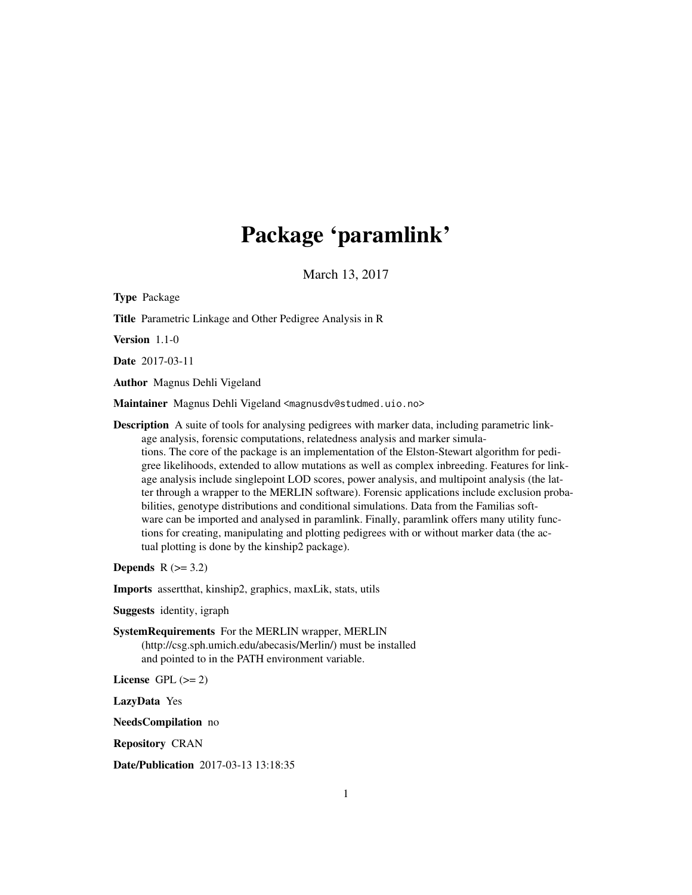# Package 'paramlink'

March 13, 2017

<span id="page-0-0"></span>Type Package Title Parametric Linkage and Other Pedigree Analysis in R Version 1.1-0 Date 2017-03-11 Author Magnus Dehli Vigeland Maintainer Magnus Dehli Vigeland <magnusdv@studmed.uio.no> Description A suite of tools for analysing pedigrees with marker data, including parametric linkage analysis, forensic computations, relatedness analysis and marker simulations. The core of the package is an implementation of the Elston-Stewart algorithm for pedigree likelihoods, extended to allow mutations as well as complex inbreeding. Features for linkage analysis include singlepoint LOD scores, power analysis, and multipoint analysis (the latter through a wrapper to the MERLIN software). Forensic applications include exclusion probabilities, genotype distributions and conditional simulations. Data from the Familias software can be imported and analysed in paramlink. Finally, paramlink offers many utility functions for creating, manipulating and plotting pedigrees with or without marker data (the actual plotting is done by the kinship2 package). Depends  $R$  ( $>= 3.2$ ) Imports assertthat, kinship2, graphics, maxLik, stats, utils Suggests identity, igraph

SystemRequirements For the MERLIN wrapper, MERLIN (http://csg.sph.umich.edu/abecasis/Merlin/) must be installed and pointed to in the PATH environment variable.

License GPL  $(>= 2)$ 

LazyData Yes

NeedsCompilation no

Repository CRAN

Date/Publication 2017-03-13 13:18:35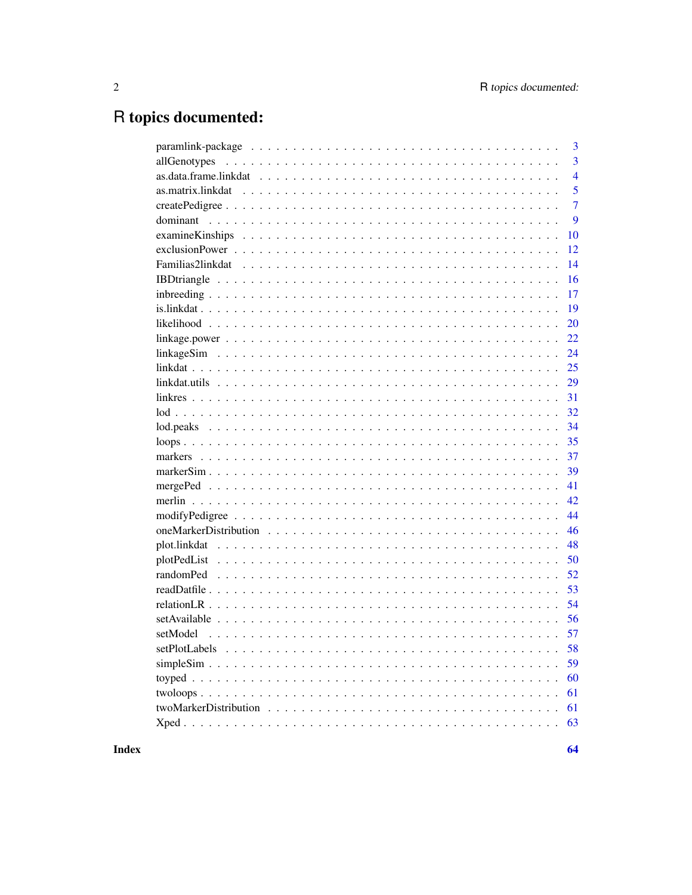# R topics documented:

|                                                                                                                 | 3              |
|-----------------------------------------------------------------------------------------------------------------|----------------|
|                                                                                                                 | $\overline{3}$ |
|                                                                                                                 | $\overline{4}$ |
|                                                                                                                 | 5              |
|                                                                                                                 | $\overline{7}$ |
|                                                                                                                 | 9              |
|                                                                                                                 | 10             |
|                                                                                                                 | 12             |
|                                                                                                                 | 14             |
|                                                                                                                 | 16             |
|                                                                                                                 | 17             |
|                                                                                                                 | 19             |
|                                                                                                                 | 20             |
| $linkage power \dots \dots \dots \dots \dots \dots \dots \dots \dots \dots \dots \dots \dots \dots \dots \dots$ | 22             |
|                                                                                                                 | 24             |
|                                                                                                                 | 25             |
|                                                                                                                 | 29             |
|                                                                                                                 | 31             |
|                                                                                                                 | 32             |
|                                                                                                                 | 34             |
|                                                                                                                 | 35             |
|                                                                                                                 | 37             |
|                                                                                                                 | 39             |
|                                                                                                                 | 41             |
|                                                                                                                 | 42             |
|                                                                                                                 | 44             |
|                                                                                                                 | 46             |
|                                                                                                                 | 48             |
|                                                                                                                 | 50             |
|                                                                                                                 | 52             |
|                                                                                                                 | 53             |
|                                                                                                                 | 54             |
|                                                                                                                 | 56             |
|                                                                                                                 |                |
|                                                                                                                 |                |
|                                                                                                                 | 59             |
|                                                                                                                 | 60             |
|                                                                                                                 | 61             |
|                                                                                                                 | 61             |
|                                                                                                                 | 63             |
|                                                                                                                 |                |

**Index**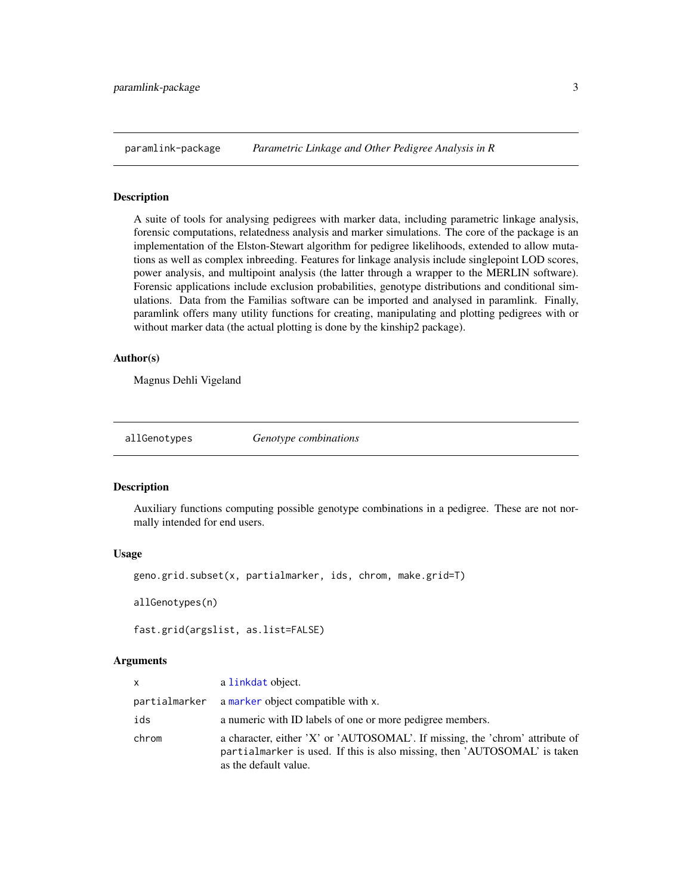<span id="page-2-0"></span>

#### Description

A suite of tools for analysing pedigrees with marker data, including parametric linkage analysis, forensic computations, relatedness analysis and marker simulations. The core of the package is an implementation of the Elston-Stewart algorithm for pedigree likelihoods, extended to allow mutations as well as complex inbreeding. Features for linkage analysis include singlepoint LOD scores, power analysis, and multipoint analysis (the latter through a wrapper to the MERLIN software). Forensic applications include exclusion probabilities, genotype distributions and conditional simulations. Data from the Familias software can be imported and analysed in paramlink. Finally, paramlink offers many utility functions for creating, manipulating and plotting pedigrees with or without marker data (the actual plotting is done by the kinship2 package).

#### Author(s)

Magnus Dehli Vigeland

<span id="page-2-1"></span>allGenotypes *Genotype combinations*

#### **Description**

Auxiliary functions computing possible genotype combinations in a pedigree. These are not normally intended for end users.

#### Usage

geno.grid.subset(x, partialmarker, ids, chrom, make.grid=T)

allGenotypes(n)

fast.grid(argslist, as.list=FALSE)

#### Arguments

| <b>X</b> | a linkdat object.                                                                                                                                                                  |
|----------|------------------------------------------------------------------------------------------------------------------------------------------------------------------------------------|
|          | partialmarker a marker object compatible with x.                                                                                                                                   |
| ids      | a numeric with ID labels of one or more pedigree members.                                                                                                                          |
| chrom    | a character, either 'X' or 'AUTOSOMAL'. If missing, the 'chrom' attribute of<br>partialmarker is used. If this is also missing, then 'AUTOSOMAL' is taken<br>as the default value. |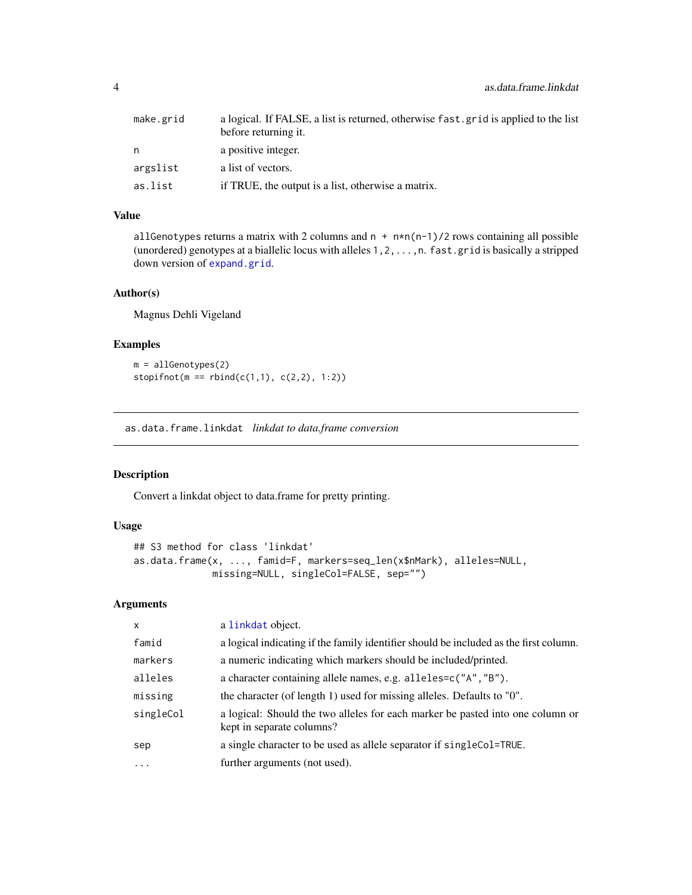<span id="page-3-0"></span>

| make.grid | a logical. If FALSE, a list is returned, otherwise fast, grid is applied to the list<br>before returning it. |
|-----------|--------------------------------------------------------------------------------------------------------------|
| n         | a positive integer.                                                                                          |
| argslist  | a list of vectors.                                                                                           |
| as.list   | if TRUE, the output is a list, otherwise a matrix.                                                           |

#### Value

allGenotypes returns a matrix with 2 columns and  $n + n * n(n-1)/2$  rows containing all possible (unordered) genotypes at a biallelic locus with alleles 1,2,...,n. fast.grid is basically a stripped down version of [expand.grid](#page-0-0).

### Author(s)

Magnus Dehli Vigeland

### Examples

```
m = allGenotypes(2)
stopifnot(m == rbind(c(1,1), c(2,2), 1:2))
```
<span id="page-3-1"></span>as.data.frame.linkdat *linkdat to data.frame conversion*

### Description

Convert a linkdat object to data.frame for pretty printing.

#### Usage

```
## S3 method for class 'linkdat'
as.data.frame(x, ..., famid=F, markers=seq_len(x$nMark), alleles=NULL,
             missing=NULL, singleCol=FALSE, sep="")
```
### Arguments

| $\mathsf{x}$ | a linkdat object.                                                                                           |
|--------------|-------------------------------------------------------------------------------------------------------------|
| famid        | a logical indicating if the family identifier should be included as the first column.                       |
| markers      | a numeric indicating which markers should be included/printed.                                              |
| alleles      | a character containing allele names, e.g. alleles=c("A", "B").                                              |
| missing      | the character (of length 1) used for missing alleles. Defaults to "0".                                      |
| singleCol    | a logical: Should the two alleles for each marker be pasted into one column or<br>kept in separate columns? |
| sep          | a single character to be used as allele separator if singleCol=TRUE.                                        |
| $\ddots$     | further arguments (not used).                                                                               |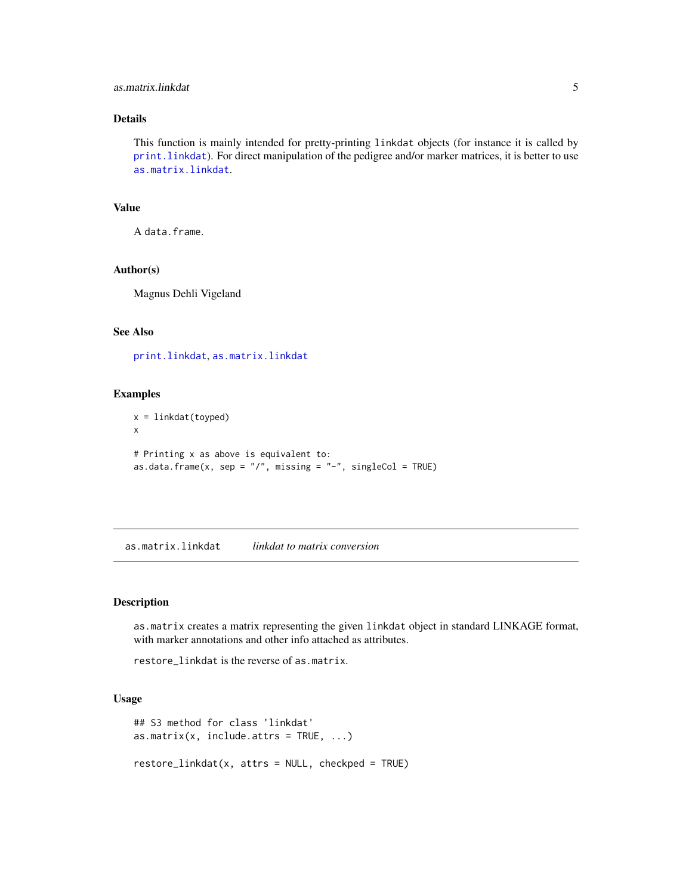### <span id="page-4-0"></span>as.matrix.linkdat 5

### Details

This function is mainly intended for pretty-printing linkdat objects (for instance it is called by [print.linkdat](#page-24-2)). For direct manipulation of the pedigree and/or marker matrices, it is better to use [as.matrix.linkdat](#page-4-1).

### Value

A data.frame.

### Author(s)

Magnus Dehli Vigeland

### See Also

[print.linkdat](#page-24-2), [as.matrix.linkdat](#page-4-1)

#### Examples

```
x = linkdat(toyped)
x
# Printing x as above is equivalent to:
as.data.frame(x, sep = ''/, missing = "-", singleCol = TRUE)
```
<span id="page-4-1"></span>as.matrix.linkdat *linkdat to matrix conversion*

### Description

as.matrix creates a matrix representing the given linkdat object in standard LINKAGE format, with marker annotations and other info attached as attributes.

restore\_linkdat is the reverse of as.matrix.

### Usage

```
## S3 method for class 'linkdat'
as.matrix(x, include.attrs = TRUE, ...)restore_linkdat(x, attrs = NULL, checkped = TRUE)
```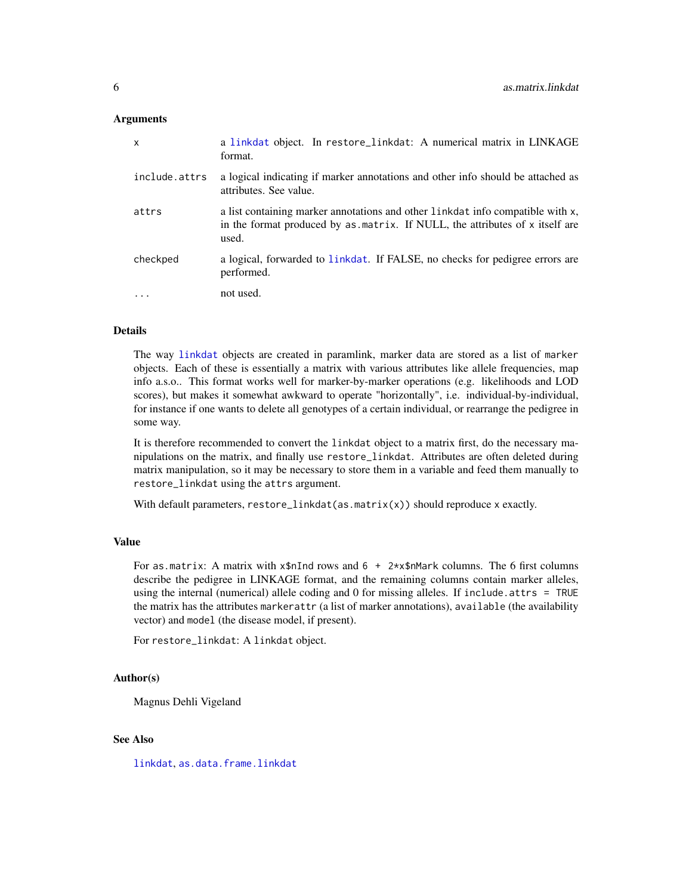#### <span id="page-5-0"></span>**Arguments**

| $\mathsf{x}$  | a linkdat object. In restore_linkdat: A numerical matrix in LINKAGE<br>format.                                                                                          |
|---------------|-------------------------------------------------------------------------------------------------------------------------------------------------------------------------|
| include.attrs | a logical indicating if marker annotations and other info should be attached as<br>attributes. See value.                                                               |
| attrs         | a list containing marker annotations and other linkdat info compatible with x,<br>in the format produced by as matrix. If NULL, the attributes of x itself are<br>used. |
| checkped      | a logical, forwarded to linkdat. If FALSE, no checks for pedigree errors are<br>performed.                                                                              |
|               | not used.                                                                                                                                                               |

#### Details

The way [linkdat](#page-24-1) objects are created in paramlink, marker data are stored as a list of marker objects. Each of these is essentially a matrix with various attributes like allele frequencies, map info a.s.o.. This format works well for marker-by-marker operations (e.g. likelihoods and LOD scores), but makes it somewhat awkward to operate "horizontally", i.e. individual-by-individual, for instance if one wants to delete all genotypes of a certain individual, or rearrange the pedigree in some way.

It is therefore recommended to convert the linkdat object to a matrix first, do the necessary manipulations on the matrix, and finally use restore\_linkdat. Attributes are often deleted during matrix manipulation, so it may be necessary to store them in a variable and feed them manually to restore\_linkdat using the attrs argument.

With default parameters,  $rescore\_linkdat(as.matrix(x))$  should reproduce x exactly.

#### Value

For as.matrix: A matrix with  $x$ \$nInd rows and 6 + 2\* $x$ \$nMark columns. The 6 first columns describe the pedigree in LINKAGE format, and the remaining columns contain marker alleles, using the internal (numerical) allele coding and 0 for missing alleles. If include.attrs = TRUE the matrix has the attributes markerattr (a list of marker annotations), available (the availability vector) and model (the disease model, if present).

For restore\_linkdat: A linkdat object.

## Author(s)

Magnus Dehli Vigeland

#### See Also

[linkdat](#page-24-1), [as.data.frame.linkdat](#page-3-1)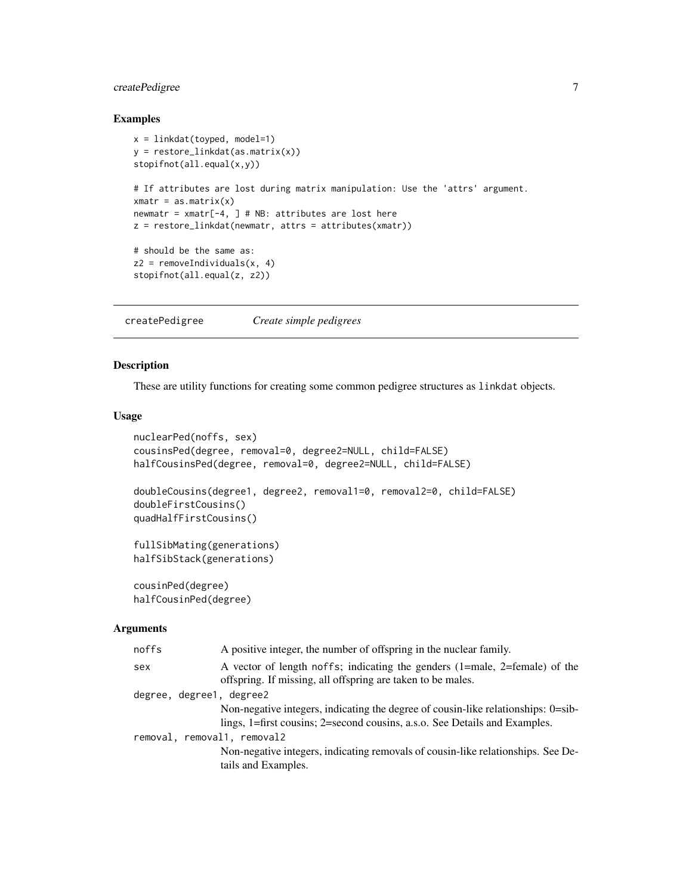### <span id="page-6-0"></span>createPedigree 7

### Examples

```
x = linkdat(toyped, model=1)
y = restore_linkdat(as.matrix(x))
stopifnot(all.equal(x,y))
# If attributes are lost during matrix manipulation: Use the 'attrs' argument.
xmatr = as.matrix(x)
newmatr = xmatr[-4, ] # NB: attributes are lost here
z = restore_linkdat(newmatr, attrs = attributes(xmatr))
# should be the same as:
z2 = removeIndividuals(x, 4)
stopifnot(all.equal(z, z2))
```
createPedigree *Create simple pedigrees*

#### <span id="page-6-1"></span>Description

These are utility functions for creating some common pedigree structures as linkdat objects.

### Usage

```
nuclearPed(noffs, sex)
cousinsPed(degree, removal=0, degree2=NULL, child=FALSE)
halfCousinsPed(degree, removal=0, degree2=NULL, child=FALSE)
doubleCousins(degree1, degree2, removal1=0, removal2=0, child=FALSE)
doubleFirstCousins()
quadHalfFirstCousins()
fullSibMating(generations)
halfSibStack(generations)
cousinPed(degree)
halfCousinPed(degree)
```
#### Arguments

| noffs                       | A positive integer, the number of offspring in the nuclear family.                                                                                              |
|-----------------------------|-----------------------------------------------------------------------------------------------------------------------------------------------------------------|
| sex                         | A vector of length noffs; indicating the genders (1=male, 2=female) of the<br>offspring. If missing, all offspring are taken to be males.                       |
| degree, degree1, degree2    |                                                                                                                                                                 |
|                             | Non-negative integers, indicating the degree of cousin-like relationships: 0=sib-<br>lings, 1=first cousins; 2=second cousins, a.s.o. See Details and Examples. |
| removal, removal1, removal2 |                                                                                                                                                                 |
|                             | Non-negative integers, indicating removals of cousin-like relationships. See De-<br>tails and Examples.                                                         |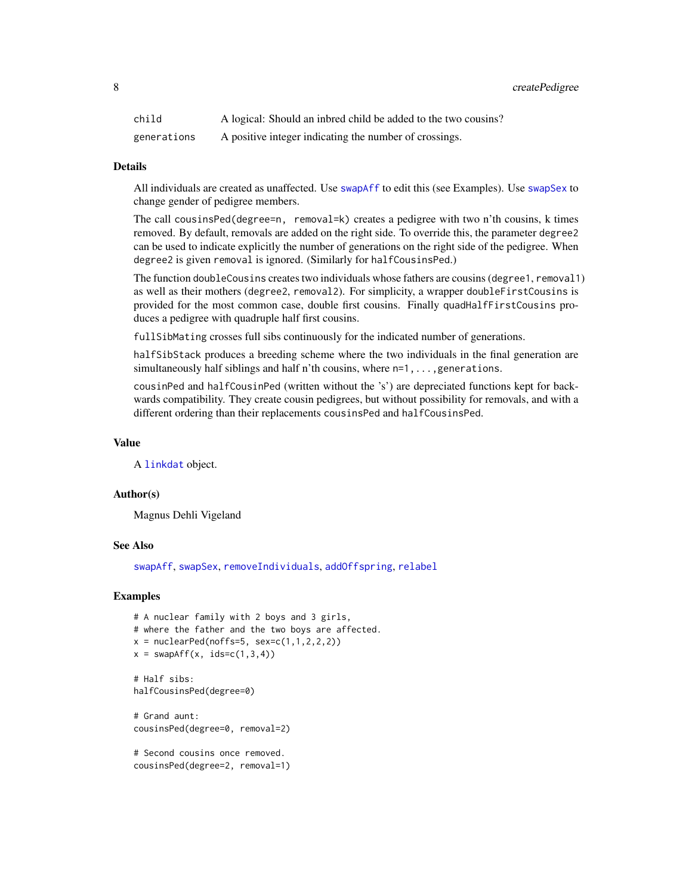<span id="page-7-0"></span>8 a set of the state Pedigree of the state Pedigree of the state Pedigree of the state Pedigree of the state Pedigree of the state Pedigree of the state Pedigree of the state Pedigree of the state Pedigree of the state Ped

| child       | A logical: Should an inbred child be added to the two cousins? |
|-------------|----------------------------------------------------------------|
| generations | A positive integer indicating the number of crossings.         |

#### Details

All individuals are created as unaffected. Use [swapAff](#page-43-1) to edit this (see Examples). Use [swapSex](#page-43-1) to change gender of pedigree members.

The call cousinsPed(degree=n, removal=k) creates a pedigree with two n'th cousins, k times removed. By default, removals are added on the right side. To override this, the parameter degree2 can be used to indicate explicitly the number of generations on the right side of the pedigree. When degree2 is given removal is ignored. (Similarly for halfCousinsPed.)

The function doubleCousins creates two individuals whose fathers are cousins (degree1, removal1) as well as their mothers (degree2, removal2). For simplicity, a wrapper doubleFirstCousins is provided for the most common case, double first cousins. Finally quadHalfFirstCousins produces a pedigree with quadruple half first cousins.

fullSibMating crosses full sibs continuously for the indicated number of generations.

halfSibStack produces a breeding scheme where the two individuals in the final generation are simultaneously half siblings and half n'th cousins, where  $n=1,\ldots$ , generations.

cousinPed and halfCousinPed (written without the 's') are depreciated functions kept for backwards compatibility. They create cousin pedigrees, but without possibility for removals, and with a different ordering than their replacements cousinsPed and halfCousinsPed.

### Value

A [linkdat](#page-24-1) object.

#### Author(s)

Magnus Dehli Vigeland

#### See Also

[swapAff](#page-43-1), [swapSex](#page-43-1), [removeIndividuals](#page-43-1), [addOffspring](#page-43-1), [relabel](#page-43-1)

```
# A nuclear family with 2 boys and 3 girls,
# where the father and the two boys are affected.
x = nuclearPed(noffs=5, sex=c(1,1,2,2,2))x = swapAff(x, ids=c(1,3,4))# Half sibs:
halfCousinsPed(degree=0)
# Grand aunt:
cousinsPed(degree=0, removal=2)
# Second cousins once removed.
cousinsPed(degree=2, removal=1)
```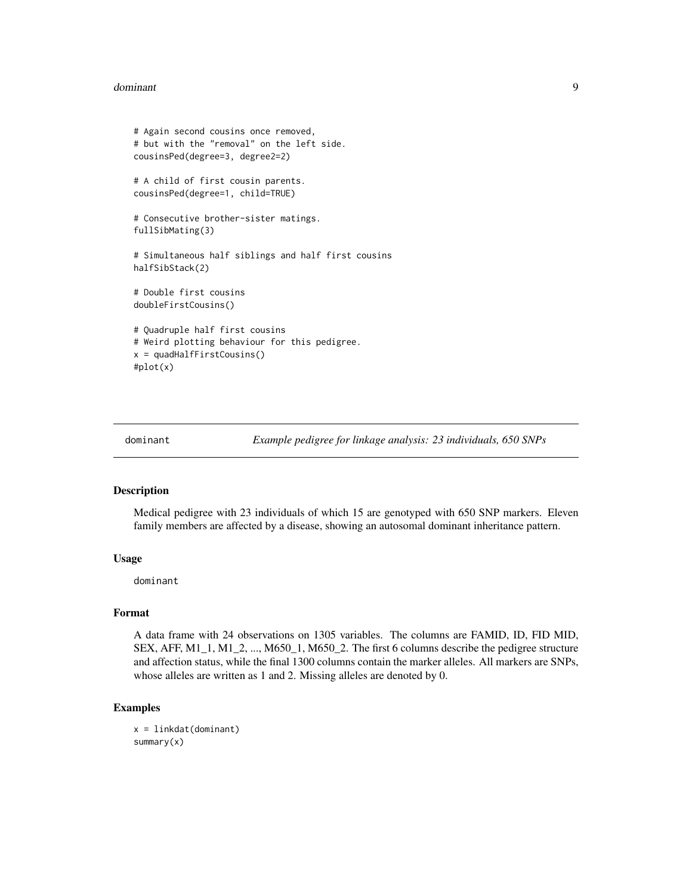#### <span id="page-8-0"></span>dominant 90 and 90 and 90 and 90 and 90 and 90 and 90 and 90 and 90 and 90 and 90 and 90 and 90 and 90 and 90 and 90 and 90 and 90 and 90 and 90 and 90 and 90 and 90 and 90 and 90 and 90 and 90 and 90 and 90 and 90 and 90

```
# Again second cousins once removed,
# but with the "removal" on the left side.
cousinsPed(degree=3, degree2=2)
# A child of first cousin parents.
cousinsPed(degree=1, child=TRUE)
# Consecutive brother-sister matings.
fullSibMating(3)
# Simultaneous half siblings and half first cousins
halfSibStack(2)
# Double first cousins
doubleFirstCousins()
# Quadruple half first cousins
# Weird plotting behaviour for this pedigree.
x = quadHalfFirstCousins()
#plot(x)
```

```
dominant Example pedigree for linkage analysis: 23 individuals, 650 SNPs
```
### Description

Medical pedigree with 23 individuals of which 15 are genotyped with 650 SNP markers. Eleven family members are affected by a disease, showing an autosomal dominant inheritance pattern.

#### Usage

dominant

#### Format

A data frame with 24 observations on 1305 variables. The columns are FAMID, ID, FID MID, SEX, AFF, M1\_1, M1\_2, ..., M650\_1, M650\_2. The first 6 columns describe the pedigree structure and affection status, while the final 1300 columns contain the marker alleles. All markers are SNPs, whose alleles are written as 1 and 2. Missing alleles are denoted by 0.

```
x = linkdat(dominant)
summary(x)
```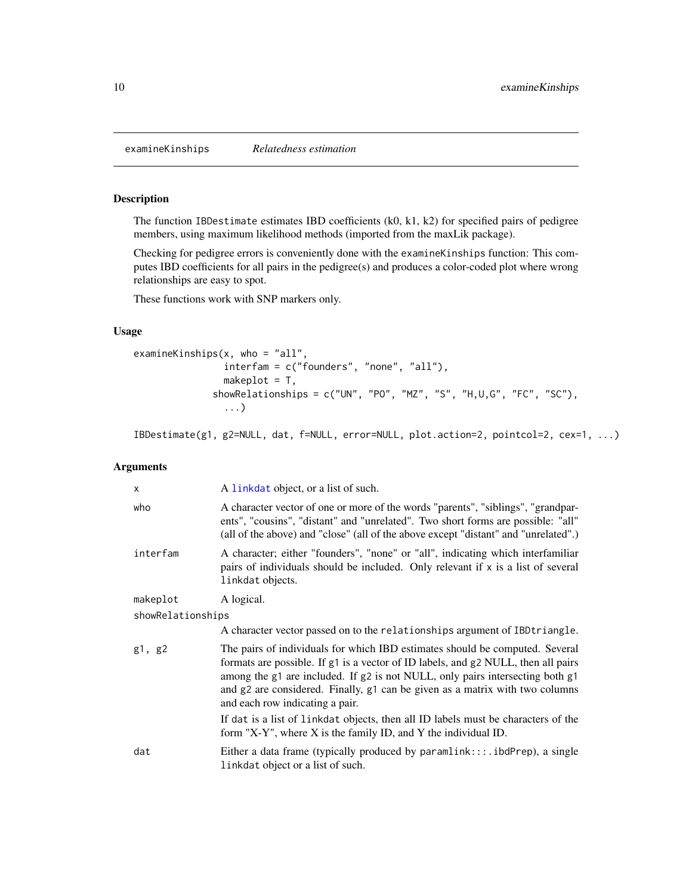<span id="page-9-1"></span><span id="page-9-0"></span>

### Description

The function IBDestimate estimates IBD coefficients (k0, k1, k2) for specified pairs of pedigree members, using maximum likelihood methods (imported from the maxLik package).

Checking for pedigree errors is conveniently done with the examineKinships function: This computes IBD coefficients for all pairs in the pedigree(s) and produces a color-coded plot where wrong relationships are easy to spot.

These functions work with SNP markers only.

#### Usage

```
examineKinships(x, who = "all",
                interfam = c("founders", "none", "all"),
                makeplot = T,
              showRelationships = c("UN", "PO", "MZ", "S", "H,U,G", "FC", "SC"),
                ...)
```
IBDestimate(g1, g2=NULL, dat, f=NULL, error=NULL, plot.action=2, pointcol=2, cex=1, ...)

### Arguments

| $\times$          | A linkdat object, or a list of such.                                                                                                                                                                                                                                                                                                                                  |  |
|-------------------|-----------------------------------------------------------------------------------------------------------------------------------------------------------------------------------------------------------------------------------------------------------------------------------------------------------------------------------------------------------------------|--|
| who               | A character vector of one or more of the words "parents", "siblings", "grandpar-<br>ents", "cousins", "distant" and "unrelated". Two short forms are possible: "all"<br>(all of the above) and "close" (all of the above except "distant" and "unrelated".)                                                                                                           |  |
| interfam          | A character; either "founders", "none" or "all", indicating which interfamiliar<br>pairs of individuals should be included. Only relevant if $x$ is a list of several<br>linkdat objects.                                                                                                                                                                             |  |
| makeplot          | A logical.                                                                                                                                                                                                                                                                                                                                                            |  |
| showRelationships |                                                                                                                                                                                                                                                                                                                                                                       |  |
|                   | A character vector passed on to the relationships argument of IBDtriangle.                                                                                                                                                                                                                                                                                            |  |
| g1, g2            | The pairs of individuals for which IBD estimates should be computed. Several<br>formats are possible. If g1 is a vector of ID labels, and g2 NULL, then all pairs<br>among the g1 are included. If g2 is not NULL, only pairs intersecting both g1<br>and g2 are considered. Finally, g1 can be given as a matrix with two columns<br>and each row indicating a pair. |  |
|                   | If dat is a list of linkdat objects, then all ID labels must be characters of the<br>form "X-Y", where $X$ is the family ID, and $Y$ the individual ID.                                                                                                                                                                                                               |  |
| dat               | Either a data frame (typically produced by $paramlink$ ::ibdPrep), a single<br>linkdat object or a list of such.                                                                                                                                                                                                                                                      |  |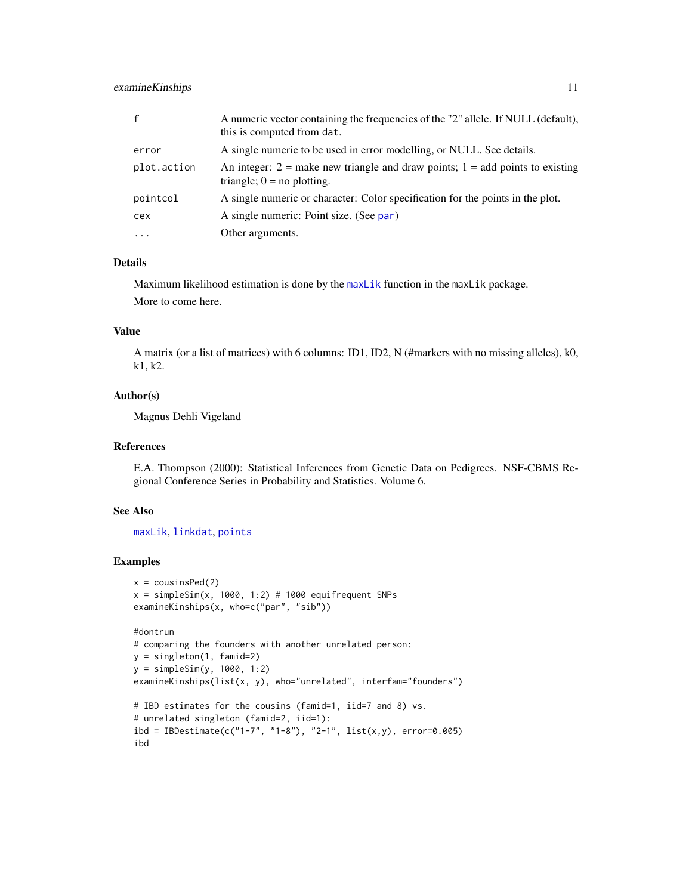### <span id="page-10-0"></span>examineKinships 11

| $\mathsf{f}$ | A numeric vector containing the frequencies of the "2" allele. If NULL (default),<br>this is computed from dat.   |
|--------------|-------------------------------------------------------------------------------------------------------------------|
| error        | A single numeric to be used in error modelling, or NULL. See details.                                             |
| plot.action  | An integer: $2 =$ make new triangle and draw points; $1 =$ add points to existing<br>triangle; $0 =$ no plotting. |
| pointcol     | A single numeric or character: Color specification for the points in the plot.                                    |
| cex          | A single numeric: Point size. (See par)                                                                           |
| $\cdot$      | Other arguments.                                                                                                  |

#### Details

Maximum likelihood estimation is done by the [maxLik](#page-0-0) function in the maxLik package. More to come here.

#### Value

A matrix (or a list of matrices) with 6 columns: ID1, ID2, N (#markers with no missing alleles), k0, k1, k2.

### Author(s)

Magnus Dehli Vigeland

### References

E.A. Thompson (2000): Statistical Inferences from Genetic Data on Pedigrees. NSF-CBMS Regional Conference Series in Probability and Statistics. Volume 6.

### See Also

[maxLik](#page-0-0), [linkdat](#page-24-1), [points](#page-0-0)

#### Examples

```
x = \text{cousinsPed}(2)x = simpleSim(x, 1000, 1:2) # 1000 equifrequent SNPs
examineKinships(x, who=c("par", "sib"))
```
#### #dontrun

ibd

```
# comparing the founders with another unrelated person:
y = singleton(1, famid=2)
y = simpleSim(y, 1000, 1:2)
examineKinships(list(x, y), who="unrelated", interfam="founders")
# IBD estimates for the cousins (famid=1, iid=7 and 8) vs.
# unrelated singleton (famid=2, iid=1):
ibd = IBDestimate(c("1-7", "1-8"), "2-1", list(x,y), error=0.005)
```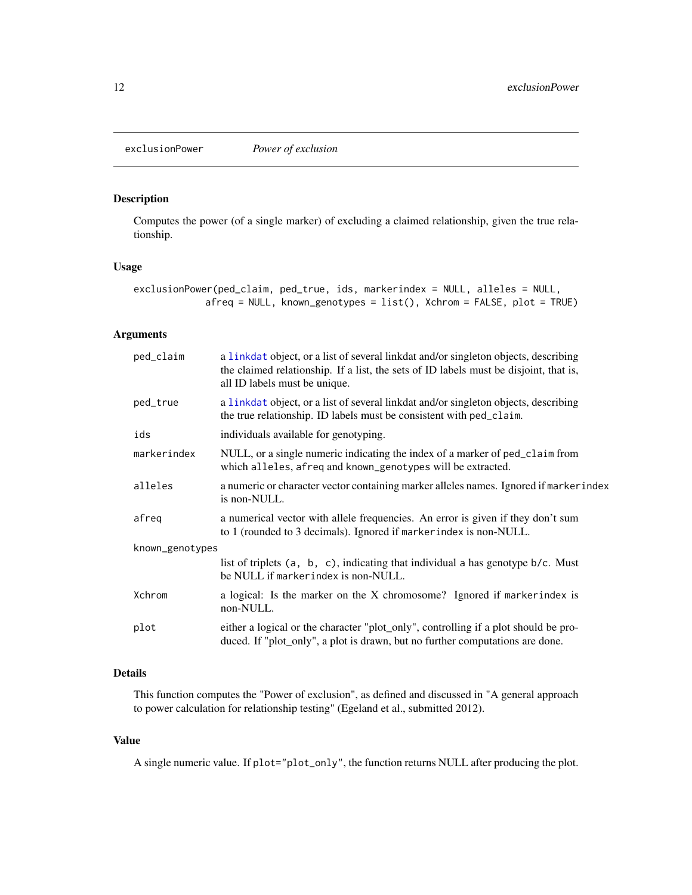<span id="page-11-1"></span><span id="page-11-0"></span>exclusionPower *Power of exclusion*

## Description

Computes the power (of a single marker) of excluding a claimed relationship, given the true relationship.

### Usage

```
exclusionPower(ped_claim, ped_true, ids, markerindex = NULL, alleles = NULL,
             afreq = NULL, known_genotypes = list(), Xchrom = FALSE, plot = TRUE)
```
### Arguments

| ped_claim       | a linkdat object, or a list of several linkdat and/or singleton objects, describing<br>the claimed relationship. If a list, the sets of ID labels must be disjoint, that is,<br>all ID labels must be unique. |  |
|-----------------|---------------------------------------------------------------------------------------------------------------------------------------------------------------------------------------------------------------|--|
| ped_true        | a linkdat object, or a list of several linkdat and/or singleton objects, describing<br>the true relationship. ID labels must be consistent with ped_claim.                                                    |  |
| ids             | individuals available for genotyping.                                                                                                                                                                         |  |
| markerindex     | NULL, or a single numeric indicating the index of a marker of ped_claim from<br>which alleles, afreq and known_genotypes will be extracted.                                                                   |  |
| alleles         | a numeric or character vector containing marker alleles names. Ignored if marker index<br>is non-NULL.                                                                                                        |  |
| afreq           | a numerical vector with allele frequencies. An error is given if they don't sum<br>to 1 (rounded to 3 decimals). Ignored if markerindex is non-NULL.                                                          |  |
| known_genotypes |                                                                                                                                                                                                               |  |
|                 | list of triplets $(a, b, c)$ , indicating that individual a has genotype $b/c$ . Must<br>be NULL if markerindex is non-NULL.                                                                                  |  |
| Xchrom          | a logical: Is the marker on the X chromosome? Ignored if marker index is<br>non-NULL.                                                                                                                         |  |
| plot            | either a logical or the character "plot_only", controlling if a plot should be pro-<br>duced. If "plot_only", a plot is drawn, but no further computations are done.                                          |  |

### Details

This function computes the "Power of exclusion", as defined and discussed in "A general approach to power calculation for relationship testing" (Egeland et al., submitted 2012).

#### Value

A single numeric value. If plot="plot\_only", the function returns NULL after producing the plot.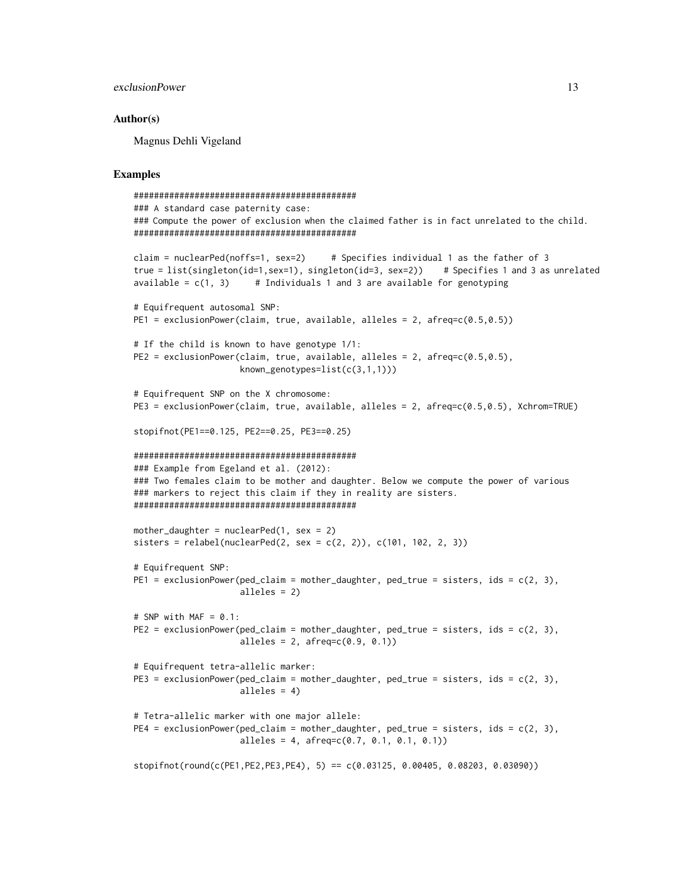### exclusionPower 13

#### Author(s)

Magnus Dehli Vigeland

```
############################################
### A standard case paternity case:
### Compute the power of exclusion when the claimed father is in fact unrelated to the child.
############################################
claim = nuclearPed(noffs=1, sex=2) # Specifies individual 1 as the father of 3
true = list(singleton(id=1,sex=1), singleton(id=3, sex=2)) # Specifies 1 and 3 as unrelated
available = c(1, 3) # Individuals 1 and 3 are available for genotyping
# Equifrequent autosomal SNP:
PE1 = exclusionPower(claim, true, available, alleles = 2, afreq=c(0.5, 0.5))
# If the child is known to have genotype 1/1:
PE2 = exclusionPower(claim, true, available, alleles = 2, afreq=c(0.5,0.5),
                     known_genotypes=list(c(3,1,1)))
# Equifrequent SNP on the X chromosome:
PE3 = exclusionPower(claim, true, available, alleles = 2, afreq=c(0.5,0.5), Xchrom=TRUE)
stopifnot(PE1==0.125, PE2==0.25, PE3==0.25)
############################################
### Example from Egeland et al. (2012):
### Two females claim to be mother and daughter. Below we compute the power of various
### markers to reject this claim if they in reality are sisters.
############################################
mother_daughter = nuclearPed(1, \text{sex} = 2)sisters = relabel(nuclearPed(2, sex = c(2, 2)), c(101, 102, 2, 3))# Equifrequent SNP:
PE1 = exclusionPower(ped\_claim = mother\_daughter, ped\_true = sisters, ids = c(2, 3),alleles = 2)
# SNP with MAF = 0.1:
PE2 = exclusionPower(ped_claim = mother_daughter, ped_true = sisters, ids = c(2, 3),
                     alleles = 2, afreq = c(0.9, 0.1)# Equifrequent tetra-allelic marker:
PE3 = exclusionPower(ped_claim = mother_daughter, ped_true = sisters, ids = c(2, 3),
                     alleles = 4)
# Tetra-allelic marker with one major allele:
PE4 = exclusionPower(ped_claim = mother_daughter, ped_true = sisters, ids = c(2, 3),
                     alleles = 4, afreq=c(0.7, 0.1, 0.1, 0.1))
stopifnot(round(c(PE1,PE2,PE3,PE4), 5) == c(0.03125, 0.00405, 0.08203, 0.03090))
```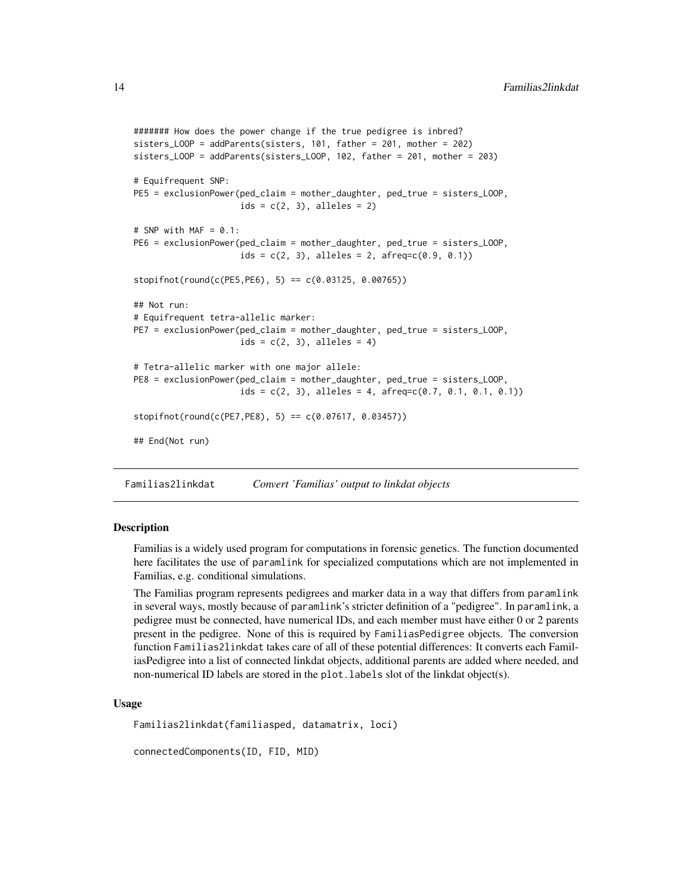```
####### How does the power change if the true pedigree is inbred?
sisters_LOOP = addParents(sisters, 101, father = 201, mother = 202)
sisters_LOOP = addParents(sisters_LOOP, 102, father = 201, mother = 203)
# Equifrequent SNP:
PE5 = exclusionPower(ped_claim = mother_daughter, ped_true = sisters_LOOP,
                     ids = c(2, 3), alleles = 2)
# SNP with MAF = 0.1:
PE6 = exclusionPower(ped_claim = mother_daughter, ped_true = sisters_LOOP,
                     ids = c(2, 3), alleles = 2, afreq=c(0.9, 0.1))
stopifnot(rownd(c(PE5,PE6), 5) == c(0.03125, 0.00765))## Not run:
# Equifrequent tetra-allelic marker:
PE7 = exclusionPower(ped_claim = mother_daughter, ped_true = sisters_LOOP,
                     ids = c(2, 3), alleles = 4)# Tetra-allelic marker with one major allele:
PE8 = exclusionPower(ped_claim = mother_daughter, ped_true = sisters_LOOP,
                     ids = c(2, 3), alleles = 4, afreq=c(0.7, 0.1, 0.1, 0.1))
stopifnot(rownd(c(PE7,PE8), 5) == c(0.07617, 0.03457))## End(Not run)
```
Familias2linkdat *Convert 'Familias' output to linkdat objects*

### Description

Familias is a widely used program for computations in forensic genetics. The function documented here facilitates the use of paramlink for specialized computations which are not implemented in Familias, e.g. conditional simulations.

The Familias program represents pedigrees and marker data in a way that differs from paramlink in several ways, mostly because of paramlink's stricter definition of a "pedigree". In paramlink, a pedigree must be connected, have numerical IDs, and each member must have either 0 or 2 parents present in the pedigree. None of this is required by FamiliasPedigree objects. The conversion function Familias2linkdat takes care of all of these potential differences: It converts each FamiliasPedigree into a list of connected linkdat objects, additional parents are added where needed, and non-numerical ID labels are stored in the plot.labels slot of the linkdat object(s).

#### Usage

```
Familias2linkdat(familiasped, datamatrix, loci)
```
connectedComponents(ID, FID, MID)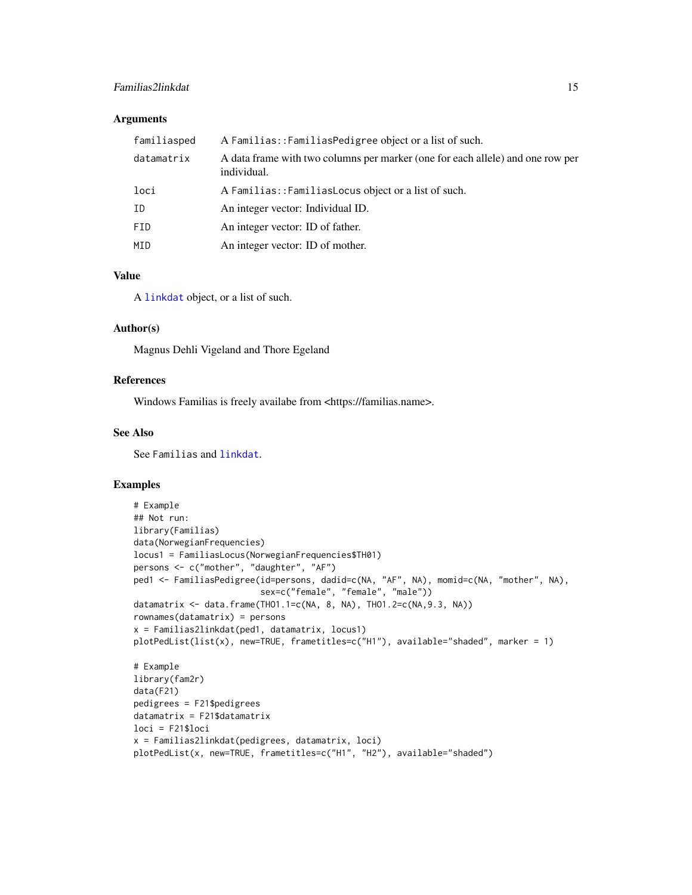### <span id="page-14-0"></span>Familias2linkdat 15

#### **Arguments**

| familiasped | A Familias::FamiliasPedigree object or a list of such.                                        |
|-------------|-----------------------------------------------------------------------------------------------|
| datamatrix  | A data frame with two columns per marker (one for each allele) and one row per<br>individual. |
| loci        | A Familias:: Familias Locus object or a list of such.                                         |
| ID          | An integer vector: Individual ID.                                                             |
| FID.        | An integer vector: ID of father.                                                              |
| MID         | An integer vector: ID of mother.                                                              |

### Value

A [linkdat](#page-24-1) object, or a list of such.

### Author(s)

Magnus Dehli Vigeland and Thore Egeland

### References

Windows Familias is freely availabe from <https://familias.name>.

#### See Also

See Familias and [linkdat](#page-24-1).

```
# Example
## Not run:
library(Familias)
data(NorwegianFrequencies)
locus1 = FamiliasLocus(NorwegianFrequencies$TH01)
persons <- c("mother", "daughter", "AF")
ped1 <- FamiliasPedigree(id=persons, dadid=c(NA, "AF", NA), momid=c(NA, "mother", NA),
                         sex=c("female", "female", "male"))
datamatrix <- data.frame(THO1.1=c(NA, 8, NA), THO1.2=c(NA,9.3, NA))
rownames(datamatrix) = persons
x = Familias2linkdat(ped1, datamatrix, locus1)
plotPedList(list(x), new=TRUE, frametitles=c("H1"), available="shaded", marker = 1)
# Example
library(fam2r)
data(F21)
pedigrees = F21$pedigrees
datamatrix = F21$datamatrix
loci = F21$loci
x = Familias2linkdat(pedigrees, datamatrix, loci)
plotPedList(x, new=TRUE, frametitles=c("H1", "H2"), available="shaded")
```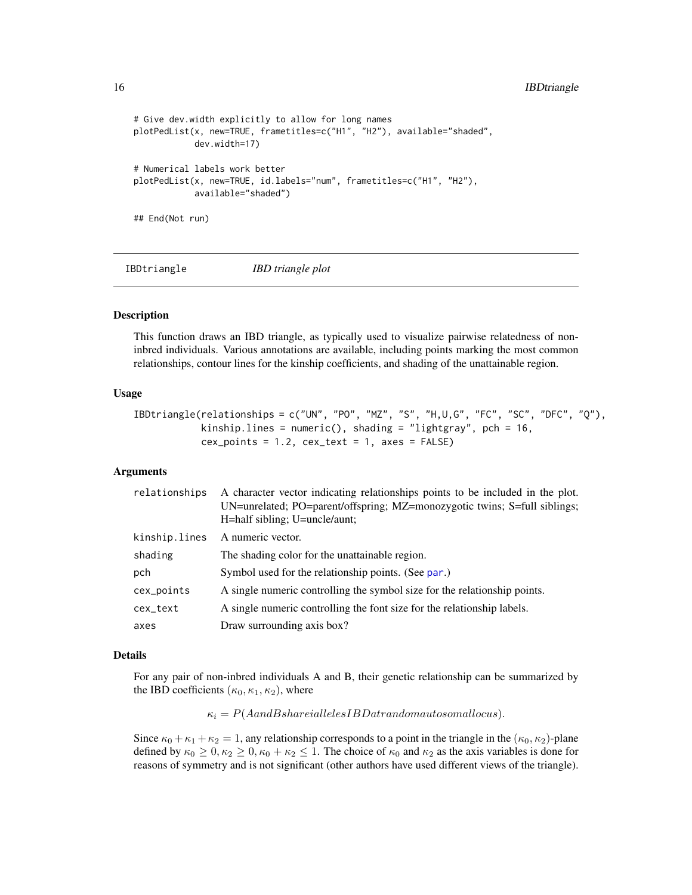```
# Give dev.width explicitly to allow for long names
plotPedList(x, new=TRUE, frametitles=c("H1", "H2"), available="shaded",
            dev.width=17)
# Numerical labels work better
plotPedList(x, new=TRUE, id.labels="num", frametitles=c("H1", "H2"),
            available="shaded")
## End(Not run)
```
IBDtriangle *IBD triangle plot*

#### Description

This function draws an IBD triangle, as typically used to visualize pairwise relatedness of noninbred individuals. Various annotations are available, including points marking the most common relationships, contour lines for the kinship coefficients, and shading of the unattainable region.

### Usage

```
IBDtriangle(relationships = c("UN", "PO", "MZ", "S", "H,U,G", "FC", "SC", "DFC", "Q"),
            kinship.lines = numeric(), shading = "lightgray", pch = 16,
            cex\_points = 1.2, cex\_text = 1, axes = FALSE)
```
### Arguments

| relationships | A character vector indicating relationships points to be included in the plot.<br>UN=unrelated; PO=parent/offspring; MZ=monozygotic twins; S=full siblings;<br>H=half sibling; U=uncle/aunt; |
|---------------|----------------------------------------------------------------------------------------------------------------------------------------------------------------------------------------------|
| kinship.lines | A numeric vector.                                                                                                                                                                            |
| shading       | The shading color for the unattainable region.                                                                                                                                               |
| pch           | Symbol used for the relationship points. (See par.)                                                                                                                                          |
| cex_points    | A single numeric controlling the symbol size for the relationship points.                                                                                                                    |
| cex_text      | A single numeric controlling the font size for the relationship labels.                                                                                                                      |
| axes          | Draw surrounding axis box?                                                                                                                                                                   |

#### Details

For any pair of non-inbred individuals A and B, their genetic relationship can be summarized by the IBD coefficients  $(\kappa_0, \kappa_1, \kappa_2)$ , where

 $\kappa_i = P(A and B shareial levels IBD at random autosomal locus).$ 

Since  $\kappa_0 + \kappa_1 + \kappa_2 = 1$ , any relationship corresponds to a point in the triangle in the  $(\kappa_0, \kappa_2)$ -plane defined by  $\kappa_0 \geq 0, \kappa_2 \geq 0, \kappa_0 + \kappa_2 \leq 1$ . The choice of  $\kappa_0$  and  $\kappa_2$  as the axis variables is done for reasons of symmetry and is not significant (other authors have used different views of the triangle).

<span id="page-15-0"></span>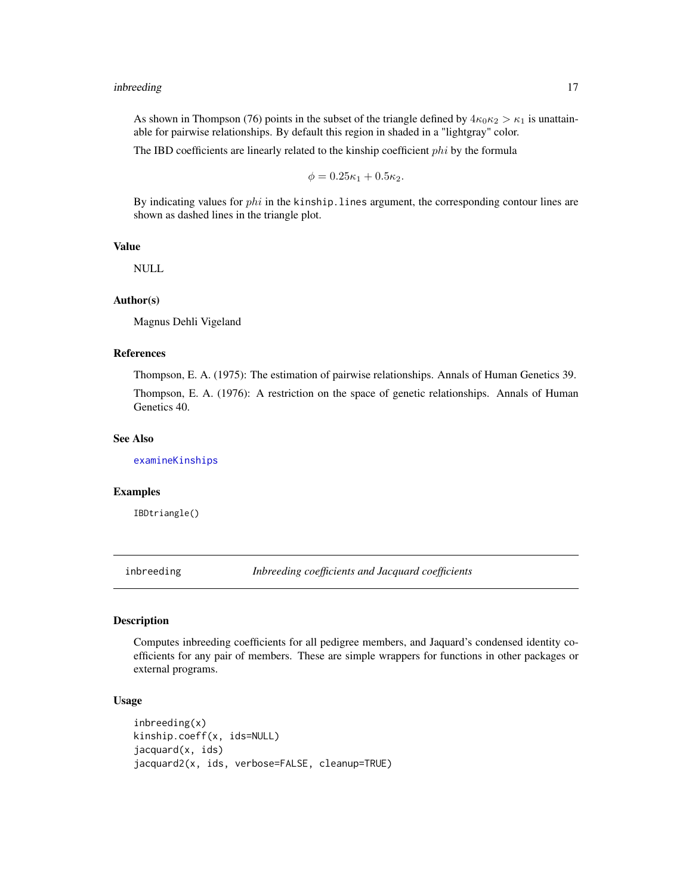#### <span id="page-16-0"></span>inbreeding 17

As shown in Thompson (76) points in the subset of the triangle defined by  $4\kappa_0\kappa_2 > \kappa_1$  is unattainable for pairwise relationships. By default this region in shaded in a "lightgray" color.

The IBD coefficients are linearly related to the kinship coefficient  $phi$  by the formula

$$
\phi=0.25\kappa_1+0.5\kappa_2.
$$

By indicating values for  $phi$  in the kinship. lines argument, the corresponding contour lines are shown as dashed lines in the triangle plot.

#### Value

NULL

### Author(s)

Magnus Dehli Vigeland

### References

Thompson, E. A. (1975): The estimation of pairwise relationships. Annals of Human Genetics 39. Thompson, E. A. (1976): A restriction on the space of genetic relationships. Annals of Human Genetics 40.

#### See Also

[examineKinships](#page-9-1)

#### Examples

IBDtriangle()

inbreeding *Inbreeding coefficients and Jacquard coefficients*

### Description

Computes inbreeding coefficients for all pedigree members, and Jaquard's condensed identity coefficients for any pair of members. These are simple wrappers for functions in other packages or external programs.

#### Usage

```
inbreeding(x)
kinship.coeff(x, ids=NULL)
jacquard(x, ids)
jacquard2(x, ids, verbose=FALSE, cleanup=TRUE)
```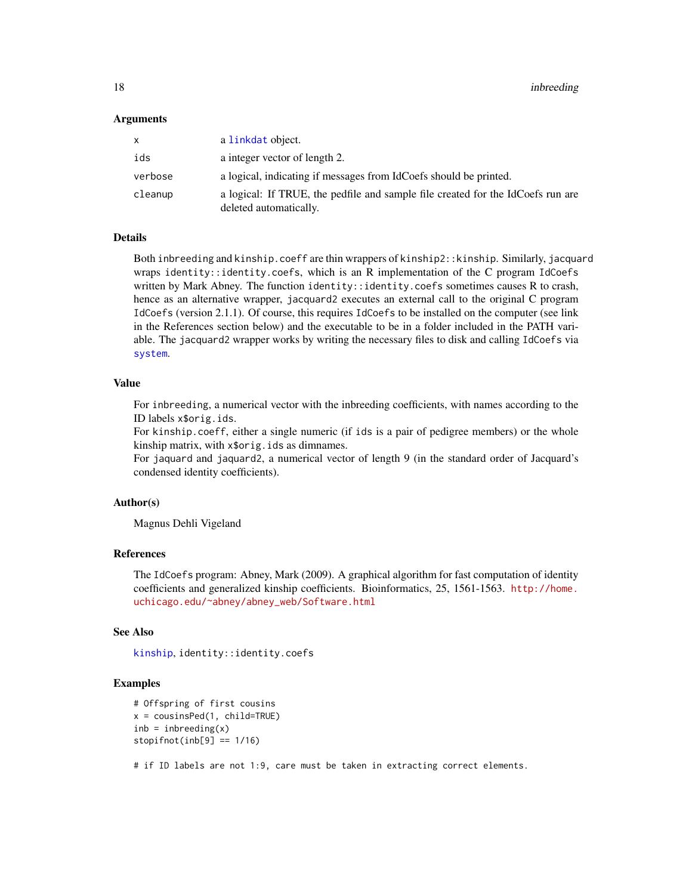#### <span id="page-17-0"></span>Arguments

| x.      | a linkdat object.                                                                                         |
|---------|-----------------------------------------------------------------------------------------------------------|
| ids     | a integer vector of length 2.                                                                             |
| verbose | a logical, indicating if messages from IdCoefs should be printed.                                         |
| cleanup | a logical: If TRUE, the pedfile and sample file created for the IdCoefs run are<br>deleted automatically. |

#### Details

Both inbreeding and kinship.coeff are thin wrappers of kinship2::kinship. Similarly, jacquard wraps identity::identity.coefs, which is an R implementation of the C program IdCoefs written by Mark Abney. The function identity::identity.coefs sometimes causes R to crash, hence as an alternative wrapper, jacquard2 executes an external call to the original C program IdCoefs (version 2.1.1). Of course, this requires IdCoefs to be installed on the computer (see link in the References section below) and the executable to be in a folder included in the PATH variable. The jacquard2 wrapper works by writing the necessary files to disk and calling IdCoefs via [system](#page-0-0).

#### Value

For inbreeding, a numerical vector with the inbreeding coefficients, with names according to the ID labels x\$orig.ids.

For kinship.coeff, either a single numeric (if ids is a pair of pedigree members) or the whole kinship matrix, with x\$orig.ids as dimnames.

For jaquard and jaquard2, a numerical vector of length 9 (in the standard order of Jacquard's condensed identity coefficients).

#### Author(s)

Magnus Dehli Vigeland

#### References

The IdCoefs program: Abney, Mark (2009). A graphical algorithm for fast computation of identity coefficients and generalized kinship coefficients. Bioinformatics, 25, 1561-1563. [http://home.](http://home.uchicago.edu/~abney/abney_web/Software.html) [uchicago.edu/~abney/abney\\_web/Software.html](http://home.uchicago.edu/~abney/abney_web/Software.html)

### See Also

[kinship](#page-0-0), identity::identity.coefs

#### Examples

```
# Offspring of first cousins
x = \text{cousinsPed}(1, \text{child=True})inb = inbreeding(x)stopifnot(inb[9] == 1/16)
```
# if ID labels are not 1:9, care must be taken in extracting correct elements.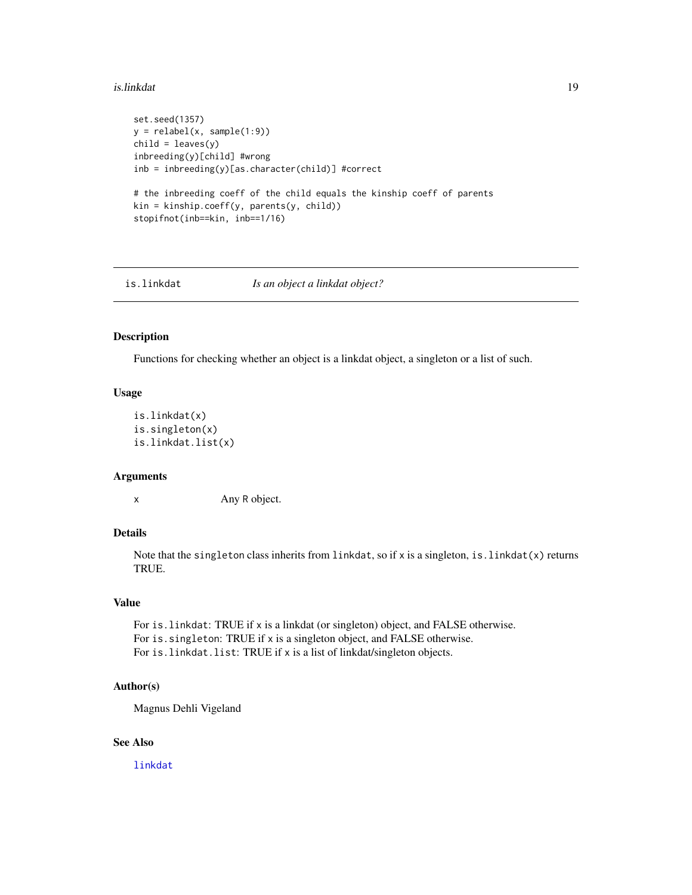#### <span id="page-18-0"></span>is.linkdat 19

```
set.seed(1357)
y = relabel(x, sample(1:9))
child = leaves(y)inbreeding(y)[child] #wrong
inb = inbreeding(y)[as.character(child)] #correct
# the inbreeding coeff of the child equals the kinship coeff of parents
kin = kinship.coeff(y, parents(y, child))
stopifnot(inb==kin, inb==1/16)
```
is.linkdat *Is an object a linkdat object?*

#### Description

Functions for checking whether an object is a linkdat object, a singleton or a list of such.

### Usage

```
is.linkdat(x)
is.singleton(x)
is.linkdat.list(x)
```
#### Arguments

x Any R object.

### Details

Note that the singleton class inherits from linkdat, so if  $x$  is a singleton, is. linkdat $(x)$  returns TRUE.

### Value

For is.linkdat: TRUE if x is a linkdat (or singleton) object, and FALSE otherwise. For is.singleton: TRUE if x is a singleton object, and FALSE otherwise. For is.linkdat.list: TRUE if x is a list of linkdat/singleton objects.

#### Author(s)

Magnus Dehli Vigeland

### See Also

[linkdat](#page-24-1)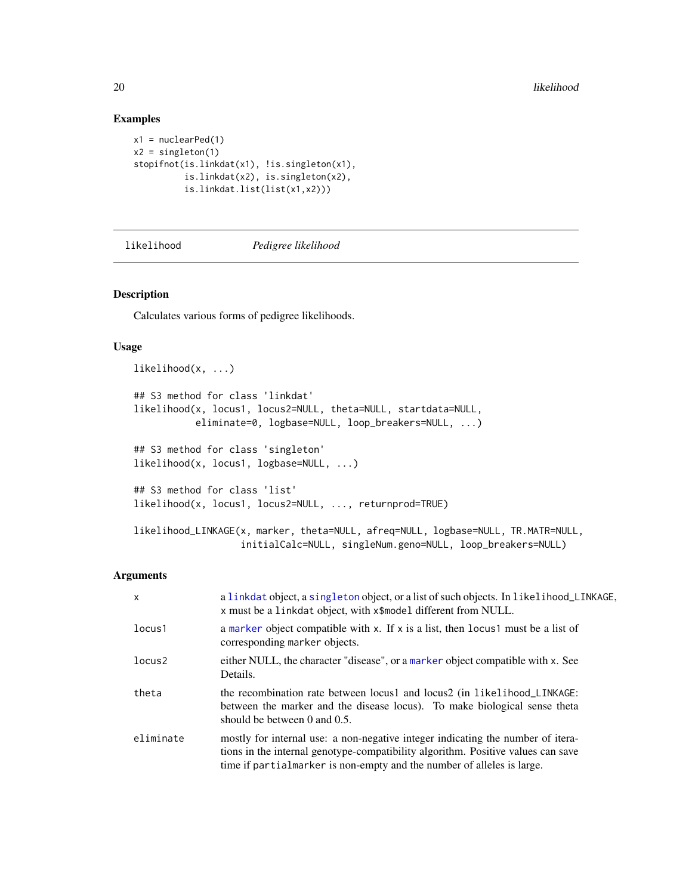#### Examples

```
x1 = nuclearPed(1)x2 = singleton(1)
stopifnot(is.linkdat(x1), !is.singleton(x1),
         is.linkdat(x2), is.singleton(x2),
         is.linkdat.list(list(x1,x2)))
```
<span id="page-19-1"></span>

likelihood *Pedigree likelihood*

#### Description

Calculates various forms of pedigree likelihoods.

### Usage

```
likelihood(x, ...)
## S3 method for class 'linkdat'
likelihood(x, locus1, locus2=NULL, theta=NULL, startdata=NULL,
           eliminate=0, logbase=NULL, loop_breakers=NULL, ...)
## S3 method for class 'singleton'
likelihood(x, locus1, logbase=NULL, ...)
## S3 method for class 'list'
likelihood(x, locus1, locus2=NULL, ..., returnprod=TRUE)
likelihood_LINKAGE(x, marker, theta=NULL, afreq=NULL, logbase=NULL, TR.MATR=NULL,
                   initialCalc=NULL, singleNum.geno=NULL, loop_breakers=NULL)
```
### Arguments

| $\mathsf{x}$ | a linkdat object, a singleton object, or a list of such objects. In likelihood_LINKAGE,<br>x must be a linkdat object, with x\$model different from NULL.                                                                                     |
|--------------|-----------------------------------------------------------------------------------------------------------------------------------------------------------------------------------------------------------------------------------------------|
| locus1       | a marker object compatible with x. If x is a list, then locus must be a list of<br>corresponding marker objects.                                                                                                                              |
| locus2       | either NULL, the character "disease", or a marker object compatible with x. See<br>Details.                                                                                                                                                   |
| theta        | the recombination rate between locus1 and locus2 (in likelihood_LINKAGE:<br>between the marker and the disease locus). To make biological sense theta<br>should be between $0$ and $0.5$ .                                                    |
| eliminate    | mostly for internal use: a non-negative integer indicating the number of itera-<br>tions in the internal genotype-compatibility algorithm. Positive values can save<br>time if partialmarker is non-empty and the number of alleles is large. |

<span id="page-19-0"></span>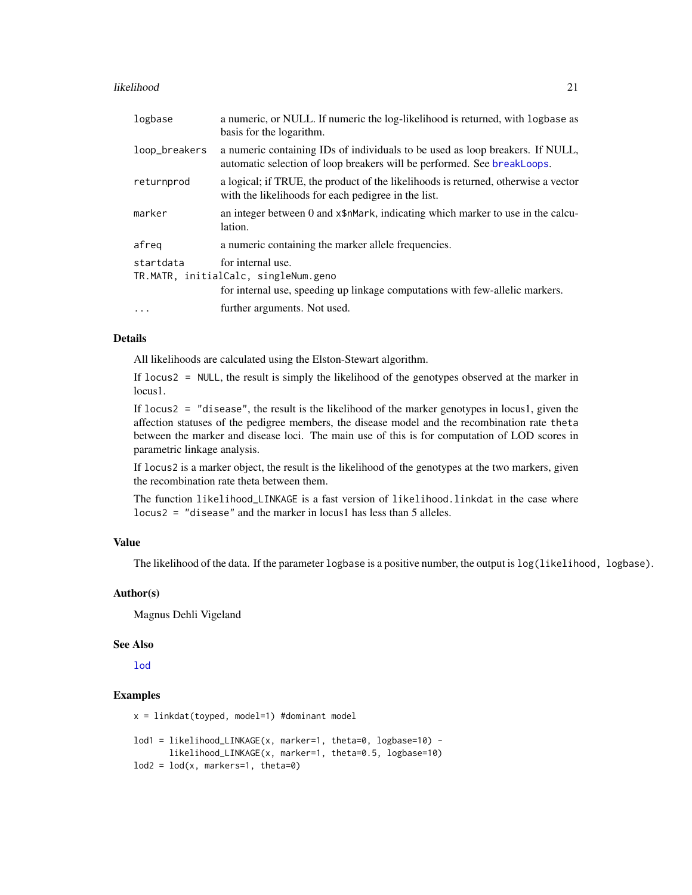#### <span id="page-20-0"></span>likelihood 21

| logbase       | a numeric, or NULL. If numeric the log-likelihood is returned, with logbase as<br>basis for the logarithm.                                               |
|---------------|----------------------------------------------------------------------------------------------------------------------------------------------------------|
| loop_breakers | a numeric containing IDs of individuals to be used as loop breakers. If NULL,<br>automatic selection of loop breakers will be performed. See breakLoops. |
| returnprod    | a logical; if TRUE, the product of the likelihoods is returned, otherwise a vector<br>with the likelihoods for each pedigree in the list.                |
| marker        | an integer between 0 and x\$nMark, indicating which marker to use in the calcu-<br>lation.                                                               |
| afreg         | a numeric containing the marker allele frequencies.                                                                                                      |
| startdata     | for internal use.<br>TR.MATR, initialCalc, singleNum.geno<br>for internal use, speeding up linkage computations with few-allelic markers.                |
| $\cdots$      | further arguments. Not used.                                                                                                                             |

### Details

All likelihoods are calculated using the Elston-Stewart algorithm.

If locus2 = NULL, the result is simply the likelihood of the genotypes observed at the marker in locus1.

If locus2 = "disease", the result is the likelihood of the marker genotypes in locus1, given the affection statuses of the pedigree members, the disease model and the recombination rate theta between the marker and disease loci. The main use of this is for computation of LOD scores in parametric linkage analysis.

If locus2 is a marker object, the result is the likelihood of the genotypes at the two markers, given the recombination rate theta between them.

The function likelihood\_LINKAGE is a fast version of likelihood.linkdat in the case where  $locus2 = "disease"$  and the marker in locus1 has less than 5 alleles.

### Value

The likelihood of the data. If the parameter logbase is a positive number, the output is  $log(likelihood, logbase)$ .

#### Author(s)

Magnus Dehli Vigeland

#### See Also

[lod](#page-31-1)

```
x = linkdat(toyped, model=1) #dominant model
lod1 = likelihood_LINKAGE(x, marker=1, theta=0, logbase=10) -
        likelihood_LINKAGE(x, marker=1, theta=0.5, logbase=10)
\text{lod2} = \text{lod}(x, \text{ markers=1}, \text{ theta=0})
```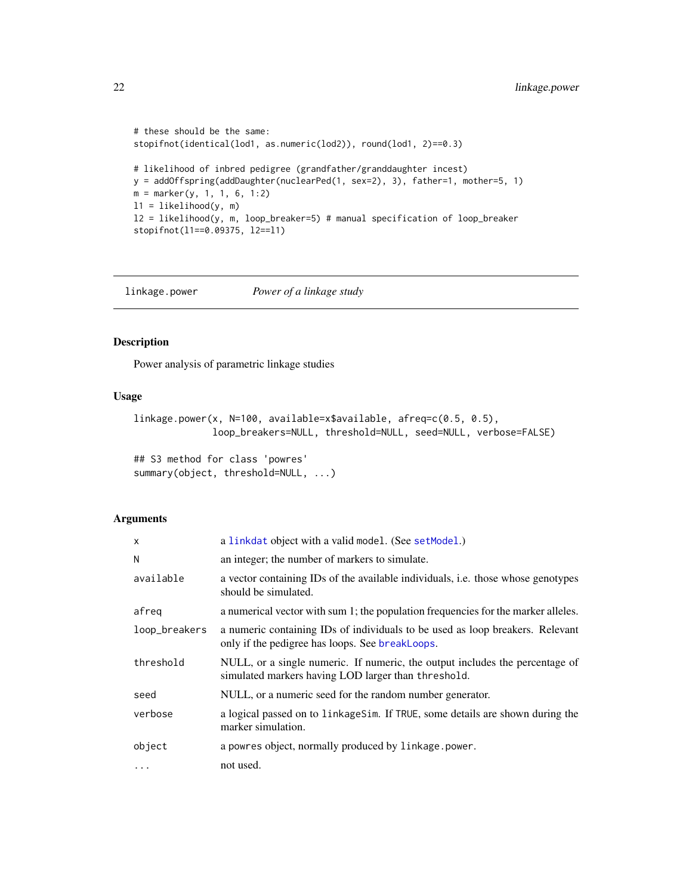```
# these should be the same:
stopifnot(identical(lod1, as.numeric(lod2)), round(lod1, 2)==0.3)
# likelihood of inbred pedigree (grandfather/granddaughter incest)
y = addOffspring(addDaughter(nuclearPed(1, sex=2), 3), father=1, mother=5, 1)
m = marker(y, 1, 1, 6, 1:2)l1 = likelihood(y, m)
l2 = likelihood(y, m, loop_breaker=5) # manual specification of loop_breaker
stopifnot(l1==0.09375, l2==l1)
```
<span id="page-21-1"></span>linkage.power *Power of a linkage study*

### Description

Power analysis of parametric linkage studies

#### Usage

```
linkage.power(x, N=100, available=x$available, afreq=c(0.5, 0.5),
              loop_breakers=NULL, threshold=NULL, seed=NULL, verbose=FALSE)
```

```
## S3 method for class 'powres'
summary(object, threshold=NULL, ...)
```
#### Arguments

| X             | a linkdat object with a valid model. (See setModel.)                                                                                |
|---------------|-------------------------------------------------------------------------------------------------------------------------------------|
| N             | an integer; the number of markers to simulate.                                                                                      |
| available     | a vector containing IDs of the available individuals, i.e. those whose genotypes<br>should be simulated.                            |
| afreg         | a numerical vector with sum 1; the population frequencies for the marker alleles.                                                   |
| loop_breakers | a numeric containing IDs of individuals to be used as loop breakers. Relevant<br>only if the pedigree has loops. See breakLoops.    |
| threshold     | NULL, or a single numeric. If numeric, the output includes the percentage of<br>simulated markers having LOD larger than threshold. |
| seed          | NULL, or a numeric seed for the random number generator.                                                                            |
| verbose       | a logical passed on to linkage Sim. If TRUE, some details are shown during the<br>marker simulation.                                |
| object        | a powres object, normally produced by linkage.power.                                                                                |
| $\cdots$      | not used.                                                                                                                           |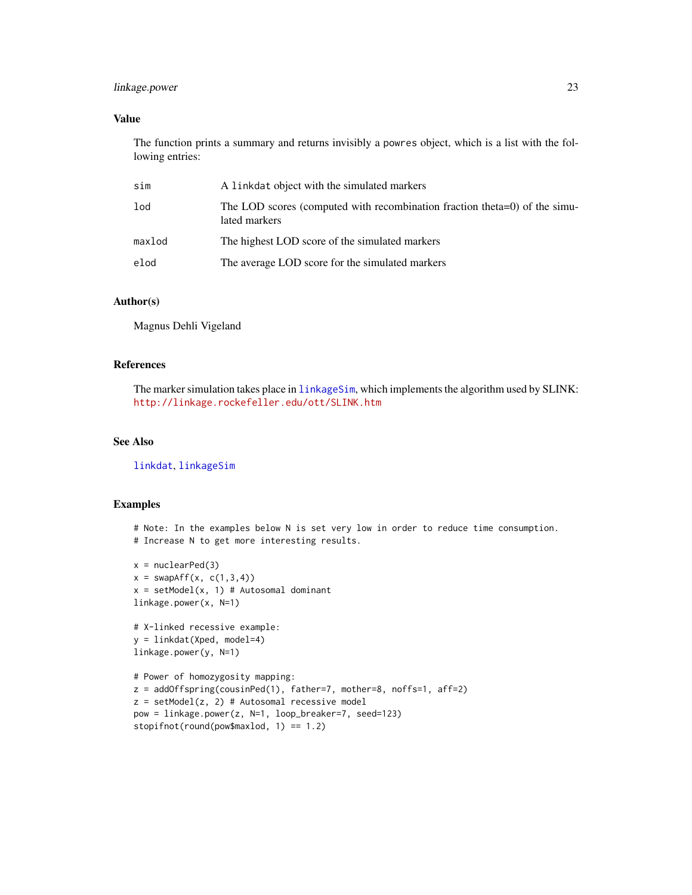### <span id="page-22-0"></span>linkage.power 23

### Value

The function prints a summary and returns invisibly a powres object, which is a list with the following entries:

| sim    | A linkdat object with the simulated markers                                                 |
|--------|---------------------------------------------------------------------------------------------|
| lod    | The LOD scores (computed with recombination fraction theta=0) of the simu-<br>lated markers |
| maxlod | The highest LOD score of the simulated markers                                              |
| elod   | The average LOD score for the simulated markers                                             |

#### Author(s)

Magnus Dehli Vigeland

### References

The marker simulation takes place in [linkageSim](#page-23-1), which implements the algorithm used by SLINK: <http://linkage.rockefeller.edu/ott/SLINK.htm>

### See Also

[linkdat](#page-24-1), [linkageSim](#page-23-1)

### Examples

# Note: In the examples below N is set very low in order to reduce time consumption. # Increase N to get more interesting results.

```
x = nuclearPed(3)x = swapAff(x, c(1,3,4))x = setModel(x, 1) # Atosomal dominantlinkage.power(x, N=1)
```

```
# X-linked recessive example:
y = linkdat(Xped, model=4)
linkage.power(y, N=1)
```

```
# Power of homozygosity mapping:
z = addOffspring(cousinPed(1), father=7, mother=8, noffs=1, aff=2)
z = setModel(z, 2) # Autosomal recessive model
pow = linkage.power(z, N=1, loop_breaker=7, seed=123)
stopifnot(round(pow$maxlod, 1) == 1.2)
```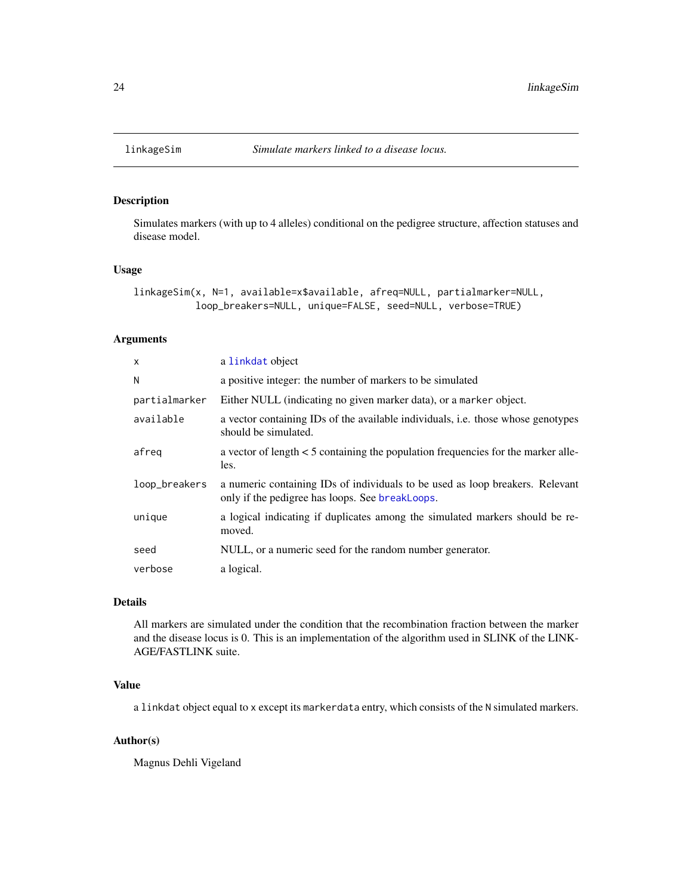<span id="page-23-1"></span><span id="page-23-0"></span>

### Description

Simulates markers (with up to 4 alleles) conditional on the pedigree structure, affection statuses and disease model.

#### Usage

```
linkageSim(x, N=1, available=x$available, afreq=NULL, partialmarker=NULL,
           loop_breakers=NULL, unique=FALSE, seed=NULL, verbose=TRUE)
```
### Arguments

| $\mathsf{x}$  | a linkdat object                                                                                                                 |
|---------------|----------------------------------------------------------------------------------------------------------------------------------|
| N             | a positive integer: the number of markers to be simulated                                                                        |
| partialmarker | Either NULL (indicating no given marker data), or a marker object.                                                               |
| available     | a vector containing IDs of the available individuals, <i>i.e.</i> those whose genotypes<br>should be simulated.                  |
| afreg         | a vector of length < 5 containing the population frequencies for the marker alle-<br>les.                                        |
| loop_breakers | a numeric containing IDs of individuals to be used as loop breakers. Relevant<br>only if the pedigree has loops. See breakLoops. |
| unique        | a logical indicating if duplicates among the simulated markers should be re-<br>moved.                                           |
| seed          | NULL, or a numeric seed for the random number generator.                                                                         |
| verbose       | a logical.                                                                                                                       |

### Details

All markers are simulated under the condition that the recombination fraction between the marker and the disease locus is 0. This is an implementation of the algorithm used in SLINK of the LINK-AGE/FASTLINK suite.

### Value

a linkdat object equal to x except its markerdata entry, which consists of the N simulated markers.

#### Author(s)

Magnus Dehli Vigeland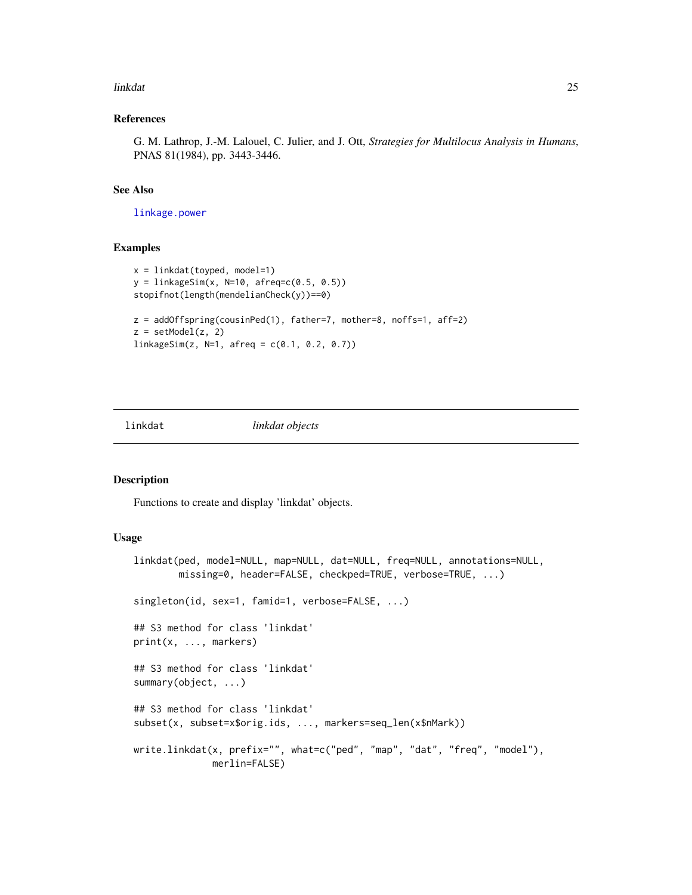#### <span id="page-24-0"></span>linkdat 25

### References

G. M. Lathrop, J.-M. Lalouel, C. Julier, and J. Ott, *Strategies for Multilocus Analysis in Humans*, PNAS 81(1984), pp. 3443-3446.

#### See Also

[linkage.power](#page-21-1)

### Examples

```
x = 1inkdat(toyped, model=1)
y = 1inkageSim(x, N=10, afreq=c(0.5, 0.5))
stopifnot(length(mendelianCheck(y))==0)
z = addOffspring(cousinPed(1), father=7, mother=8, noffs=1, aff=2)
z = setModel(z, 2)linkageSim(z, N=1, afreq = c(0.1, 0.2, 0.7))
```
<span id="page-24-1"></span>

#### linkdat *linkdat objects*

#### <span id="page-24-2"></span>Description

Functions to create and display 'linkdat' objects.

### Usage

```
linkdat(ped, model=NULL, map=NULL, dat=NULL, freq=NULL, annotations=NULL,
       missing=0, header=FALSE, checkped=TRUE, verbose=TRUE, ...)
singleton(id, sex=1, famid=1, verbose=FALSE, ...)
## S3 method for class 'linkdat'
print(x, ..., markers)
## S3 method for class 'linkdat'
summary(object, ...)
## S3 method for class 'linkdat'
subset(x, subset=x$orig.ids, ..., markers=seq_len(x$nMark))
write.linkdat(x, prefix="", what=c("ped", "map", "dat", "freq", "model"),
              merlin=FALSE)
```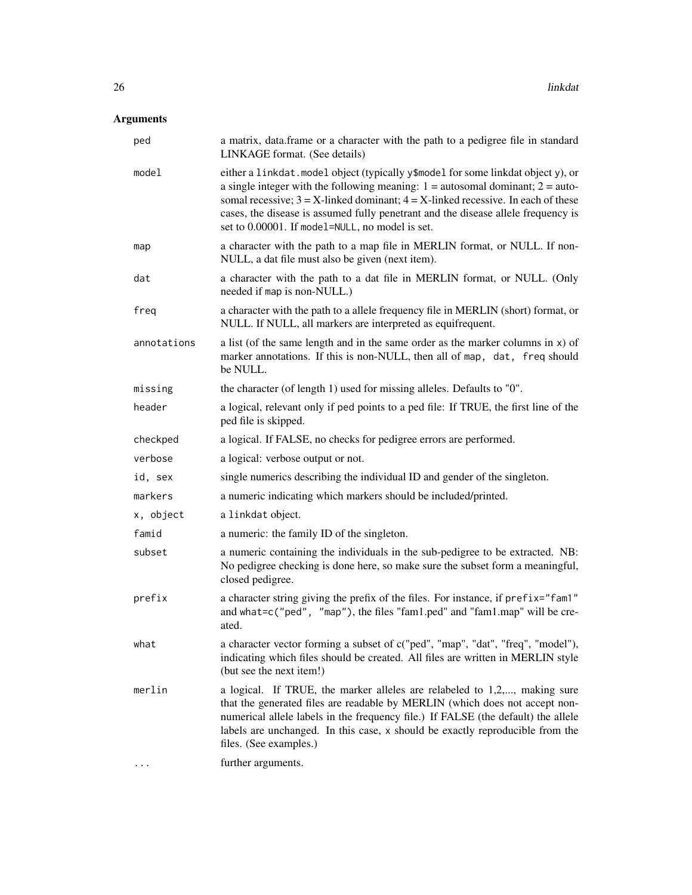### Arguments

| ped         | a matrix, data.frame or a character with the path to a pedigree file in standard<br>LINKAGE format. (See details)                                                                                                                                                                                                                                                                                         |
|-------------|-----------------------------------------------------------------------------------------------------------------------------------------------------------------------------------------------------------------------------------------------------------------------------------------------------------------------------------------------------------------------------------------------------------|
| model       | either a linkdat. model object (typically y\$model for some linkdat object y), or<br>a single integer with the following meaning: $1 =$ autosomal dominant; $2 =$ auto-<br>somal recessive; $3 = X$ -linked dominant; $4 = X$ -linked recessive. In each of these<br>cases, the disease is assumed fully penetrant and the disease allele frequency is<br>set to 0.00001. If model=NULL, no model is set. |
| map         | a character with the path to a map file in MERLIN format, or NULL. If non-<br>NULL, a dat file must also be given (next item).                                                                                                                                                                                                                                                                            |
| dat         | a character with the path to a dat file in MERLIN format, or NULL. (Only<br>needed if map is non-NULL.)                                                                                                                                                                                                                                                                                                   |
| freq        | a character with the path to a allele frequency file in MERLIN (short) format, or<br>NULL. If NULL, all markers are interpreted as equifrequent.                                                                                                                                                                                                                                                          |
| annotations | a list (of the same length and in the same order as the marker columns in $x$ ) of<br>marker annotations. If this is non-NULL, then all of map, dat, freq should<br>be NULL.                                                                                                                                                                                                                              |
| missing     | the character (of length 1) used for missing alleles. Defaults to "0".                                                                                                                                                                                                                                                                                                                                    |
| header      | a logical, relevant only if ped points to a ped file: If TRUE, the first line of the<br>ped file is skipped.                                                                                                                                                                                                                                                                                              |
| checkped    | a logical. If FALSE, no checks for pedigree errors are performed.                                                                                                                                                                                                                                                                                                                                         |
| verbose     | a logical: verbose output or not.                                                                                                                                                                                                                                                                                                                                                                         |
| id, sex     | single numerics describing the individual ID and gender of the singleton.                                                                                                                                                                                                                                                                                                                                 |
| markers     | a numeric indicating which markers should be included/printed.                                                                                                                                                                                                                                                                                                                                            |
| x, object   | a linkdat object.                                                                                                                                                                                                                                                                                                                                                                                         |
| famid       | a numeric: the family ID of the singleton.                                                                                                                                                                                                                                                                                                                                                                |
| subset      | a numeric containing the individuals in the sub-pedigree to be extracted. NB:<br>No pedigree checking is done here, so make sure the subset form a meaningful,<br>closed pedigree.                                                                                                                                                                                                                        |
| prefix      | a character string giving the prefix of the files. For instance, if prefix="fam1"<br>and what=c("ped", "map"), the files "fam1.ped" and "fam1.map" will be cre-<br>ated.                                                                                                                                                                                                                                  |
| what        | a character vector forming a subset of c("ped", "map", "dat", "freq", "model"),<br>indicating which files should be created. All files are written in MERLIN style<br>(but see the next item!)                                                                                                                                                                                                            |
| merlin      | a logical. If TRUE, the marker alleles are relabeled to 1,2,, making sure<br>that the generated files are readable by MERLIN (which does not accept non-<br>numerical allele labels in the frequency file.) If FALSE (the default) the allele<br>labels are unchanged. In this case, x should be exactly reproducible from the<br>files. (See examples.)                                                  |
|             | further arguments.                                                                                                                                                                                                                                                                                                                                                                                        |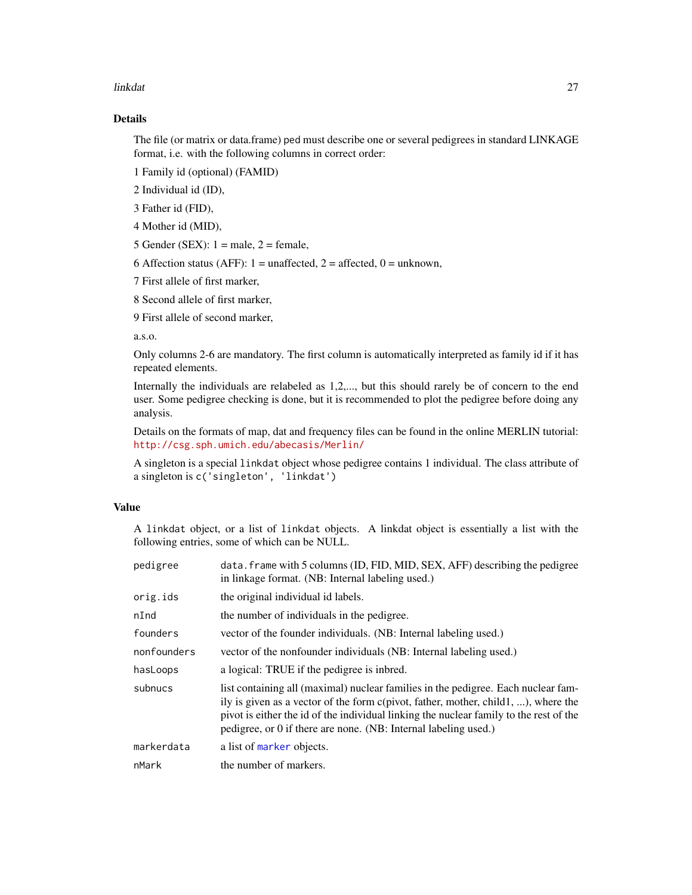#### <span id="page-26-0"></span>linkdat 27

### Details

The file (or matrix or data.frame) ped must describe one or several pedigrees in standard LINKAGE format, i.e. with the following columns in correct order:

1 Family id (optional) (FAMID)

2 Individual id (ID),

3 Father id (FID),

4 Mother id (MID),

5 Gender (SEX):  $1 =$  male,  $2 =$  female,

6 Affection status (AFF):  $1 =$  unaffected,  $2 =$  affected,  $0 =$  unknown,

7 First allele of first marker,

8 Second allele of first marker,

9 First allele of second marker,

a.s.o.

Only columns 2-6 are mandatory. The first column is automatically interpreted as family id if it has repeated elements.

Internally the individuals are relabeled as 1,2,..., but this should rarely be of concern to the end user. Some pedigree checking is done, but it is recommended to plot the pedigree before doing any analysis.

Details on the formats of map, dat and frequency files can be found in the online MERLIN tutorial: <http://csg.sph.umich.edu/abecasis/Merlin/>

A singleton is a special linkdat object whose pedigree contains 1 individual. The class attribute of a singleton is c('singleton', 'linkdat')

### Value

A linkdat object, or a list of linkdat objects. A linkdat object is essentially a list with the following entries, some of which can be NULL.

| pedigree    | data. frame with 5 columns (ID, FID, MID, SEX, AFF) describing the pedigree<br>in linkage format. (NB: Internal labeling used.)                                                                                                                                                                                                      |
|-------------|--------------------------------------------------------------------------------------------------------------------------------------------------------------------------------------------------------------------------------------------------------------------------------------------------------------------------------------|
| orig.ids    | the original individual id labels.                                                                                                                                                                                                                                                                                                   |
| nInd        | the number of individuals in the pedigree.                                                                                                                                                                                                                                                                                           |
| founders    | vector of the founder individuals. (NB: Internal labeling used.)                                                                                                                                                                                                                                                                     |
| nonfounders | vector of the nonfounder individuals (NB: Internal labeling used.)                                                                                                                                                                                                                                                                   |
| hasLoops    | a logical: TRUE if the pedigree is inbred.                                                                                                                                                                                                                                                                                           |
| subnucs     | list containing all (maximal) nuclear families in the pedigree. Each nuclear fam-<br>ily is given as a vector of the form c(pivot, father, mother, child1, ), where the<br>pivot is either the id of the individual linking the nuclear family to the rest of the<br>pedigree, or 0 if there are none. (NB: Internal labeling used.) |
| markerdata  | a list of marker objects.                                                                                                                                                                                                                                                                                                            |
| nMark       | the number of markers.                                                                                                                                                                                                                                                                                                               |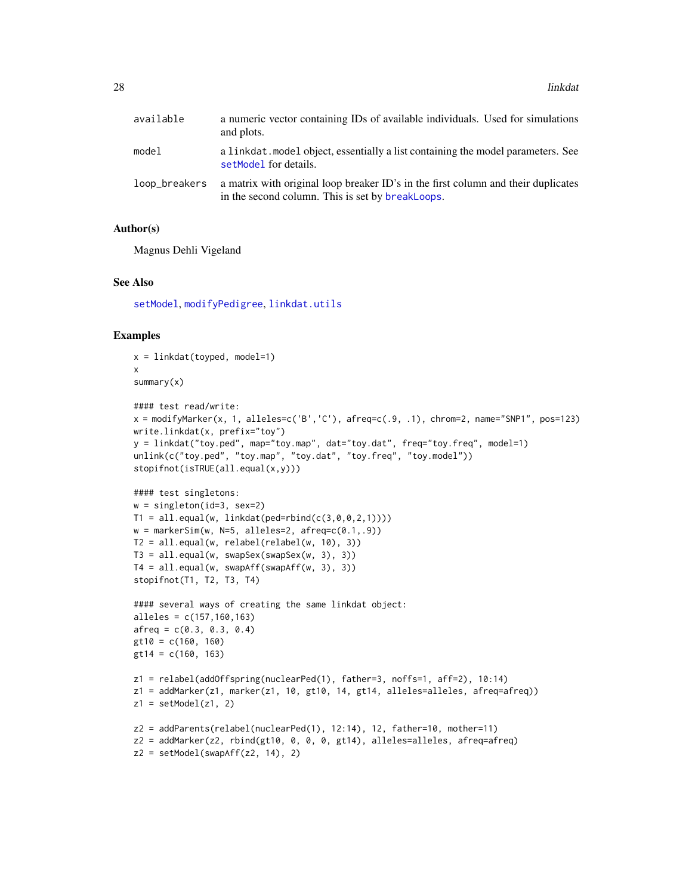<span id="page-27-0"></span>

| available     | a numeric vector containing IDs of available individuals. Used for simulations<br>and plots.                                          |
|---------------|---------------------------------------------------------------------------------------------------------------------------------------|
| model         | a linkdat. model object, essentially a list containing the model parameters. See<br>setModel for details.                             |
| loop_breakers | a matrix with original loop breaker ID's in the first column and their duplicates<br>in the second column. This is set by breakLoops. |

### Author(s)

Magnus Dehli Vigeland

#### See Also

[setModel](#page-56-1), [modifyPedigree](#page-43-2), [linkdat.utils](#page-28-1)

```
x = linkdat(toyped, model=1)
x
summary(x)
#### test read/write:
x = \text{modifyMarker}(x, 1, \text{ alleles}=c('B', 'C'), \text{afreq}=c(.9, .1), \text{chrom=2, name="SNP1", pos=123})write.linkdat(x, prefix="toy")
y = linkdat("toy.ped", map="toy.map", dat="toy.dat", freq="toy.freq", model=1)
unlink(c("toy.ped", "toy.map", "toy.dat", "toy.freq", "toy.model"))
stopifnot(isTRUE(all.equal(x,y)))
#### test singletons:
w = singleton(id=3, sex=2)
T1 = all.equals(w, linkdat(ped=rbind(c(3, 0, 0, 2, 1))))w = markerSim(w, N=5, alleles=2, afreq=c(0.1,.9))
T2 = all.equals(w, relabel(relabel(w, 10), 3))T3 = all.equal(w, swapSex(swapSex(w, 3), 3))
T4 = all.equals(w, swapAff(swapAff(w, 3), 3))stopifnot(T1, T2, T3, T4)
#### several ways of creating the same linkdat object:
alleles = c(157,160,163)
afreq = c(0.3, 0.3, 0.4)gt10 = c(160, 160)
gt14 = c(160, 163)
z1 = relabel(addOffspring(nuclearPed(1), father=3, noffs=1, aff=2), 10:14)
z1 = addMarket(z1, market(z1, 10, gt10, 14, gt14, alleless=alleles, afreq=afreq))z1 = setModel(z1, 2)z2 = addParents(relabel(nuclearPed(1), 12:14), 12, father=10, mother=11)z2 = addMarker(z2, rbind(gt10, 0, 0, 0, gt14), alleles=alleles, afreq=afreq)
z2 = setModel(swapAff(z2, 14), 2)
```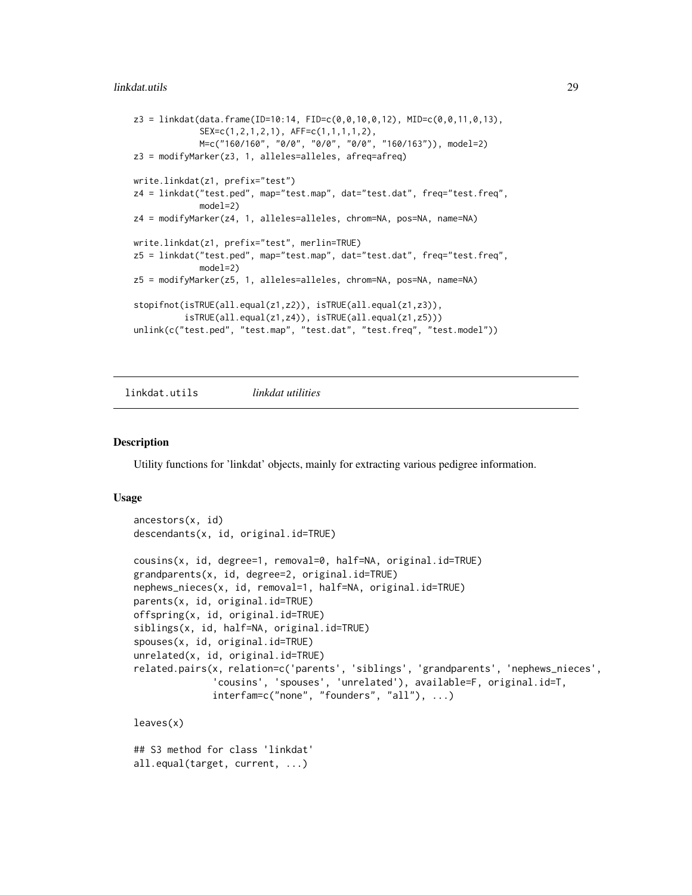<span id="page-28-0"></span>linkdat.utils 29

```
z3 = 1inkdat(data.frame(ID=10:14, FID=c(0,0,10,0,12), MID=c(0,0,11,0,13),
             SEX=c(1,2,1,2,1), AFF=c(1,1,1,1,2),
             M=c("160/160", "0/0", "0/0", "0/0", "160/163")), model=2)
z3 = modifyMarker(z3, 1, alleles=alleles, afreq=afreq)
write.linkdat(z1, prefix="test")
z4 = linkdat("test.ped", map="test.map", dat="test.dat", freq="test.freq",
             model=2)
z4 = modifyMarker(z4, 1, alleles=alleles, chrom=NA, pos=NA, name=NA)
write.linkdat(z1, prefix="test", merlin=TRUE)
z5 = linkdat("test.ped", map="test.map", dat="test.dat", freq="test.freq",
             model=2)
z5 = modifyMarker(z5, 1, alleles=alleles, chrom=NA, pos=NA, name=NA)
stopifnot(isTRUE(all.equal(z1,z2)), isTRUE(all.equal(z1,z3)),
          isTRUE(all.equal(z1,z4)), isTRUE(all.equal(z1,z5)))
unlink(c("test.ped", "test.map", "test.dat", "test.freq", "test.model"))
```
<span id="page-28-1"></span>linkdat.utils *linkdat utilities*

### **Description**

Utility functions for 'linkdat' objects, mainly for extracting various pedigree information.

#### Usage

```
ancestors(x, id)
descendants(x, id, original.id=TRUE)
cousins(x, id, degree=1, removal=0, half=NA, original.id=TRUE)
grandparents(x, id, degree=2, original.id=TRUE)
nephews_nieces(x, id, removal=1, half=NA, original.id=TRUE)
parents(x, id, original.id=TRUE)
offspring(x, id, original.id=TRUE)
siblings(x, id, half=NA, original.id=TRUE)
spouses(x, id, original.id=TRUE)
unrelated(x, id, original.id=TRUE)
related.pairs(x, relation=c('parents', 'siblings', 'grandparents', 'nephews_nieces',
              'cousins', 'spouses', 'unrelated'), available=F, original.id=T,
              interfam=c("none", "founders", "all"), ...)
leaves(x)
## S3 method for class 'linkdat'
all.equal(target, current, ...)
```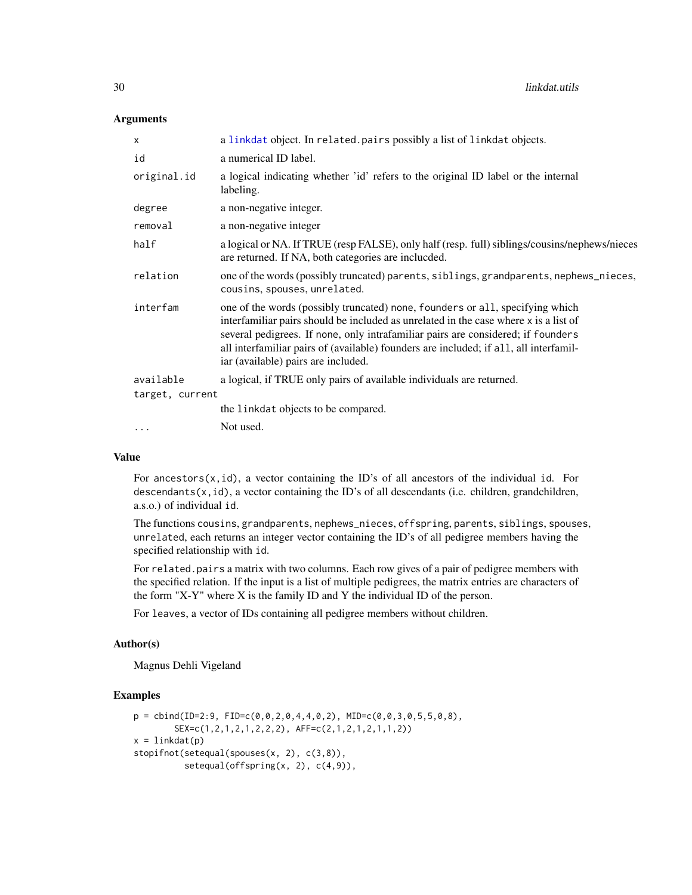#### <span id="page-29-0"></span>**Arguments**

| a linkdat object. In related pairs possibly a list of linkdat objects.                                                                                                                                                                                                                                                                                                                    |
|-------------------------------------------------------------------------------------------------------------------------------------------------------------------------------------------------------------------------------------------------------------------------------------------------------------------------------------------------------------------------------------------|
| a numerical ID label.                                                                                                                                                                                                                                                                                                                                                                     |
| a logical indicating whether 'id' refers to the original ID label or the internal<br>labeling.                                                                                                                                                                                                                                                                                            |
| a non-negative integer.                                                                                                                                                                                                                                                                                                                                                                   |
| a non-negative integer                                                                                                                                                                                                                                                                                                                                                                    |
| a logical or NA. If TRUE (resp FALSE), only half (resp. full) siblings/cousins/nephews/nieces<br>are returned. If NA, both categories are inclucded.                                                                                                                                                                                                                                      |
| one of the words (possibly truncated) parents, siblings, grandparents, nephews_nieces,<br>cousins, spouses, unrelated.                                                                                                                                                                                                                                                                    |
| one of the words (possibly truncated) none, founders or all, specifying which<br>interfamiliar pairs should be included as unrelated in the case where x is a list of<br>several pedigrees. If none, only intrafamiliar pairs are considered; if founders<br>all interfamiliar pairs of (available) founders are included; if all, all interfamil-<br>iar (available) pairs are included. |
| a logical, if TRUE only pairs of available individuals are returned.                                                                                                                                                                                                                                                                                                                      |
| target, current                                                                                                                                                                                                                                                                                                                                                                           |
| the linkdat objects to be compared.                                                                                                                                                                                                                                                                                                                                                       |
| Not used.                                                                                                                                                                                                                                                                                                                                                                                 |
|                                                                                                                                                                                                                                                                                                                                                                                           |

### Value

For ancestors( $x$ , id), a vector containing the ID's of all ancestors of the individual id. For descendants(x,id), a vector containing the ID's of all descendants (i.e. children, grandchildren, a.s.o.) of individual id.

The functions cousins, grandparents, nephews\_nieces, offspring, parents, siblings, spouses, unrelated, each returns an integer vector containing the ID's of all pedigree members having the specified relationship with id.

For related.pairs a matrix with two columns. Each row gives of a pair of pedigree members with the specified relation. If the input is a list of multiple pedigrees, the matrix entries are characters of the form "X-Y" where X is the family ID and Y the individual ID of the person.

For leaves, a vector of IDs containing all pedigree members without children.

### Author(s)

Magnus Dehli Vigeland

```
p = \text{cbind(ID=2:9, FID=c(0,0,2,0,4,4,0,2), MID=c(0,0,3,0,5,5,0,8),SEX=c(1,2,1,2,1,2,2,2), AFF=c(2,1,2,1,2,1,1,2))
x = 1inkdat(p)
stopifnot(setequal(spouses(x, 2), c(3,8)),
          setequal(offspring(x, 2), c(4,9)),
```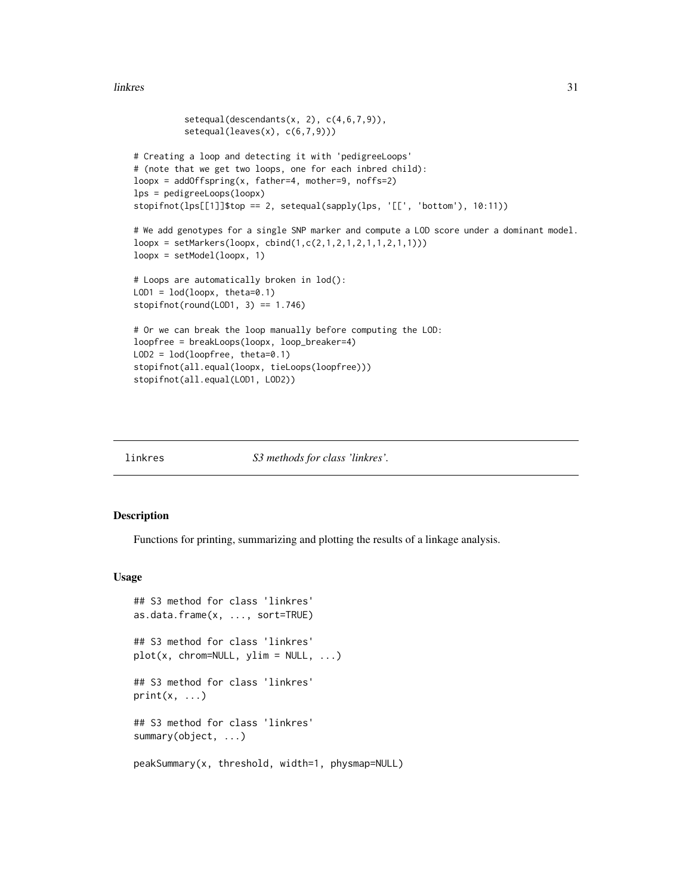#### <span id="page-30-0"></span>linkres 31

```
setequal(descendants(x, 2), c(4,6,7,9)),setequal(leaves(x), c(6,7,9)))
# Creating a loop and detecting it with 'pedigreeLoops'
# (note that we get two loops, one for each inbred child):
loopx = addOffspring(x, father=4, mother=9, noffs=2)lps = pedigreeLoops(loopx)
stopifnot(lps[[1]]$top == 2, setequal(sapply(lps, '[[', 'bottom'), 10:11))
# We add genotypes for a single SNP marker and compute a LOD score under a dominant model.
loopx = setMarkers(loopx, cbind(1,c(2,1,2,1,2,1,1,2,1,1)))
loopx = setModel(loopx, 1)
# Loops are automatically broken in lod():
LOD1 = lod(logpx, theta=0.1)stopifnot(rownd(LOD1, 3) == 1.746)# Or we can break the loop manually before computing the LOD:
loopfree = breakLoops(loopx, loop_breaker=4)
LOD2 = lod(loopfree, theta=0.1)
stopifnot(all.equal(loopx, tieLoops(loopfree)))
stopifnot(all.equal(LOD1, LOD2))
```
<span id="page-30-1"></span>

linkres *S3 methods for class 'linkres'.*

#### <span id="page-30-2"></span>Description

Functions for printing, summarizing and plotting the results of a linkage analysis.

#### Usage

```
## S3 method for class 'linkres'
as.data.frame(x, ..., sort=TRUE)
## S3 method for class 'linkres'
plot(x, chrom=NULL, ylim = NULL, ...)## S3 method for class 'linkres'
print(x, \ldots)## S3 method for class 'linkres'
summary(object, ...)
peakSummary(x, threshold, width=1, physmap=NULL)
```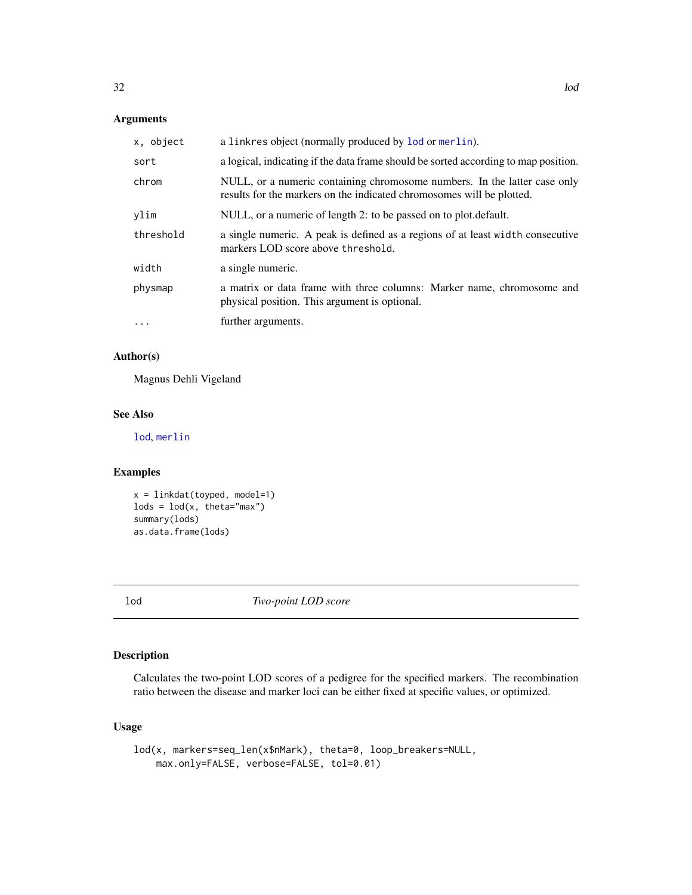### <span id="page-31-0"></span>Arguments

| x, object | a linkres object (normally produced by lod or merlin).                                                                                             |
|-----------|----------------------------------------------------------------------------------------------------------------------------------------------------|
| sort      | a logical, indicating if the data frame should be sorted according to map position.                                                                |
| chrom     | NULL, or a numeric containing chromosome numbers. In the latter case only<br>results for the markers on the indicated chromosomes will be plotted. |
| vlim      | NULL, or a numeric of length 2: to be passed on to plot. default.                                                                                  |
| threshold | a single numeric. A peak is defined as a regions of at least width consecutive<br>markers LOD score above threshold.                               |
| width     | a single numeric.                                                                                                                                  |
| physmap   | a matrix or data frame with three columns: Marker name, chromosome and<br>physical position. This argument is optional.                            |
| .         | further arguments.                                                                                                                                 |

### Author(s)

Magnus Dehli Vigeland

### See Also

[lod](#page-31-1), [merlin](#page-41-1)

### Examples

```
x = linkdat(toyped, model=1)
\text{lods} = \text{lod}(x, \text{ theta} = "max")summary(lods)
as.data.frame(lods)
```
<span id="page-31-1"></span>lod *Two-point LOD score*

### Description

Calculates the two-point LOD scores of a pedigree for the specified markers. The recombination ratio between the disease and marker loci can be either fixed at specific values, or optimized.

### Usage

```
lod(x, markers=seq_len(x$nMark), theta=0, loop_breakers=NULL,
   max.only=FALSE, verbose=FALSE, tol=0.01)
```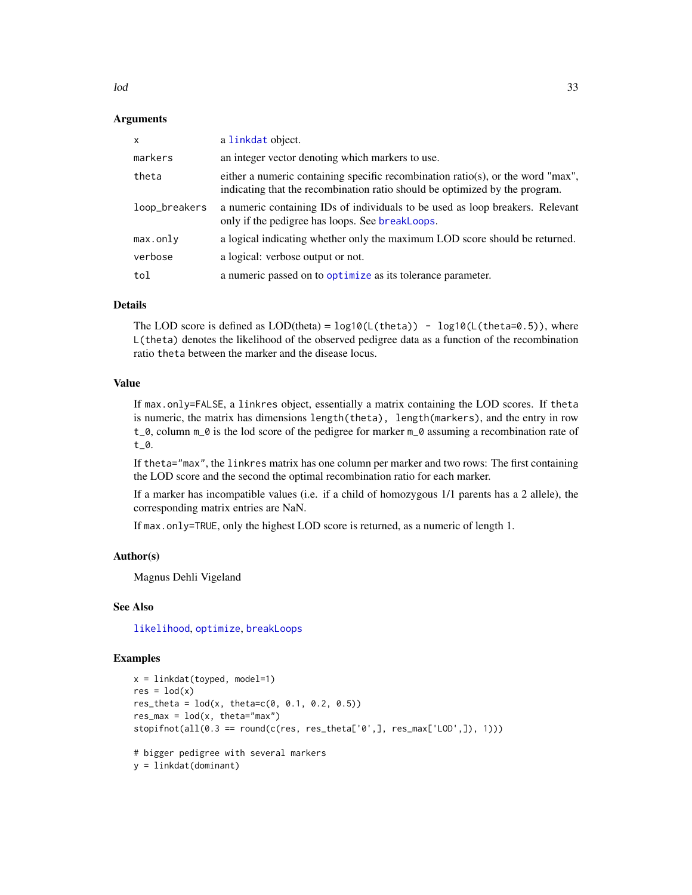<span id="page-32-0"></span> $\log$  33

#### Arguments

| $\mathsf{x}$  | a linkdat object.                                                                                                                                              |
|---------------|----------------------------------------------------------------------------------------------------------------------------------------------------------------|
| markers       | an integer vector denoting which markers to use.                                                                                                               |
| theta         | either a numeric containing specific recombination ratio(s), or the word "max",<br>indicating that the recombination ratio should be optimized by the program. |
| loop_breakers | a numeric containing IDs of individuals to be used as loop breakers. Relevant<br>only if the pedigree has loops. See breakLoops.                               |
| max.only      | a logical indicating whether only the maximum LOD score should be returned.                                                                                    |
| verbose       | a logical: verbose output or not.                                                                                                                              |
| tol           | a numeric passed on to optimize as its tolerance parameter.                                                                                                    |

### Details

The LOD score is defined as  $LOD(thetaa) = log10(L(theta)) - log10(L(theta=0.5))$ , where L(theta) denotes the likelihood of the observed pedigree data as a function of the recombination ratio theta between the marker and the disease locus.

### Value

If max.only=FALSE, a linkres object, essentially a matrix containing the LOD scores. If theta is numeric, the matrix has dimensions length(theta), length(markers), and the entry in row  $t_0$ , column  $m_0$  is the lod score of the pedigree for marker  $m_0$  assuming a recombination rate of t\_0.

If theta="max", the linkres matrix has one column per marker and two rows: The first containing the LOD score and the second the optimal recombination ratio for each marker.

If a marker has incompatible values (i.e. if a child of homozygous 1/1 parents has a 2 allele), the corresponding matrix entries are NaN.

If max.only=TRUE, only the highest LOD score is returned, as a numeric of length 1.

#### Author(s)

Magnus Dehli Vigeland

#### See Also

[likelihood](#page-19-1), [optimize](#page-0-0), [breakLoops](#page-34-1)

```
x = linkdat(toyped, model=1)
res = lod(x)res_{\text{t}} = lod(x, \text{t}}) = rc(0, 0.1, 0.2, 0.5)res\_max = lod(x, theta='max")stopifnot(all(0.3 == round(c(res, res_theta['0',], res_max['LOD',]), 1)))# bigger pedigree with several markers
y = linkdat(dominant)
```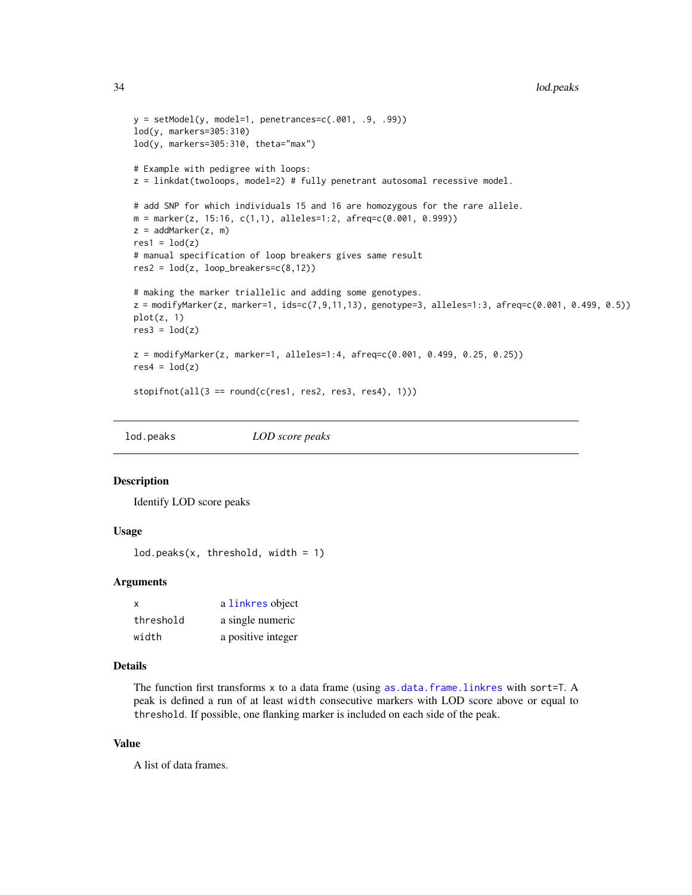```
y = setModel(y, model=1, penetrances=c(.001, .9, .99))lod(y, markers=305:310)
lod(y, markers=305:310, theta="max")
# Example with pedigree with loops:
z = linkdat(twoloops, model=2) # fully penetrant autosomal recessive model.
# add SNP for which individuals 15 and 16 are homozygous for the rare allele.
m = marker(z, 15:16, c(1,1), alleles=1:2, afreq=c(0.001, 0.999))z = addMarket(z, m)res1 = lod(z)# manual specification of loop breakers gives same result
res2 = lod(z, loop_breakers=c(8,12))# making the marker triallelic and adding some genotypes.
z = modifyMarker(z, marker=1, ids=c(7,9,11,13), genotype=3, alleles=1:3, afreq=c(0.001, 0.499, 0.5))
plot(z, 1)
res3 = lod(z)z = modifyMarker(z, marker=1, alleles=1:4, afreq=c(0.001, 0.499, 0.25, 0.25))
res4 = lod(z)stopifnot(all(3 == round(c(res1, res2, res3, res4), 1)))
```
lod.peaks *LOD score peaks*

#### Description

Identify LOD score peaks

### Usage

```
lod.peaks(x, threshold, width = 1)
```
#### Arguments

| x         | a linkres object   |
|-----------|--------------------|
| threshold | a single numeric   |
| width     | a positive integer |

### Details

The function first transforms x to a data frame (using [as.data.frame.linkres](#page-30-2) with sort=T. A peak is defined a run of at least width consecutive markers with LOD score above or equal to threshold. If possible, one flanking marker is included on each side of the peak.

#### Value

A list of data frames.

<span id="page-33-0"></span>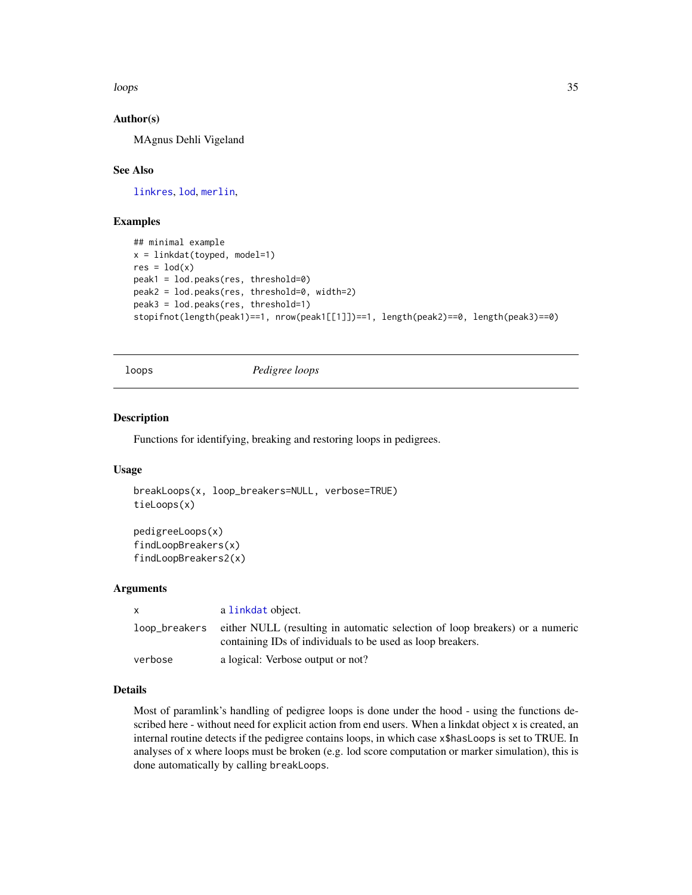<span id="page-34-0"></span>loops 35

### Author(s)

MAgnus Dehli Vigeland

#### See Also

[linkres](#page-30-1), [lod](#page-31-1), [merlin](#page-41-1),

### Examples

```
## minimal example
x = linkdat(toyped, model=1)
res = lod(x)peak1 = lod.peaks(res, threshold=0)
peak2 = lod.peaks(res, threshold=0, width=2)
peak3 = lod.peaks(res, threshold=1)
stopifnot(length(peak1)==1, nrow(peak1[[1]])==1, length(peak2)==0, length(peak3)==0)
```
loops *Pedigree loops*

### <span id="page-34-1"></span>Description

Functions for identifying, breaking and restoring loops in pedigrees.

#### Usage

```
breakLoops(x, loop_breakers=NULL, verbose=TRUE)
tieLoops(x)
```
pedigreeLoops(x) findLoopBreakers(x) findLoopBreakers2(x)

### Arguments

| X             | a linkdat object.                                                                                                                          |
|---------------|--------------------------------------------------------------------------------------------------------------------------------------------|
| loop_breakers | either NULL (resulting in automatic selection of loop breakers) or a numeric<br>containing IDs of individuals to be used as loop breakers. |
| verbose       | a logical: Verbose output or not?                                                                                                          |

### Details

Most of paramlink's handling of pedigree loops is done under the hood - using the functions described here - without need for explicit action from end users. When a linkdat object x is created, an internal routine detects if the pedigree contains loops, in which case x\$hasLoops is set to TRUE. In analyses of x where loops must be broken (e.g. lod score computation or marker simulation), this is done automatically by calling breakLoops.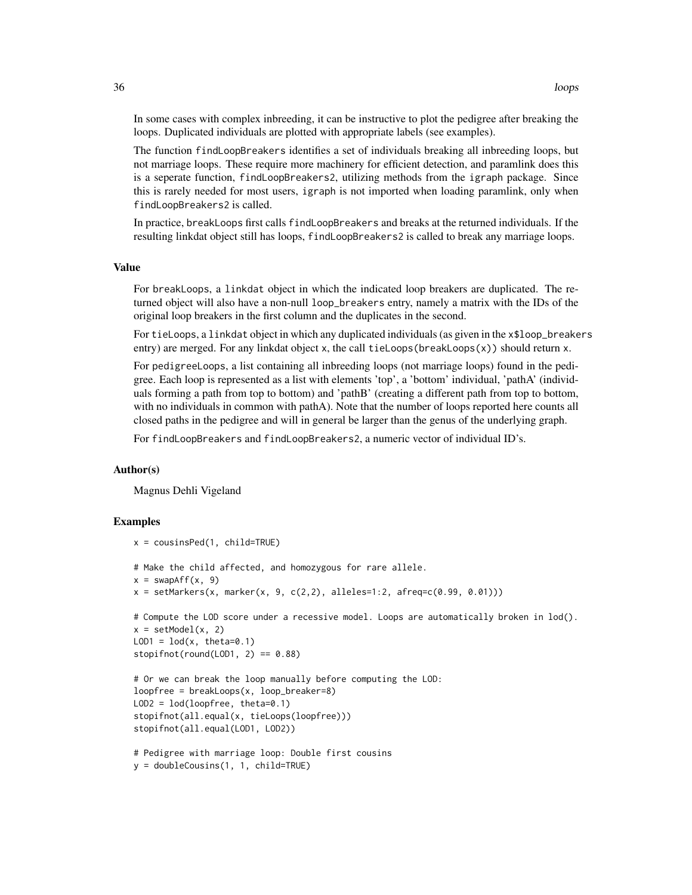In some cases with complex inbreeding, it can be instructive to plot the pedigree after breaking the loops. Duplicated individuals are plotted with appropriate labels (see examples).

The function findLoopBreakers identifies a set of individuals breaking all inbreeding loops, but not marriage loops. These require more machinery for efficient detection, and paramlink does this is a seperate function, findLoopBreakers2, utilizing methods from the igraph package. Since this is rarely needed for most users, igraph is not imported when loading paramlink, only when findLoopBreakers2 is called.

In practice, breakLoops first calls findLoopBreakers and breaks at the returned individuals. If the resulting linkdat object still has loops, findLoopBreakers2 is called to break any marriage loops.

#### Value

For breakLoops, a linkdat object in which the indicated loop breakers are duplicated. The returned object will also have a non-null loop\_breakers entry, namely a matrix with the IDs of the original loop breakers in the first column and the duplicates in the second.

For tieLoops, a linkdat object in which any duplicated individuals (as given in the x\$loop\_breakers entry) are merged. For any linkdat object x, the call tieLoops(breakLoops(x)) should return x.

For pedigreeLoops, a list containing all inbreeding loops (not marriage loops) found in the pedigree. Each loop is represented as a list with elements 'top', a 'bottom' individual, 'pathA' (individuals forming a path from top to bottom) and 'pathB' (creating a different path from top to bottom, with no individuals in common with pathA). Note that the number of loops reported here counts all closed paths in the pedigree and will in general be larger than the genus of the underlying graph.

For findLoopBreakers and findLoopBreakers2, a numeric vector of individual ID's.

#### Author(s)

Magnus Dehli Vigeland

```
x = \text{cousinsPed}(1, \text{child=True})# Make the child affected, and homozygous for rare allele.
x = swapAff(x, 9)x = setMarkers(x, marker(x, 9, c(2,2), alleles=1:2, afreq=c(0.99, 0.01)))# Compute the LOD score under a recessive model. Loops are automatically broken in lod().
x = setModel(x, 2)LOD1 = \text{lod}(x, \text{theta=0.1})stopifnot(round(LOD1, 2) == 0.88)
# Or we can break the loop manually before computing the LOD:
loopfree = breakLoops(x, loop_breaker=8)
LOD2 = lod(loopfree, theta=0.1)
stopifnot(all.equal(x, tieLoops(loopfree)))
stopifnot(all.equal(LOD1, LOD2))
```

```
# Pedigree with marriage loop: Double first cousins
y = doubleCousins(1, 1, child=TRUE)
```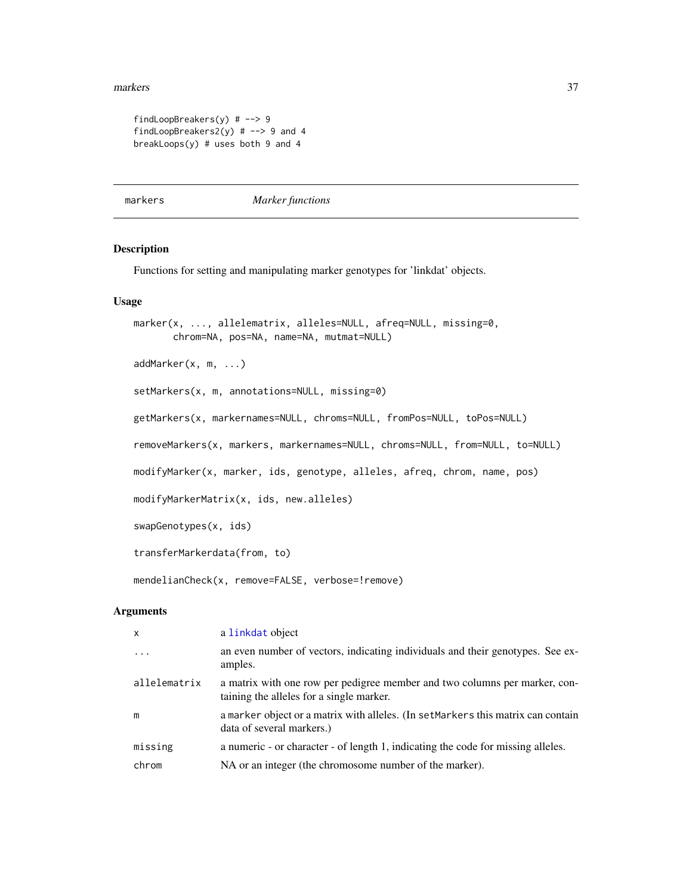#### <span id="page-36-0"></span>markers 37

```
findLoopBreakers(y) # --> 9
findLoopBreakers2(y) # --> 9 and 4
breakLoops(y) # uses both 9 and 4
```
markers *Marker functions*

### <span id="page-36-1"></span>Description

Functions for setting and manipulating marker genotypes for 'linkdat' objects.

#### Usage

```
marker(x, ..., allelematrix, alleles=NULL, afreq=NULL, missing=0,
       chrom=NA, pos=NA, name=NA, mutmat=NULL)
addMarker(x, m, ...)
setMarkers(x, m, annotations=NULL, missing=0)
getMarkers(x, markernames=NULL, chroms=NULL, fromPos=NULL, toPos=NULL)
removeMarkers(x, markers, markernames=NULL, chroms=NULL, from=NULL, to=NULL)
modifyMarker(x, marker, ids, genotype, alleles, afreq, chrom, name, pos)
modifyMarkerMatrix(x, ids, new.alleles)
swapGenotypes(x, ids)
transferMarkerdata(from, to)
mendelianCheck(x, remove=FALSE, verbose=!remove)
```
#### Arguments

| X            | a linkdat object                                                                                                       |
|--------------|------------------------------------------------------------------------------------------------------------------------|
| $\ddots$ .   | an even number of vectors, indicating individuals and their genotypes. See ex-<br>amples.                              |
| allelematrix | a matrix with one row per pedigree member and two columns per marker, con-<br>taining the alleles for a single marker. |
| m            | a marker object or a matrix with alleles. (In set Markers this matrix can contain<br>data of several markers.)         |
| missing      | a numeric - or character - of length 1, indicating the code for missing alleles.                                       |
| chrom        | NA or an integer (the chromosome number of the marker).                                                                |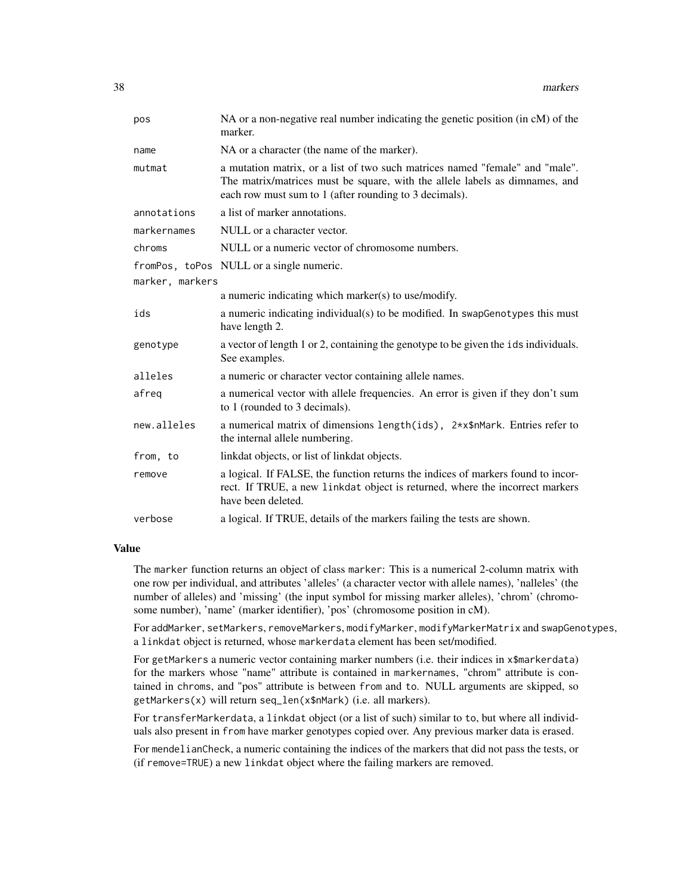| pos             | NA or a non-negative real number indicating the genetic position (in cM) of the<br>marker.                                                                                                                            |
|-----------------|-----------------------------------------------------------------------------------------------------------------------------------------------------------------------------------------------------------------------|
| name            | NA or a character (the name of the marker).                                                                                                                                                                           |
| mutmat          | a mutation matrix, or a list of two such matrices named "female" and "male".<br>The matrix/matrices must be square, with the allele labels as dimnames, and<br>each row must sum to 1 (after rounding to 3 decimals). |
| annotations     | a list of marker annotations.                                                                                                                                                                                         |
| markernames     | NULL or a character vector.                                                                                                                                                                                           |
| chroms          | NULL or a numeric vector of chromosome numbers.                                                                                                                                                                       |
|                 | from Pos, to Pos NULL or a single numeric.                                                                                                                                                                            |
| marker, markers |                                                                                                                                                                                                                       |
|                 | a numeric indicating which marker(s) to use/modify.                                                                                                                                                                   |
| ids             | a numeric indicating individual(s) to be modified. In swapGenotypes this must<br>have length 2.                                                                                                                       |
| genotype        | a vector of length 1 or 2, containing the genotype to be given the ids individuals.<br>See examples.                                                                                                                  |
| alleles         | a numeric or character vector containing allele names.                                                                                                                                                                |
| afreg           | a numerical vector with allele frequencies. An error is given if they don't sum<br>to 1 (rounded to 3 decimals).                                                                                                      |
| new.alleles     | a numerical matrix of dimensions length(ids), $2 \times x \cdot \text{Mark}$ . Entries refer to<br>the internal allele numbering.                                                                                     |
| from, to        | linkdat objects, or list of linkdat objects.                                                                                                                                                                          |
| remove          | a logical. If FALSE, the function returns the indices of markers found to incor-<br>rect. If TRUE, a new linkdat object is returned, where the incorrect markers<br>have been deleted.                                |
| verbose         | a logical. If TRUE, details of the markers failing the tests are shown.                                                                                                                                               |

#### Value

The marker function returns an object of class marker: This is a numerical 2-column matrix with one row per individual, and attributes 'alleles' (a character vector with allele names), 'nalleles' (the number of alleles) and 'missing' (the input symbol for missing marker alleles), 'chrom' (chromosome number), 'name' (marker identifier), 'pos' (chromosome position in cM).

For addMarker, setMarkers, removeMarkers, modifyMarker, modifyMarkerMatrix and swapGenotypes, a linkdat object is returned, whose markerdata element has been set/modified.

For getMarkers a numeric vector containing marker numbers (i.e. their indices in x\$markerdata) for the markers whose "name" attribute is contained in markernames, "chrom" attribute is contained in chroms, and "pos" attribute is between from and to. NULL arguments are skipped, so getMarkers(x) will return seq\_len(x\$nMark) (i.e. all markers).

For transferMarkerdata, a linkdat object (or a list of such) similar to to, but where all individuals also present in from have marker genotypes copied over. Any previous marker data is erased.

For mendelianCheck, a numeric containing the indices of the markers that did not pass the tests, or (if remove=TRUE) a new linkdat object where the failing markers are removed.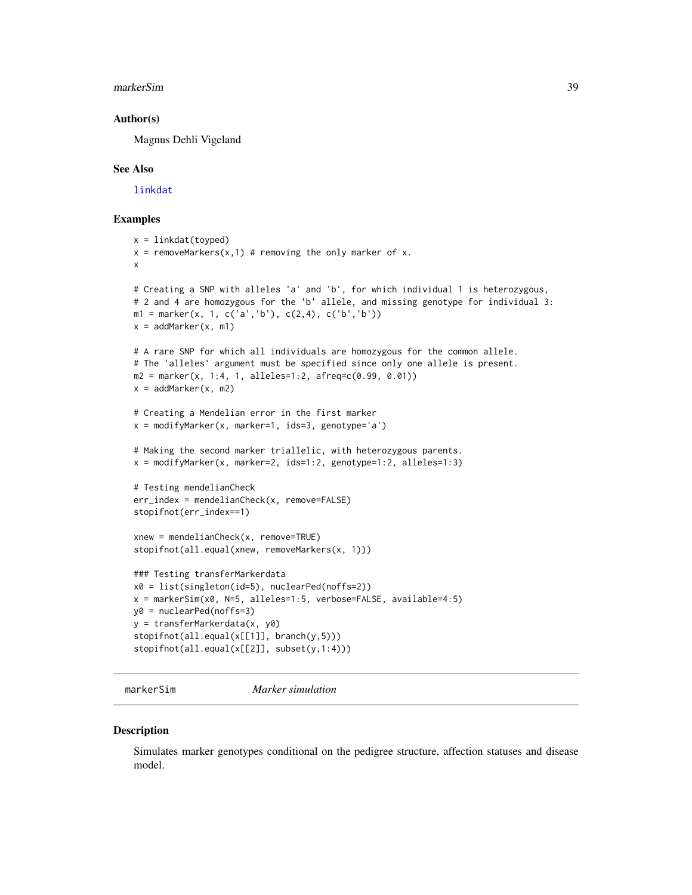#### <span id="page-38-0"></span>markerSim 39

#### Author(s)

Magnus Dehli Vigeland

#### See Also

[linkdat](#page-24-1)

#### Examples

```
x = 1inkdat(toyped)
x = removeMarkers(x,1) # removing the only marker of x.
x
# Creating a SNP with alleles 'a' and 'b', for which individual 1 is heterozygous,
# 2 and 4 are homozygous for the 'b' allele, and missing genotype for individual 3:
m1 = marker(x, 1, c('a', 'b'), c(2, 4), c('b', 'b'))x = addMarket(x, m1)# A rare SNP for which all individuals are homozygous for the common allele.
# The 'alleles' argument must be specified since only one allele is present.
m2 = marker(x, 1:4, 1, alleless=1:2, afreq=c(0.99, 0.01))x = addMarker(x, m2)# Creating a Mendelian error in the first marker
x = \text{modifyMarket}(x, \text{marker=1}, \text{ids=3}, \text{ genotype='a'})# Making the second marker triallelic, with heterozygous parents.
x = modifyMarker(x, marker=2, ids=1:2, genotype=1:2, alleles=1:3)
# Testing mendelianCheck
err_index = mendelianCheck(x, remove=FALSE)
stopifnot(err_index==1)
xnew = mendelianCheck(x, remove=TRUE)
stopifnot(all.equal(xnew, removeMarkers(x, 1)))
### Testing transferMarkerdata
x0 = list(singleton(id=5), nuclearPed(noffs=2))
x = markerSim(x0, N=5, alleles=1:5, verbose=FALSE, available=4:5)
y0 = nuclearPed(noffs=3)
y = transferMarkerdata(x, y0)
stopifnot(all.equal(x[[1]], branch(y,5)))
stopifnot(all.equal(x[[2]], subset(y,1:4)))
```
<span id="page-38-1"></span>markerSim *Marker simulation*

#### **Description**

Simulates marker genotypes conditional on the pedigree structure, affection statuses and disease model.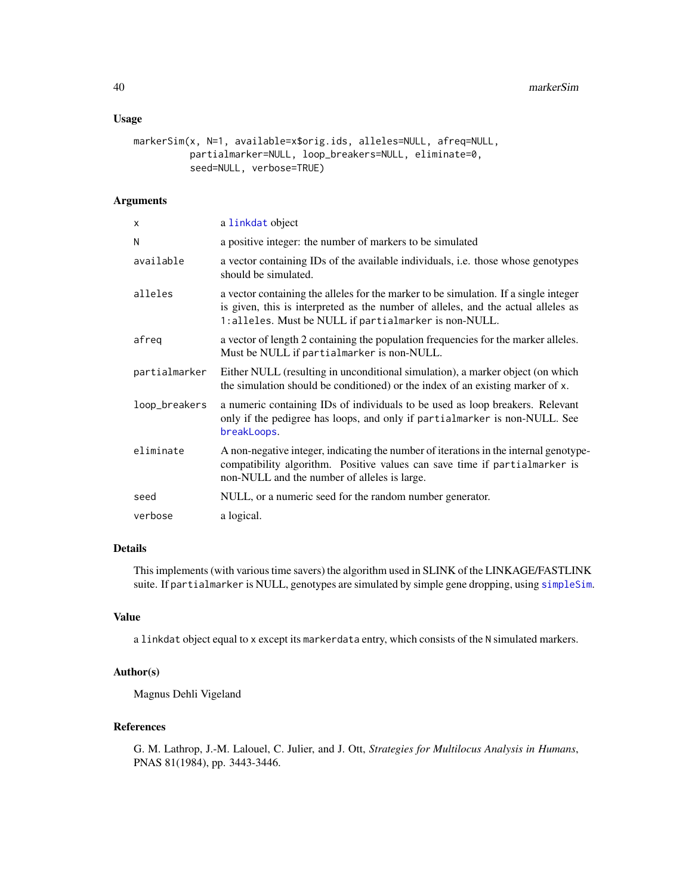#### <span id="page-39-0"></span>Usage

```
markerSim(x, N=1, available=x$orig.ids, alleles=NULL, afreq=NULL,
          partialmarker=NULL, loop_breakers=NULL, eliminate=0,
          seed=NULL, verbose=TRUE)
```
### Arguments

| X             | a linkdat object                                                                                                                                                                                                                    |
|---------------|-------------------------------------------------------------------------------------------------------------------------------------------------------------------------------------------------------------------------------------|
| N             | a positive integer: the number of markers to be simulated                                                                                                                                                                           |
| available     | a vector containing IDs of the available individuals, i.e. those whose genotypes<br>should be simulated.                                                                                                                            |
| alleles       | a vector containing the alleles for the marker to be simulation. If a single integer<br>is given, this is interpreted as the number of alleles, and the actual alleles as<br>1: alleles. Must be NULL if partialmarker is non-NULL. |
| afreq         | a vector of length 2 containing the population frequencies for the marker alleles.<br>Must be NULL if partialmarker is non-NULL.                                                                                                    |
| partialmarker | Either NULL (resulting in unconditional simulation), a marker object (on which<br>the simulation should be conditioned) or the index of an existing marker of x.                                                                    |
| loop_breakers | a numeric containing IDs of individuals to be used as loop breakers. Relevant<br>only if the pedigree has loops, and only if partialmarker is non-NULL. See<br>breakLoops.                                                          |
| eliminate     | A non-negative integer, indicating the number of iterations in the internal genotype-<br>compatibility algorithm. Positive values can save time if partialmarker is<br>non-NULL and the number of alleles is large.                 |
| seed          | NULL, or a numeric seed for the random number generator.                                                                                                                                                                            |
| verbose       | a logical.                                                                                                                                                                                                                          |

### Details

This implements (with various time savers) the algorithm used in SLINK of the LINKAGE/FASTLINK suite. If partialmarker is NULL, genotypes are simulated by simple gene dropping, using [simpleSim](#page-58-1).

### Value

a linkdat object equal to x except its markerdata entry, which consists of the N simulated markers.

### Author(s)

Magnus Dehli Vigeland

### References

G. M. Lathrop, J.-M. Lalouel, C. Julier, and J. Ott, *Strategies for Multilocus Analysis in Humans*, PNAS 81(1984), pp. 3443-3446.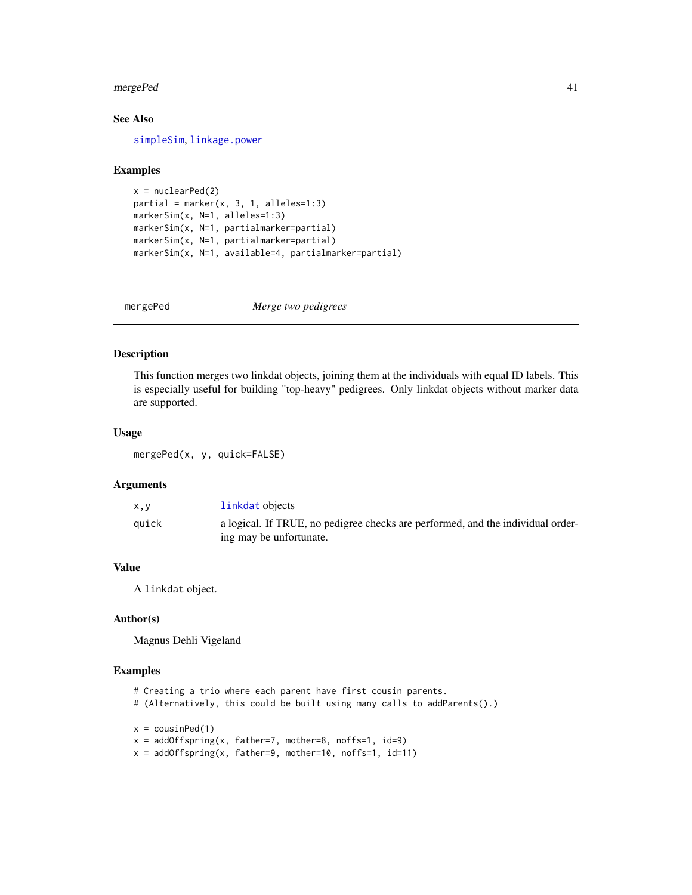#### <span id="page-40-0"></span>mergePed 41

### See Also

[simpleSim](#page-58-1), [linkage.power](#page-21-1)

#### Examples

```
x = nuclearPed(2)partial = marker(x, 3, 1, alleles=1:3)markerSim(x, N=1, alleles=1:3)
markerSim(x, N=1, partialmarker=partial)
markerSim(x, N=1, partialmarker=partial)
markerSim(x, N=1, available=4, partialmarker=partial)
```
mergePed *Merge two pedigrees*

### Description

This function merges two linkdat objects, joining them at the individuals with equal ID labels. This is especially useful for building "top-heavy" pedigrees. Only linkdat objects without marker data are supported.

#### Usage

mergePed(x, y, quick=FALSE)

### Arguments

| x, y  | linkdat objects                                                                 |
|-------|---------------------------------------------------------------------------------|
| auick | a logical. If TRUE, no pedigree checks are performed, and the individual order- |
|       | ing may be unfortunate.                                                         |

### Value

A linkdat object.

#### Author(s)

Magnus Dehli Vigeland

- # Creating a trio where each parent have first cousin parents.
- # (Alternatively, this could be built using many calls to addParents().)

```
x = \text{cousinPed}(1)
```

```
x = addOffspring(x, father=7, mother=8, noffs=1, id=9)
```

```
x = addOffspring(x, father=9, mother=10, noffs=1, id=11)
```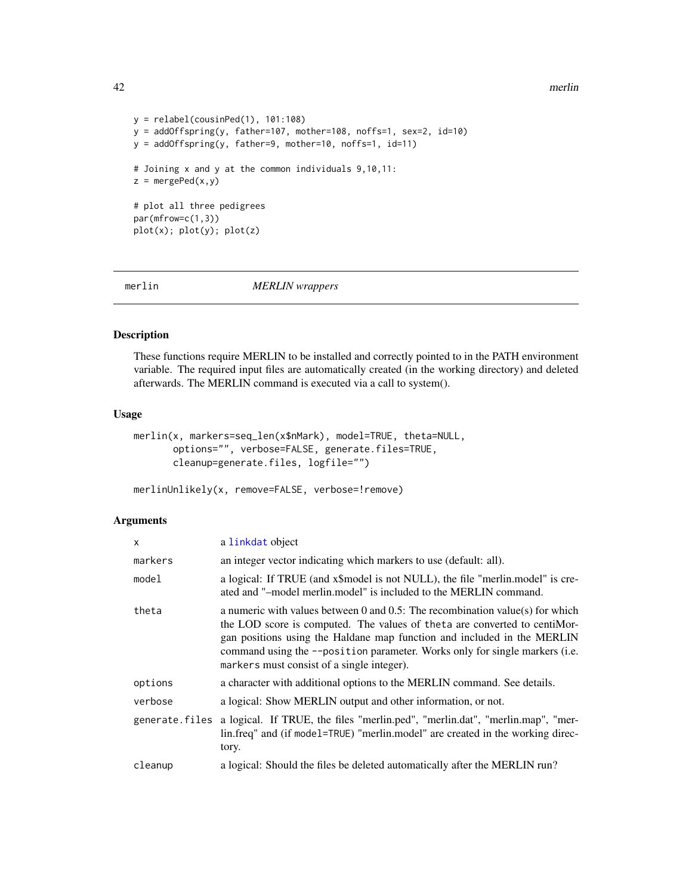42 merlin

```
y = relabel(cousinPed(1), 101:108)
y = addOffspring(y, father=107, mother=108, noffs=1, sex=2, id=10)
y = addOffspring(y, father=9, mother=10, noffs=1, id=11)
# Joining x and y at the common individuals 9,10,11:
z = mergePed(x,y)# plot all three pedigrees
par(mfrow=c(1,3))
plot(x); plot(y); plot(z)
```
<span id="page-41-1"></span>merlin *MERLIN wrappers*

### Description

These functions require MERLIN to be installed and correctly pointed to in the PATH environment variable. The required input files are automatically created (in the working directory) and deleted afterwards. The MERLIN command is executed via a call to system().

#### Usage

```
merlin(x, markers=seq_len(x$nMark), model=TRUE, theta=NULL,
       options="", verbose=FALSE, generate.files=TRUE,
       cleanup=generate.files, logfile="")
```
merlinUnlikely(x, remove=FALSE, verbose=!remove)

### Arguments

| x              | a linkdat object                                                                                                                                                                                                                                                                                                                                                       |
|----------------|------------------------------------------------------------------------------------------------------------------------------------------------------------------------------------------------------------------------------------------------------------------------------------------------------------------------------------------------------------------------|
| markers        | an integer vector indicating which markers to use (default: all).                                                                                                                                                                                                                                                                                                      |
| model          | a logical: If TRUE (and x\$model is not NULL), the file "merlin.model" is cre-<br>ated and "-model merlin, model" is included to the MERLIN command.                                                                                                                                                                                                                   |
| theta          | a numeric with values between 0 and $0.5$ : The recombination value(s) for which<br>the LOD score is computed. The values of the ta are converted to centiMor-<br>gan positions using the Haldane map function and included in the MERLIN<br>command using the --position parameter. Works only for single markers (i.e.<br>markers must consist of a single integer). |
| options        | a character with additional options to the MERLIN command. See details.                                                                                                                                                                                                                                                                                                |
| verbose        | a logical: Show MERLIN output and other information, or not.                                                                                                                                                                                                                                                                                                           |
| generate.files | a logical. If TRUE, the files "merlin.ped", "merlin.dat", "merlin.map", "mer-<br>lin.freq" and (if model=TRUE) "merlin.model" are created in the working direc-<br>tory.                                                                                                                                                                                               |
| cleanup        | a logical: Should the files be deleted automatically after the MERLIN run?                                                                                                                                                                                                                                                                                             |
|                |                                                                                                                                                                                                                                                                                                                                                                        |

<span id="page-41-0"></span>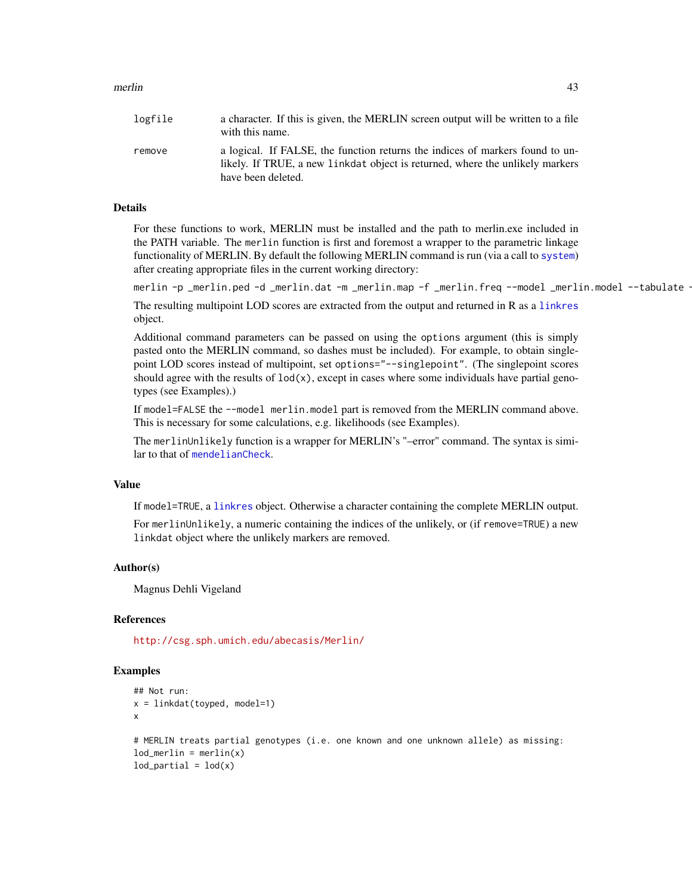#### <span id="page-42-0"></span>merlin 43

| logfile | a character. If this is given, the MERLIN screen output will be written to a file<br>with this name.                                                                                 |
|---------|--------------------------------------------------------------------------------------------------------------------------------------------------------------------------------------|
| remove  | a logical. If FALSE, the function returns the indices of markers found to un-<br>likely. If TRUE, a new linkdat object is returned, where the unlikely markers<br>have been deleted. |

### Details

For these functions to work, MERLIN must be installed and the path to merlin.exe included in the PATH variable. The merlin function is first and foremost a wrapper to the parametric linkage functionality of MERLIN. By default the following MERLIN command is run (via a call to [system](#page-0-0)) after creating appropriate files in the current working directory:

merlin -p \_merlin.ped -d \_merlin.dat -m \_merlin.map -f \_merlin.freq --model \_merlin.model --tabulate ·

The resulting multipoint LOD scores are extracted from the output and returned in R as a [linkres](#page-30-1) object.

Additional command parameters can be passed on using the options argument (this is simply pasted onto the MERLIN command, so dashes must be included). For example, to obtain singlepoint LOD scores instead of multipoint, set options="--singlepoint". (The singlepoint scores should agree with the results of  $\text{lod}(x)$ , except in cases where some individuals have partial genotypes (see Examples).)

If model=FALSE the --model merlin.model part is removed from the MERLIN command above. This is necessary for some calculations, e.g. likelihoods (see Examples).

The merlinUnlikely function is a wrapper for MERLIN's "–error" command. The syntax is similar to that of [mendelianCheck](#page-36-1).

### Value

If model=TRUE, a [linkres](#page-30-1) object. Otherwise a character containing the complete MERLIN output.

For merlinUnlikely, a numeric containing the indices of the unlikely, or (if remove=TRUE) a new linkdat object where the unlikely markers are removed.

#### Author(s)

Magnus Dehli Vigeland

#### References

<http://csg.sph.umich.edu/abecasis/Merlin/>

```
## Not run:
x = linkdat(toyped, model=1)
x
# MERLIN treats partial genotypes (i.e. one known and one unknown allele) as missing:
lod_merlin = merlin(x)lod\_partial = lod(x)
```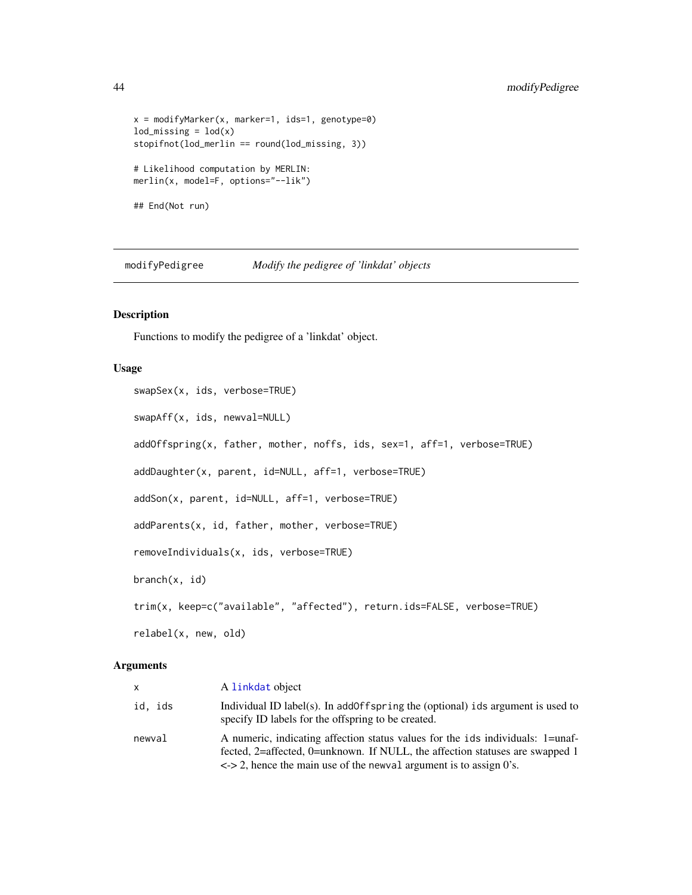```
x = \text{modifyMarker}(x, \text{market} = 1, \text{ids} = 1, \text{ genotype} = 0)lod\_missing = lod(x)stopifnot(lod_merlin == round(lod_missing, 3))
# Likelihood computation by MERLIN:
merlin(x, model=F, options="--lik")
## End(Not run)
```
<span id="page-43-2"></span>modifyPedigree *Modify the pedigree of 'linkdat' objects*

#### <span id="page-43-1"></span>Description

Functions to modify the pedigree of a 'linkdat' object.

### Usage

```
swapSex(x, ids, verbose=TRUE)
swapAff(x, ids, newval=NULL)
addOffspring(x, father, mother, noffs, ids, sex=1, aff=1, verbose=TRUE)
addDaughter(x, parent, id=NULL, aff=1, verbose=TRUE)
addSon(x, parent, id=NULL, aff=1, verbose=TRUE)
addParents(x, id, father, mother, verbose=TRUE)
removeIndividuals(x, ids, verbose=TRUE)
branch(x, id)
trim(x, keep=c("available", "affected"), return.ids=FALSE, verbose=TRUE)
relabel(x, new, old)
```
#### **Arguments**

| x       | A linkdat object                                                                                                                                                                                                                                       |
|---------|--------------------------------------------------------------------------------------------------------------------------------------------------------------------------------------------------------------------------------------------------------|
| id, ids | Individual ID label(s). In add0ff spring the (optional) ids argument is used to<br>specify ID labels for the offspring to be created.                                                                                                                  |
| newval  | A numeric, indicating affection status values for the ids individuals: 1=unaf-<br>fected, 2=affected, 0=unknown. If NULL, the affection statuses are swapped 1<br>$\langle 2, 2 \rangle$ , hence the main use of the newval argument is to assign 0's. |

<span id="page-43-0"></span>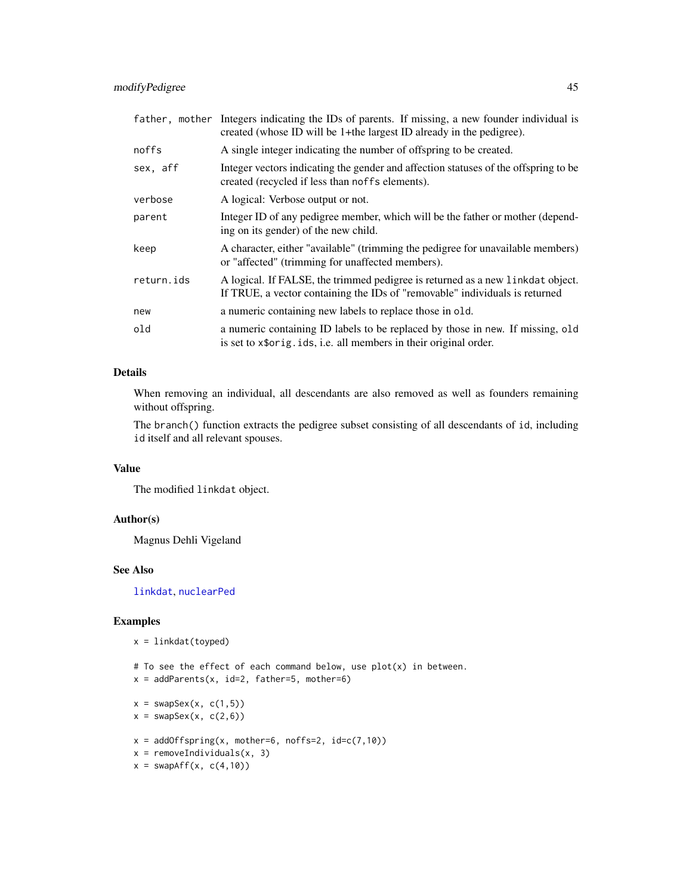<span id="page-44-0"></span>

|            | father, mother Integers indicating the IDs of parents. If missing, a new founder individual is<br>created (whose ID will be 1+the largest ID already in the pedigree). |
|------------|------------------------------------------------------------------------------------------------------------------------------------------------------------------------|
| noffs      | A single integer indicating the number of offspring to be created.                                                                                                     |
| sex, aff   | Integer vectors indicating the gender and affection statuses of the offspring to be<br>created (recycled if less than noffs elements).                                 |
| verbose    | A logical: Verbose output or not.                                                                                                                                      |
| parent     | Integer ID of any pedigree member, which will be the father or mother (depend-<br>ing on its gender) of the new child.                                                 |
| keep       | A character, either "available" (trimming the pedigree for unavailable members)<br>or "affected" (trimming for unaffected members).                                    |
| return.ids | A logical. If FALSE, the trimmed pedigree is returned as a new linkdat object.<br>If TRUE, a vector containing the IDs of "removable" individuals is returned          |
| new        | a numeric containing new labels to replace those in old.                                                                                                               |
| old        | a numeric containing ID labels to be replaced by those in new. If missing, old<br>is set to x\$orig.ids, i.e. all members in their original order.                     |

### Details

When removing an individual, all descendants are also removed as well as founders remaining without offspring.

The branch() function extracts the pedigree subset consisting of all descendants of id, including id itself and all relevant spouses.

#### Value

The modified linkdat object.

### Author(s)

Magnus Dehli Vigeland

#### See Also

[linkdat](#page-24-1), [nuclearPed](#page-6-1)

```
x = linkdat(toyped)
```
- # To see the effect of each command below, use plot(x) in between.
- $x = addParents(x, id=2, father=5, mother=6)$
- $x = swapsex(x, c(1,5))$
- $x =$  swapSex(x,  $c(2,6)$ )
- $x = addOffspring(x, mother=6, noffs=2, id=c(7,10))$
- $x =$  removeIndividuals(x, 3)
- $x = swapAff(x, c(4,10))$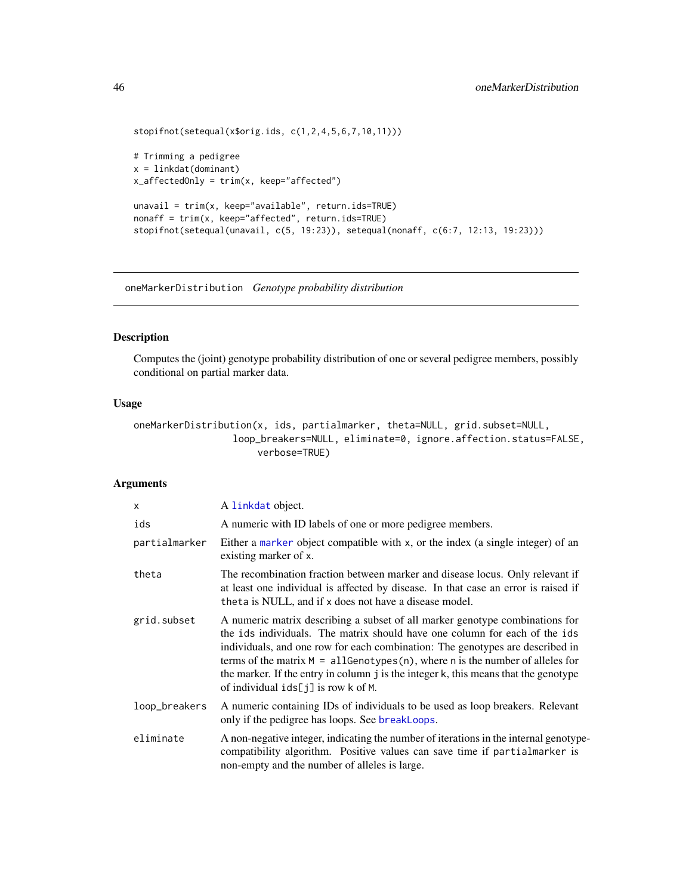```
stopifnot(setequal(x$orig.ids, c(1,2,4,5,6,7,10,11)))
# Trimming a pedigree
x = linkdat(dominant)
x_affectedOnly = trim(x, keep="affected")
unavail = trim(x, keep="available", return.ids=TRUE)
nonaff = trim(x, keep="affected", return.ids=TRUE)
stopifnot(setequal(unavail, c(5, 19:23)), setequal(nonaff, c(6:7, 12:13, 19:23)))
```
<span id="page-45-1"></span>oneMarkerDistribution *Genotype probability distribution*

#### Description

Computes the (joint) genotype probability distribution of one or several pedigree members, possibly conditional on partial marker data.

### Usage

```
oneMarkerDistribution(x, ids, partialmarker, theta=NULL, grid.subset=NULL,
                 loop_breakers=NULL, eliminate=0, ignore.affection.status=FALSE,
                      verbose=TRUE)
```
### Arguments

| X             | A linkdat object.                                                                                                                                                                                                                                                                                                                                                                                                                                                      |
|---------------|------------------------------------------------------------------------------------------------------------------------------------------------------------------------------------------------------------------------------------------------------------------------------------------------------------------------------------------------------------------------------------------------------------------------------------------------------------------------|
| ids           | A numeric with ID labels of one or more pedigree members.                                                                                                                                                                                                                                                                                                                                                                                                              |
| partialmarker | Either a marker object compatible with x, or the index (a single integer) of an<br>existing marker of x.                                                                                                                                                                                                                                                                                                                                                               |
| theta         | The recombination fraction between marker and disease locus. Only relevant if<br>at least one individual is affected by disease. In that case an error is raised if<br>theta is NULL, and if x does not have a disease model.                                                                                                                                                                                                                                          |
| grid.subset   | A numeric matrix describing a subset of all marker genotype combinations for<br>the ids individuals. The matrix should have one column for each of the ids<br>individuals, and one row for each combination: The genotypes are described in<br>terms of the matrix $M = \text{allGenotypes}(n)$ , where n is the number of alleles for<br>the marker. If the entry in column j is the integer k, this means that the genotype<br>of individual $ids[j]$ is row k of M. |
| loop_breakers | A numeric containing IDs of individuals to be used as loop breakers. Relevant<br>only if the pedigree has loops. See breakLoops.                                                                                                                                                                                                                                                                                                                                       |
| eliminate     | A non-negative integer, indicating the number of iterations in the internal genotype-<br>compatibility algorithm. Positive values can save time if partialmarker is<br>non-empty and the number of alleles is large.                                                                                                                                                                                                                                                   |

<span id="page-45-0"></span>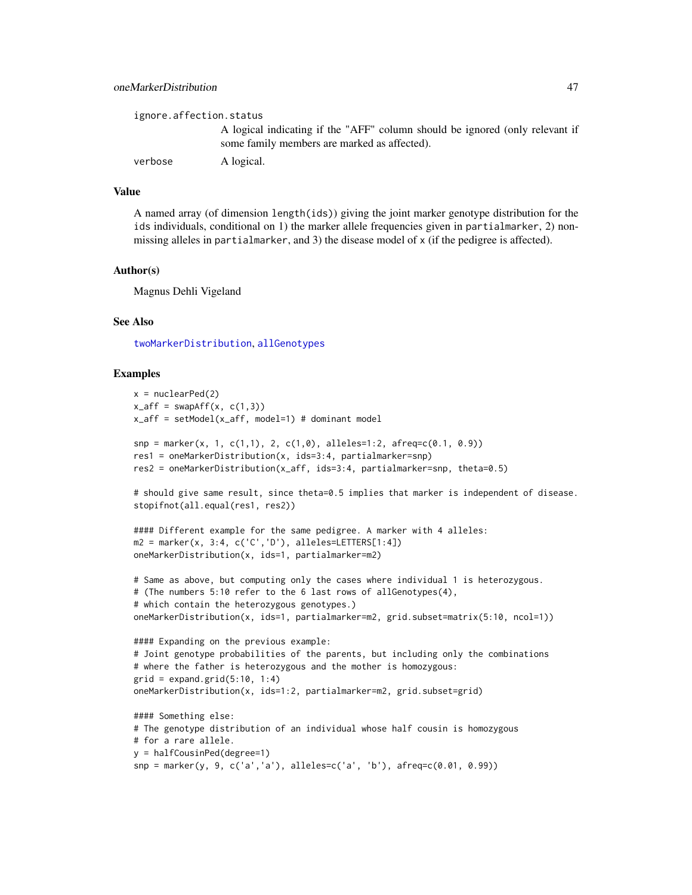<span id="page-46-0"></span>

| ignore.affection.status |                                                                                                                              |
|-------------------------|------------------------------------------------------------------------------------------------------------------------------|
|                         | A logical indicating if the "AFF" column should be ignored (only relevant if<br>some family members are marked as affected). |
| verbose                 | A logical.                                                                                                                   |

### Value

A named array (of dimension length(ids)) giving the joint marker genotype distribution for the ids individuals, conditional on 1) the marker allele frequencies given in partialmarker, 2) nonmissing alleles in partialmarker, and 3) the disease model of x (if the pedigree is affected).

#### Author(s)

Magnus Dehli Vigeland

### See Also

[twoMarkerDistribution](#page-60-1), [allGenotypes](#page-2-1)

```
x = nuclearPed(2)x_aff = swapAff(x, c(1,3))x_aff = setModel(x_aff, model=1) # dominant model
snp = marker(x, 1, c(1,1), 2, c(1,0), alleles=1:2, afreq=c(0.1, 0.9))res1 = oneMarkerDistribution(x, ids=3:4, partialmarker=snp)
res2 = oneMarkerDistribution(x_aff, ids=3:4, partialmarker=snp, theta=0.5)
# should give same result, since theta=0.5 implies that marker is independent of disease.
stopifnot(all.equal(res1, res2))
#### Different example for the same pedigree. A marker with 4 alleles:
m2 = marker(x, 3:4, c('C', 'D'), alleles=LETTERS[1:4])oneMarkerDistribution(x, ids=1, partialmarker=m2)
# Same as above, but computing only the cases where individual 1 is heterozygous.
# (The numbers 5:10 refer to the 6 last rows of allGenotypes(4),
# which contain the heterozygous genotypes.)
oneMarkerDistribution(x, ids=1, partialmarker=m2, grid.subset=matrix(5:10, ncol=1))
#### Expanding on the previous example:
# Joint genotype probabilities of the parents, but including only the combinations
# where the father is heterozygous and the mother is homozygous:
grid = expand.grid(5:10, 1:4)oneMarkerDistribution(x, ids=1:2, partialmarker=m2, grid.subset=grid)
#### Something else:
# The genotype distribution of an individual whose half cousin is homozygous
# for a rare allele.
y = halfCousinPed(degree=1)
snp = marker(y, 9, c('a','a'), alleles=c('a', 'b'), afreq=c(0.01, 0.99))
```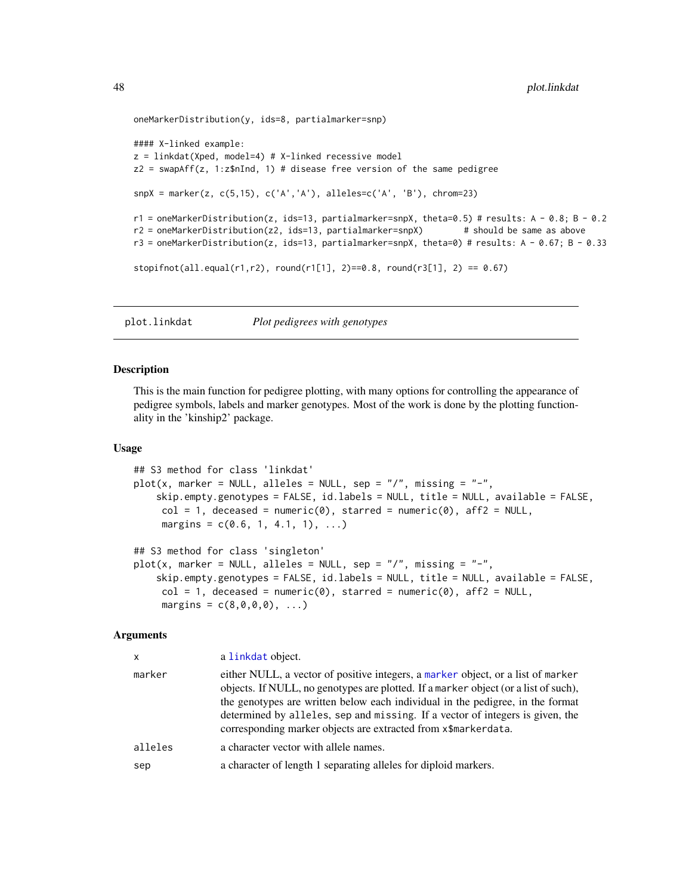```
oneMarkerDistribution(y, ids=8, partialmarker=snp)
#### X-linked example:
z = 1inkdat(Xped, model=4) # X-linked recessive model
z2 = swapAff(z, 1:z$nInd, 1) # disease free version of the same pedigree
snpX = marker(z, c(5, 15), c('A', 'A'), alleleles=c('A', 'B'), chrom=23)r1 = oneMarkerDistribution(z, ids=13, partialmarker=snpX, theta=0.5) # results: A - 0.8; B - 0.2
r2 = oneMarkerDistribution(z2, ids=13, partialmarker=snpX) # should be same as above
r3 = oneMarkerDistribution(z, ids=13, partialmarker=snpX, theta=0) # results: A - 0.67; B - 0.33
stopifnot(all.equals(r1,r2), round(r1[1], 2)=0.8, round(r3[1], 2) == 0.67)
```
<span id="page-47-1"></span>plot.linkdat *Plot pedigrees with genotypes*

#### Description

This is the main function for pedigree plotting, with many options for controlling the appearance of pedigree symbols, labels and marker genotypes. Most of the work is done by the plotting functionality in the 'kinship2' package.

#### Usage

```
## S3 method for class 'linkdat'
plot(x, marker = NULL, alleles = NULL, sep = "/", missing = "-",skip.empty.genotypes = FALSE, id.labels = NULL, title = NULL, available = FALSE,
     col = 1, deceased = numeric(0), starred = numeric(0), aff2 = NULL,
     margins = c(0.6, 1, 4.1, 1), ...## S3 method for class 'singleton'
plot(x, marker = NULL, alleles = NULL, sep = "/", missing = "-",skip.empty.genotypes = FALSE, id.labels = NULL, title = NULL, available = FALSE,
     col = 1, deceased = numeric(0), starred = numeric(0), aff2 = NULL,
     margins = c(8, 0, 0, 0), ...
```
### Arguments

| x       | a linkdat object.                                                                                                                                                                                                                                                                                                                                                                                            |
|---------|--------------------------------------------------------------------------------------------------------------------------------------------------------------------------------------------------------------------------------------------------------------------------------------------------------------------------------------------------------------------------------------------------------------|
| marker  | either NULL, a vector of positive integers, a marker object, or a list of marker<br>objects. If NULL, no genotypes are plotted. If a marker object (or a list of such),<br>the genotypes are written below each individual in the pedigree, in the format<br>determined by alleles, sep and missing. If a vector of integers is given, the<br>corresponding marker objects are extracted from x\$markerdata. |
| alleles | a character vector with allele names.                                                                                                                                                                                                                                                                                                                                                                        |
| sep     | a character of length 1 separating alleles for diploid markers.                                                                                                                                                                                                                                                                                                                                              |
|         |                                                                                                                                                                                                                                                                                                                                                                                                              |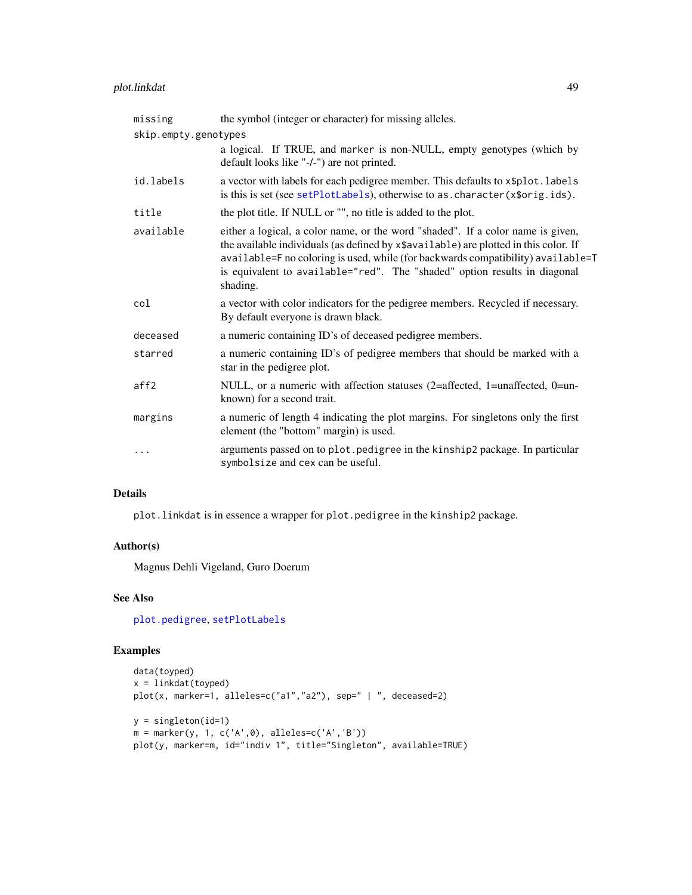## <span id="page-48-0"></span>plot.linkdat 49

| missing              | the symbol (integer or character) for missing alleles.                                                                                                                                                                                                                                                                                               |
|----------------------|------------------------------------------------------------------------------------------------------------------------------------------------------------------------------------------------------------------------------------------------------------------------------------------------------------------------------------------------------|
| skip.empty.genotypes |                                                                                                                                                                                                                                                                                                                                                      |
|                      | a logical. If TRUE, and marker is non-NULL, empty genotypes (which by<br>default looks like "-/-") are not printed.                                                                                                                                                                                                                                  |
| id.labels            | a vector with labels for each pedigree member. This defaults to x\$plot.labels<br>is this is set (see setPlotLabels), otherwise to as. character(x\$orig.ids).                                                                                                                                                                                       |
| title                | the plot title. If NULL or "", no title is added to the plot.                                                                                                                                                                                                                                                                                        |
| available            | either a logical, a color name, or the word "shaded". If a color name is given,<br>the available individuals (as defined by x\$available) are plotted in this color. If<br>available=F no coloring is used, while (for backwards compatibility) available=T<br>is equivalent to available="red". The "shaded" option results in diagonal<br>shading. |
| col                  | a vector with color indicators for the pedigree members. Recycled if necessary.<br>By default everyone is drawn black.                                                                                                                                                                                                                               |
| deceased             | a numeric containing ID's of deceased pedigree members.                                                                                                                                                                                                                                                                                              |
| starred              | a numeric containing ID's of pedigree members that should be marked with a<br>star in the pedigree plot.                                                                                                                                                                                                                                             |
| aff2                 | NULL, or a numeric with affection statuses (2=affected, 1=unaffected, 0=un-<br>known) for a second trait.                                                                                                                                                                                                                                            |
| margins              | a numeric of length 4 indicating the plot margins. For singletons only the first<br>element (the "bottom" margin) is used.                                                                                                                                                                                                                           |
| $\cdots$             | arguments passed on to plot. pedigree in the kinship2 package. In particular<br>symbolsize and cex can be useful.                                                                                                                                                                                                                                    |

### Details

plot.linkdat is in essence a wrapper for plot.pedigree in the kinship2 package.

#### Author(s)

Magnus Dehli Vigeland, Guro Doerum

### See Also

[plot.pedigree](#page-0-0), [setPlotLabels](#page-57-1)

```
data(toyped)
x = 1inkdat(toyped)
plot(x, marker=1, alleles=c("a1","a2"), sep=" | ", deceased=2)
y = singleton(id=1)
m = marker(y, 1, c('A',0), alleles=c('A','B'))
plot(y, marker=m, id="indiv 1", title="Singleton", available=TRUE)
```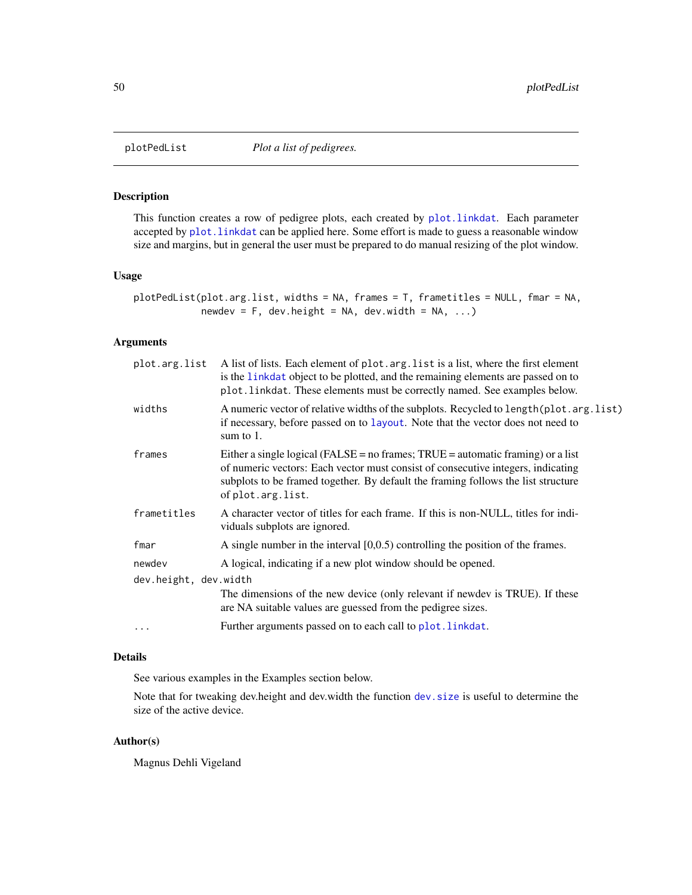<span id="page-49-0"></span>

#### Description

This function creates a row of pedigree plots, each created by [plot.linkdat](#page-47-1). Each parameter accepted by [plot.linkdat](#page-47-1) can be applied here. Some effort is made to guess a reasonable window size and margins, but in general the user must be prepared to do manual resizing of the plot window.

### Usage

plotPedList(plot.arg.list, widths = NA, frames = T, frametitles = NULL, fmar = NA, newdev =  $F$ , dev.height = NA, dev.width = NA, ...)

### Arguments

|                       | plot.arg.list A list of lists. Each element of plot.arg.list is a list, where the first element<br>is the linkdat object to be plotted, and the remaining elements are passed on to<br>plot. linkdat. These elements must be correctly named. See examples below.               |  |
|-----------------------|---------------------------------------------------------------------------------------------------------------------------------------------------------------------------------------------------------------------------------------------------------------------------------|--|
| widths                | A numeric vector of relative widths of the subplots. Recycled to length (plot. arg. list)<br>if necessary, before passed on to layout. Note that the vector does not need to<br>sum to $1$ .                                                                                    |  |
| frames                | Either a single logical (FALSE = no frames; $TRUE =$ automatic framing) or a list<br>of numeric vectors: Each vector must consist of consecutive integers, indicating<br>subplots to be framed together. By default the framing follows the list structure<br>of plot.arg.list. |  |
| frametitles           | A character vector of titles for each frame. If this is non-NULL, titles for indi-<br>viduals subplots are ignored.                                                                                                                                                             |  |
| fmar                  | A single number in the interval $[0,0.5)$ controlling the position of the frames.                                                                                                                                                                                               |  |
| newdev                | A logical, indicating if a new plot window should be opened.                                                                                                                                                                                                                    |  |
| dev.height, dev.width |                                                                                                                                                                                                                                                                                 |  |
|                       | The dimensions of the new device (only relevant if newdev is TRUE). If these<br>are NA suitable values are guessed from the pedigree sizes.                                                                                                                                     |  |
| $\ddots$              | Further arguments passed on to each call to plot. linkdat.                                                                                                                                                                                                                      |  |

#### Details

See various examples in the Examples section below.

Note that for tweaking dev.height and dev.width the function [dev.size](#page-0-0) is useful to determine the size of the active device.

### Author(s)

Magnus Dehli Vigeland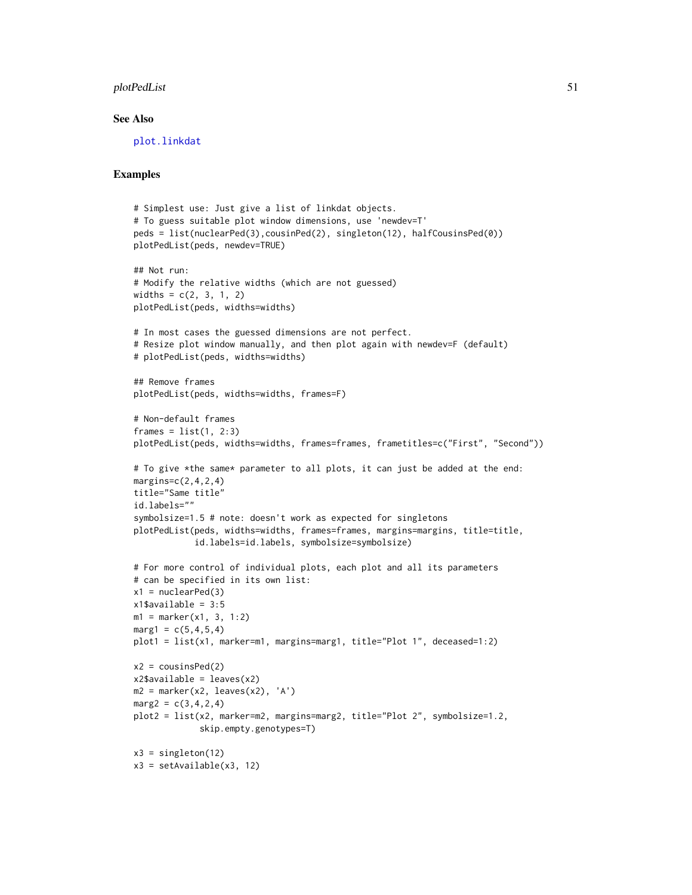### <span id="page-50-0"></span>plotPedList 51

#### See Also

[plot.linkdat](#page-47-1)

```
# Simplest use: Just give a list of linkdat objects.
# To guess suitable plot window dimensions, use 'newdev=T'
peds = list(nuclearPed(3),cousinPed(2), singleton(12), halfCousinsPed(0))
plotPedList(peds, newdev=TRUE)
## Not run:
# Modify the relative widths (which are not guessed)
widths = c(2, 3, 1, 2)plotPedList(peds, widths=widths)
# In most cases the guessed dimensions are not perfect.
# Resize plot window manually, and then plot again with newdev=F (default)
# plotPedList(peds, widths=widths)
## Remove frames
plotPedList(peds, widths=widths, frames=F)
# Non-default frames
frames = list(1, 2:3)plotPedList(peds, widths=widths, frames=frames, frametitles=c("First", "Second"))
# To give *the same* parameter to all plots, it can just be added at the end:
margins=c(2,4,2,4)title="Same title"
id.labels=""
symbolsize=1.5 # note: doesn't work as expected for singletons
plotPedList(peds, widths=widths, frames=frames, margins=margins, title=title,
            id.labels=id.labels, symbolsize=symbolsize)
# For more control of individual plots, each plot and all its parameters
# can be specified in its own list:
x1 = nuclearPed(3)x1$available = 3:5
m1 = marker(x1, 3, 1:2)marg1 = c(5, 4, 5, 4)plot1 = list(x1, marker=m1, margins=marg1, title="Plot 1", deceased=1:2)
x2 = \text{cousinsPed}(2)x2$available = leaves(x2)
m2 = marker(x2, leaves(x2), 'A')marg2 = c(3, 4, 2, 4)plot2 = list(x2, marker=m2, margins=marg2, title="Plot 2", symbolsize=1.2,
             skip.empty.genotypes=T)
x3 = singleton(12)
x3 = setAvailable(x3, 12)
```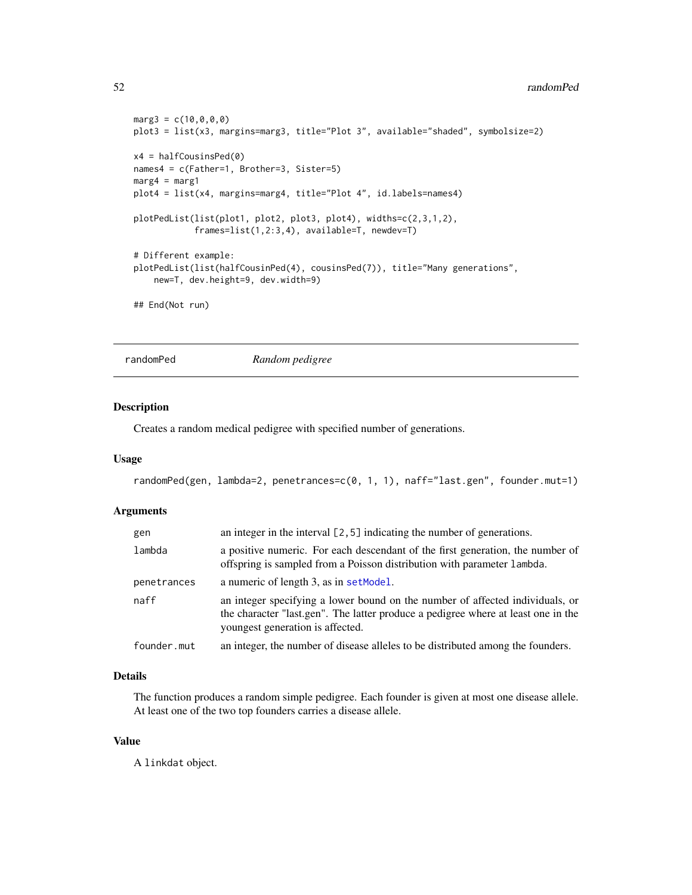#### 52 randomPed

```
marg3 = c(10, 0, 0, 0)plot3 = list(x3, margins=marg3, title="Plot 3", available="shaded", symbolsize=2)
x4 = \text{halfCousinsPed}(0)names4 = c(Father=1, Brother=3, Sister=5)
marg4 = marg1
plot4 = list(x4, margins=marg4, title="Plot 4", id.labels=names4)
plotPedList(list(plot1, plot2, plot3, plot4), widths=c(2,3,1,2),
            frames=list(1,2:3,4), available=T, newdev=T)
# Different example:
plotPedList(list(halfCousinPed(4), cousinsPed(7)), title="Many generations",
    new=T, dev.height=9, dev.width=9)
## End(Not run)
```
randomPed *Random pedigree*

#### Description

Creates a random medical pedigree with specified number of generations.

### Usage

```
randomPed(gen, lambda=2, penetrances=c(0, 1, 1), naff="last.gen", founder.mut=1)
```
### Arguments

| gen         | an integer in the interval $[2, 5]$ indicating the number of generations.                                                                                                                              |
|-------------|--------------------------------------------------------------------------------------------------------------------------------------------------------------------------------------------------------|
| lambda      | a positive numeric. For each descendant of the first generation, the number of<br>offspring is sampled from a Poisson distribution with parameter lambda.                                              |
| penetrances | a numeric of length 3, as in set Model.                                                                                                                                                                |
| naff        | an integer specifying a lower bound on the number of affected individuals, or<br>the character "last.gen". The latter produce a pedigree where at least one in the<br>voungest generation is affected. |
| founder.mut | an integer, the number of disease alleles to be distributed among the founders.                                                                                                                        |

### Details

The function produces a random simple pedigree. Each founder is given at most one disease allele. At least one of the two top founders carries a disease allele.

### Value

A linkdat object.

<span id="page-51-0"></span>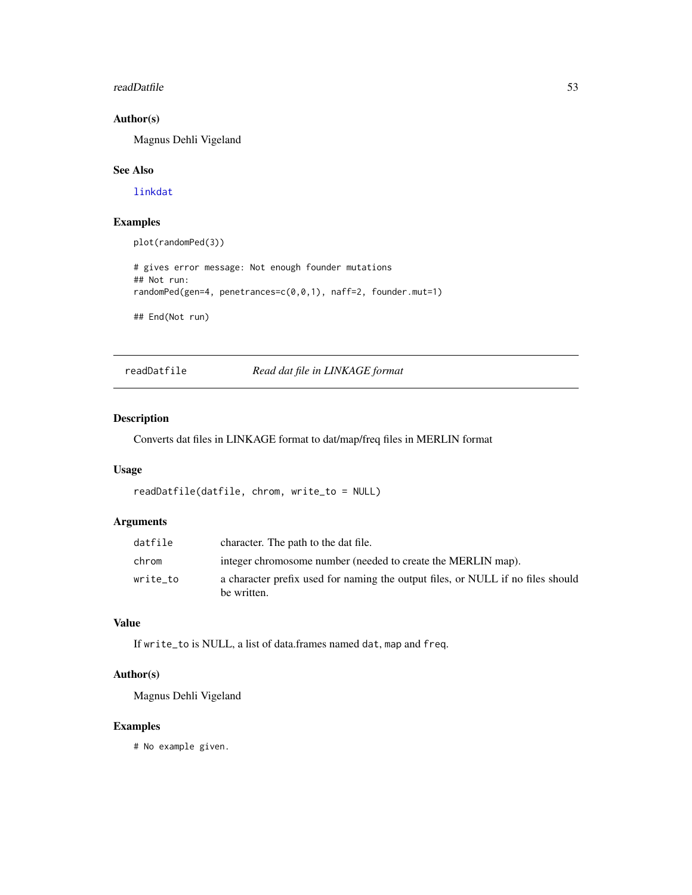#### <span id="page-52-0"></span>readDatfile 53

### Author(s)

Magnus Dehli Vigeland

#### See Also

[linkdat](#page-24-1)

### Examples

plot(randomPed(3))

```
# gives error message: Not enough founder mutations
## Not run:
randomPed(gen=4, penetrances=c(0,0,1), naff=2, founder.mut=1)
```
## End(Not run)

readDatfile *Read dat file in LINKAGE format*

### Description

Converts dat files in LINKAGE format to dat/map/freq files in MERLIN format

### Usage

```
readDatfile(datfile, chrom, write_to = NULL)
```
### Arguments

| datfile  | character. The path to the dat file.                                                           |
|----------|------------------------------------------------------------------------------------------------|
| chrom    | integer chromosome number (needed to create the MERLIN map).                                   |
| write_to | a character prefix used for naming the output files, or NULL if no files should<br>be written. |

### Value

If write\_to is NULL, a list of data.frames named dat, map and freq.

### Author(s)

Magnus Dehli Vigeland

### Examples

# No example given.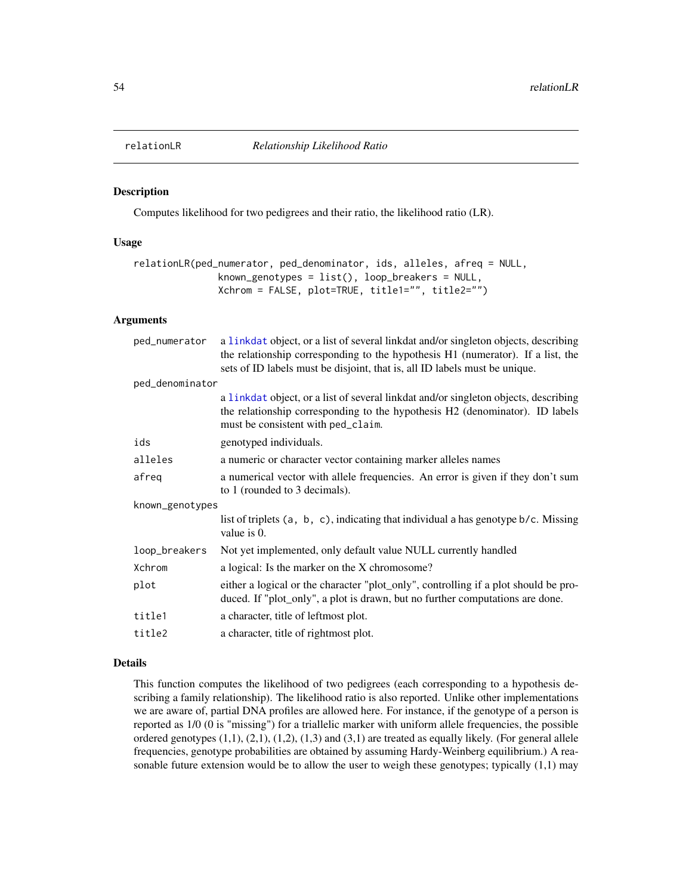<span id="page-53-0"></span>

#### Description

Computes likelihood for two pedigrees and their ratio, the likelihood ratio (LR).

### Usage

```
relationLR(ped_numerator, ped_denominator, ids, alleles, afreq = NULL,
               known_genotypes = list(), loop_breakers = NULL,
              Xchrom = FALSE, plot=TRUE, title1="", title2="")
```
### Arguments

| ped_numerator   | a linkdat object, or a list of several linkdat and/or singleton objects, describing<br>the relationship corresponding to the hypothesis H1 (numerator). If a list, the<br>sets of ID labels must be disjoint, that is, all ID labels must be unique. |  |
|-----------------|------------------------------------------------------------------------------------------------------------------------------------------------------------------------------------------------------------------------------------------------------|--|
| ped_denominator |                                                                                                                                                                                                                                                      |  |
|                 | a linkdat object, or a list of several linkdat and/or singleton objects, describing<br>the relationship corresponding to the hypothesis H2 (denominator). ID labels<br>must be consistent with ped_claim.                                            |  |
| ids             | genotyped individuals.                                                                                                                                                                                                                               |  |
| alleles         | a numeric or character vector containing marker alleles names                                                                                                                                                                                        |  |
| afreq           | a numerical vector with allele frequencies. An error is given if they don't sum<br>to 1 (rounded to 3 decimals).                                                                                                                                     |  |
| known_genotypes |                                                                                                                                                                                                                                                      |  |
|                 | list of triplets (a, b, c), indicating that individual a has genotype b/c. Missing<br>value is 0.                                                                                                                                                    |  |
| loop_breakers   | Not yet implemented, only default value NULL currently handled                                                                                                                                                                                       |  |
| Xchrom          | a logical: Is the marker on the X chromosome?                                                                                                                                                                                                        |  |
| plot            | either a logical or the character "plot_only", controlling if a plot should be pro-<br>duced. If "plot_only", a plot is drawn, but no further computations are done.                                                                                 |  |
| title1          | a character, title of leftmost plot.                                                                                                                                                                                                                 |  |
| title2          | a character, title of rightmost plot.                                                                                                                                                                                                                |  |

#### Details

This function computes the likelihood of two pedigrees (each corresponding to a hypothesis describing a family relationship). The likelihood ratio is also reported. Unlike other implementations we are aware of, partial DNA profiles are allowed here. For instance, if the genotype of a person is reported as 1/0 (0 is "missing") for a triallelic marker with uniform allele frequencies, the possible ordered genotypes (1,1), (2,1), (1,2), (1,3) and (3,1) are treated as equally likely. (For general allele frequencies, genotype probabilities are obtained by assuming Hardy-Weinberg equilibrium.) A reasonable future extension would be to allow the user to weigh these genotypes; typically (1,1) may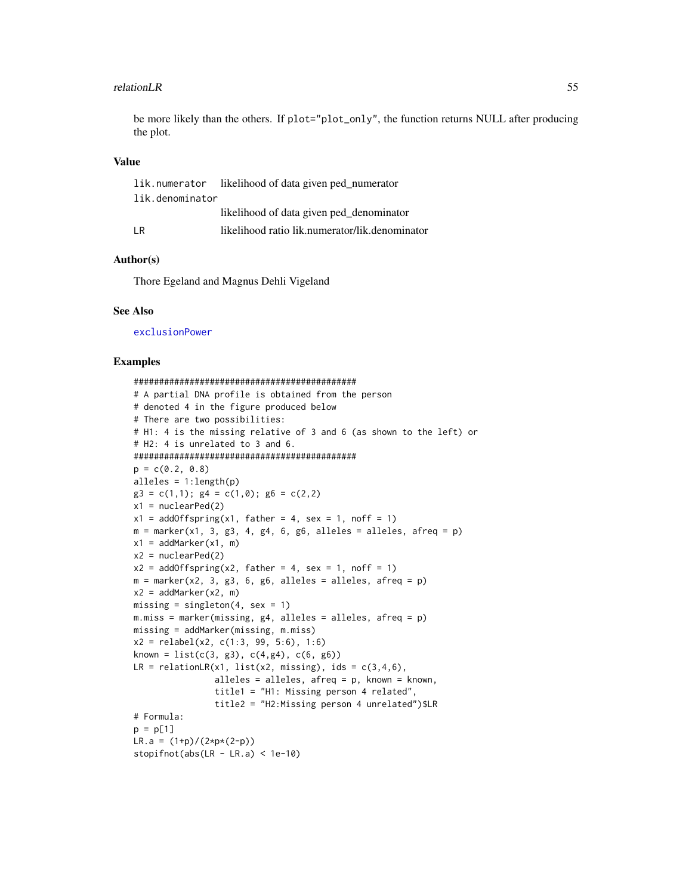#### <span id="page-54-0"></span>relationLR 55

be more likely than the others. If plot="plot\_only", the function returns NULL after producing the plot.

### Value

|                 | lik.numerator likelihood of data given ped_numerator |
|-----------------|------------------------------------------------------|
| lik.denominator |                                                      |
|                 | likelihood of data given ped_denominator             |
| ΙR              | likelihood ratio lik.numerator/lik.denominator       |

### Author(s)

Thore Egeland and Magnus Dehli Vigeland

#### See Also

[exclusionPower](#page-11-1)

```
############################################
# A partial DNA profile is obtained from the person
# denoted 4 in the figure produced below
# There are two possibilities:
# H1: 4 is the missing relative of 3 and 6 (as shown to the left) or
# H2: 4 is unrelated to 3 and 6.
############################################
p = c(0.2, 0.8)alleles = 1:length(p)
g3 = c(1,1); g4 = c(1,0); g6 = c(2,2)x1 = nuclearPed(2)x1 = addOffspring(x1, father = 4, sex = 1, noff = 1)m = marker(x1, 3, g3, 4, g4, 6, g6, alleles = alleles, afreq = p)x1 = addMarket(x1, m)x2 = nuclearPed(2)x2 = addOffspring(x2, father = 4, sex = 1, noff = 1)m = marker(x2, 3, g3, 6, g6, alleles = alleles, afreq = p)x2 = addMarket(x2, m)missing = singleton(4, \text{sex} = 1)m.miss = marker(missing, g4, alleles = alleles, afreq = p)
missing = addMarker(missing, m.miss)
x2 = relabel(x2, c(1:3, 99, 5:6), 1:6)
known = list(c(3, g3), c(4, g4), c(6, g6))LR = relationLR(x1, list(x2, missing), ids = c(3,4,6),
                alleles = alleles, afreq = p, known = known,
                title1 = "H1: Missing person 4 related",
                title2 = "H2:Missing person 4 unrelated")$LR
# Formula:
p = p[1]LR.a = (1+p)/(2*p*(2-p))stopifnot(abs(LR - LR.a) < 1e-10)
```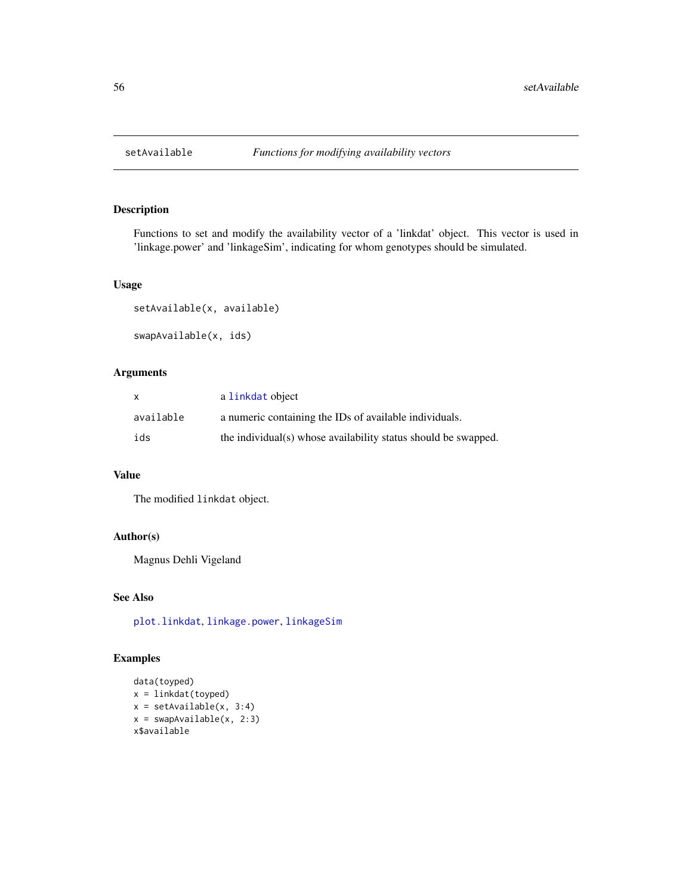<span id="page-55-0"></span>

### Description

Functions to set and modify the availability vector of a 'linkdat' object. This vector is used in 'linkage.power' and 'linkageSim', indicating for whom genotypes should be simulated.

#### Usage

```
setAvailable(x, available)
swapAvailable(x, ids)
```
### Arguments

| X         | a linkdat object                                               |
|-----------|----------------------------------------------------------------|
| available | a numeric containing the IDs of available individuals.         |
| ids       | the individual(s) whose availability status should be swapped. |

### Value

The modified linkdat object.

### Author(s)

Magnus Dehli Vigeland

#### See Also

[plot.linkdat](#page-47-1), [linkage.power](#page-21-1), [linkageSim](#page-23-1)

```
data(toyped)
x = 1inkdat(toyped)
x = setAvailable(x, 3:4)x = swapAvailable(x, 2:3)x$available
```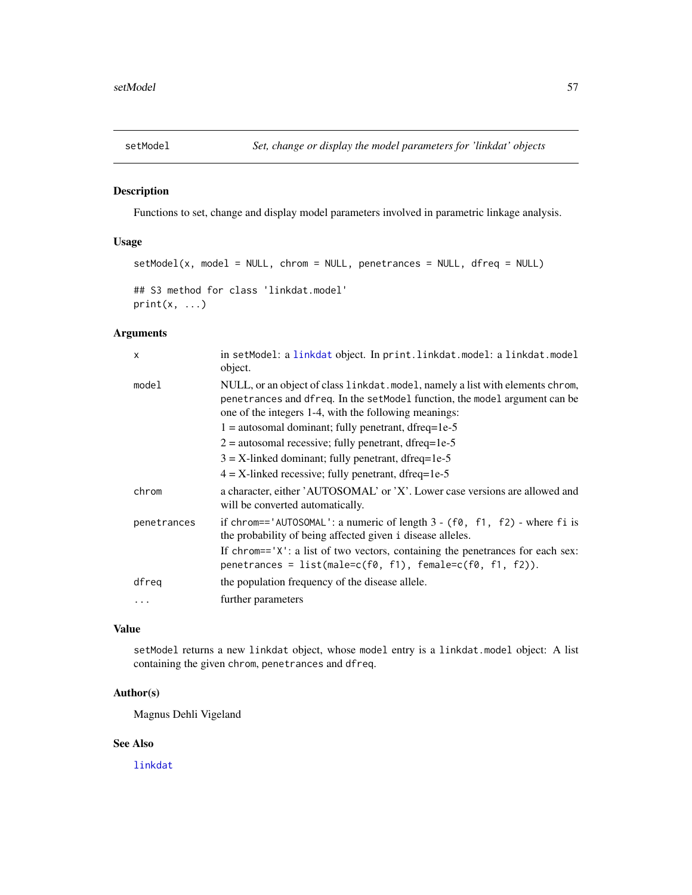<span id="page-56-1"></span><span id="page-56-0"></span>

#### Description

Functions to set, change and display model parameters involved in parametric linkage analysis.

### Usage

```
setModel(x, model = NULL, chrom = NULL, penetrances = NULL, dfreq = NULL)
## S3 method for class 'linkdat.model'
print(x, \ldots)
```
### Arguments

| $\mathsf{x}$ | in setModel: a linkdat object. In print.linkdat.model: a linkdat.model<br>object.                                                                                                                                                                                              |
|--------------|--------------------------------------------------------------------------------------------------------------------------------------------------------------------------------------------------------------------------------------------------------------------------------|
| model        | NULL, or an object of class linkdat. model, namely a list with elements chrom,<br>penetrances and dfreq. In the setModel function, the model argument can be<br>one of the integers 1-4, with the following meanings:<br>$1 =$ autosomal dominant; fully penetrant, dfreq=1e-5 |
|              | $2 =$ autosomal recessive; fully penetrant, dfreq=1e-5                                                                                                                                                                                                                         |
|              | $3 = X$ -linked dominant; fully penetrant, dfreq=1e-5                                                                                                                                                                                                                          |
|              | $4 = X$ -linked recessive; fully penetrant, dfreq=1e-5                                                                                                                                                                                                                         |
| chrom        | a character, either 'AUTOSOMAL' or 'X'. Lower case versions are allowed and<br>will be converted automatically.                                                                                                                                                                |
| penetrances  | if chrom=='AUTOSOMAL': a numeric of length $3 - (f0, f1, f2)$ - where fi is<br>the probability of being affected given i disease alleles.                                                                                                                                      |
|              | If chrom== $'X'$ : a list of two vectors, containing the penetrances for each sex:<br>penetrances = $list(male=c(f0, f1), female=c(f0, f1, f2)).$                                                                                                                              |
| dfreq        | the population frequency of the disease allele.                                                                                                                                                                                                                                |
| $\ddotsc$    | further parameters                                                                                                                                                                                                                                                             |
|              |                                                                                                                                                                                                                                                                                |

### Value

setModel returns a new linkdat object, whose model entry is a linkdat.model object: A list containing the given chrom, penetrances and dfreq.

### Author(s)

Magnus Dehli Vigeland

### See Also

[linkdat](#page-24-1)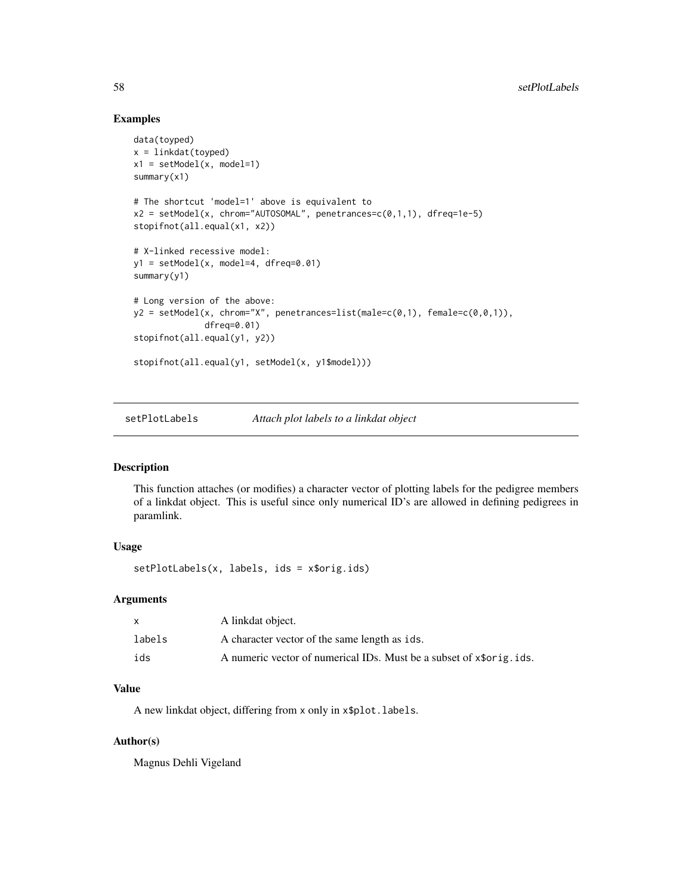### Examples

```
data(toyped)
x = 1inkdat(toyped)
x1 = setModel(x, model=1)summary(x1)
# The shortcut 'model=1' above is equivalent to
x2 = setModel(x, chrom="AUTOSOMAL", penetrances=c(0,1,1), dfreq=1e-5)stopifnot(all.equal(x1, x2))
# X-linked recessive model:
y1 = setModel(x, model=4, dfreq=0.01)summary(y1)
# Long version of the above:
y2 = setModel(x, chrom = "X", penetrances=list(male=c(0,1), female=c(0,0,1)),dfreq=0.01)
stopifnot(all.equal(y1, y2))
stopifnot(all.equal(y1, setModel(x, y1$model)))
```
<span id="page-57-1"></span>setPlotLabels *Attach plot labels to a linkdat object*

#### Description

This function attaches (or modifies) a character vector of plotting labels for the pedigree members of a linkdat object. This is useful since only numerical ID's are allowed in defining pedigrees in paramlink.

### Usage

setPlotLabels(x, labels, ids = x\$orig.ids)

#### Arguments

|        | A linkdat object.                                                    |
|--------|----------------------------------------------------------------------|
| labels | A character vector of the same length as ids.                        |
| ids    | A numeric vector of numerical IDs. Must be a subset of x\$orig. ids. |

#### Value

A new linkdat object, differing from x only in x\$plot.labels.

### Author(s)

Magnus Dehli Vigeland

<span id="page-57-0"></span>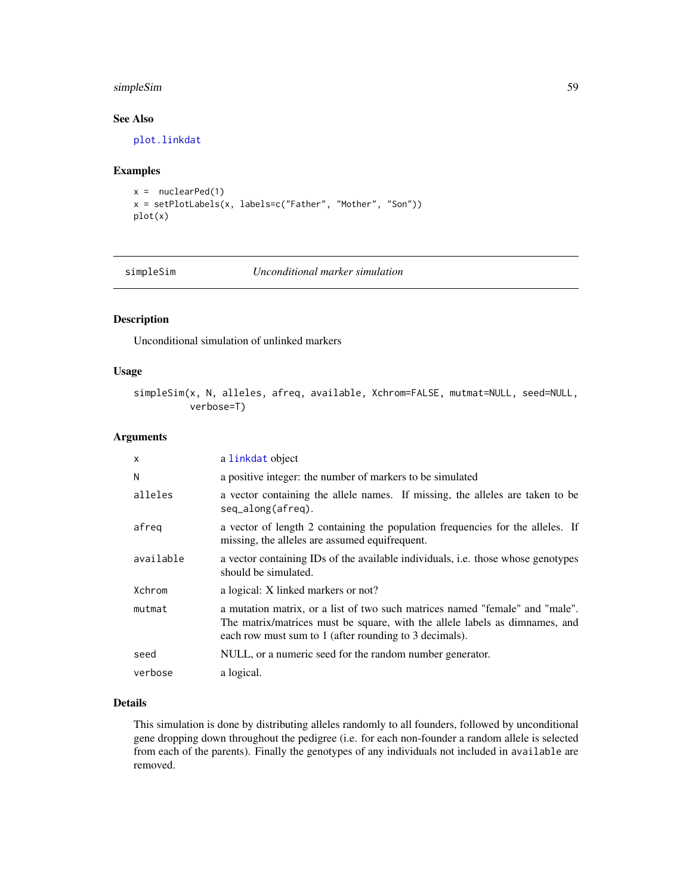### <span id="page-58-0"></span>simpleSim 59

### See Also

[plot.linkdat](#page-47-1)

### Examples

```
x = nuclearPed(1)x = setPlotLabels(x, labels=c("Father", "Mother", "Son"))
plot(x)
```
#### <span id="page-58-1"></span>simpleSim *Unconditional marker simulation*

### Description

Unconditional simulation of unlinked markers

### Usage

simpleSim(x, N, alleles, afreq, available, Xchrom=FALSE, mutmat=NULL, seed=NULL, verbose=T)

### Arguments

| $\mathsf{x}$ | a linkdat object                                                                                                                                                                                                      |
|--------------|-----------------------------------------------------------------------------------------------------------------------------------------------------------------------------------------------------------------------|
| N            | a positive integer: the number of markers to be simulated                                                                                                                                                             |
| alleles      | a vector containing the allele names. If missing, the alleles are taken to be<br>seq_along(afreq).                                                                                                                    |
| afreq        | a vector of length 2 containing the population frequencies for the alleles. If<br>missing, the alleles are assumed equifrequent.                                                                                      |
| available    | a vector containing IDs of the available individuals, <i>i.e.</i> those whose genotypes<br>should be simulated.                                                                                                       |
| Xchrom       | a logical: X linked markers or not?                                                                                                                                                                                   |
| mutmat       | a mutation matrix, or a list of two such matrices named "female" and "male".<br>The matrix/matrices must be square, with the allele labels as dimnames, and<br>each row must sum to 1 (after rounding to 3 decimals). |
| seed         | NULL, or a numeric seed for the random number generator.                                                                                                                                                              |
| verbose      | a logical.                                                                                                                                                                                                            |

### Details

This simulation is done by distributing alleles randomly to all founders, followed by unconditional gene dropping down throughout the pedigree (i.e. for each non-founder a random allele is selected from each of the parents). Finally the genotypes of any individuals not included in available are removed.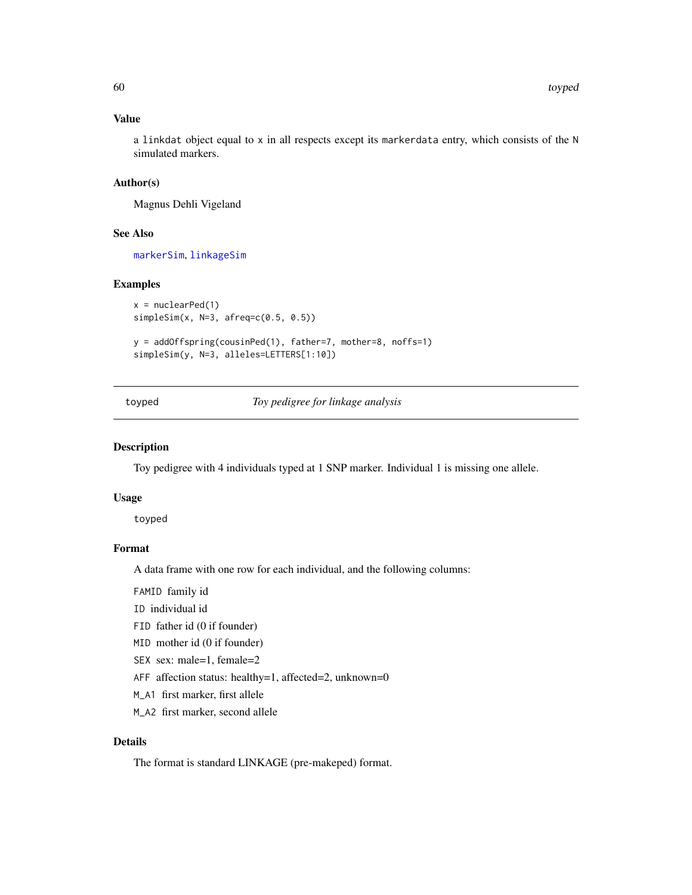### Value

a linkdat object equal to x in all respects except its markerdata entry, which consists of the N simulated markers.

### Author(s)

Magnus Dehli Vigeland

### See Also

[markerSim](#page-38-1), [linkageSim](#page-23-1)

#### Examples

```
x = nuclearPed(1)simpleSim(x, N=3, afreq=c(0.5, 0.5))
```

```
y = addOffspring(cousinPed(1), father=7, mother=8, noffs=1)
simpleSim(y, N=3, alleles=LETTERS[1:10])
```
toyped *Toy pedigree for linkage analysis*

### Description

Toy pedigree with 4 individuals typed at 1 SNP marker. Individual 1 is missing one allele.

#### Usage

toyped

#### Format

A data frame with one row for each individual, and the following columns:

FAMID family id

ID individual id

- FID father id (0 if founder)
- MID mother id (0 if founder)
- SEX sex: male=1, female=2
- AFF affection status: healthy=1, affected=2, unknown=0
- M\_A1 first marker, first allele
- M\_A2 first marker, second allele

### Details

The format is standard LINKAGE (pre-makeped) format.

<span id="page-59-0"></span>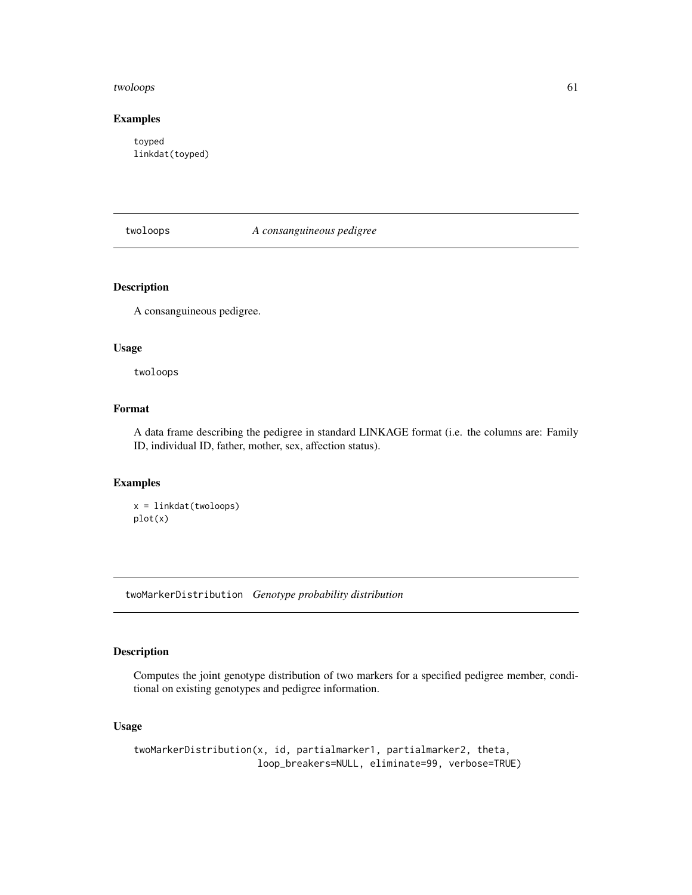#### <span id="page-60-0"></span>twoloops 61

### Examples

toyped linkdat(toyped)

twoloops *A consanguineous pedigree*

### Description

A consanguineous pedigree.

#### Usage

twoloops

### Format

A data frame describing the pedigree in standard LINKAGE format (i.e. the columns are: Family ID, individual ID, father, mother, sex, affection status).

### Examples

```
x = linkdat(twoloops)
plot(x)
```
<span id="page-60-1"></span>twoMarkerDistribution *Genotype probability distribution*

### Description

Computes the joint genotype distribution of two markers for a specified pedigree member, conditional on existing genotypes and pedigree information.

### Usage

twoMarkerDistribution(x, id, partialmarker1, partialmarker2, theta, loop\_breakers=NULL, eliminate=99, verbose=TRUE)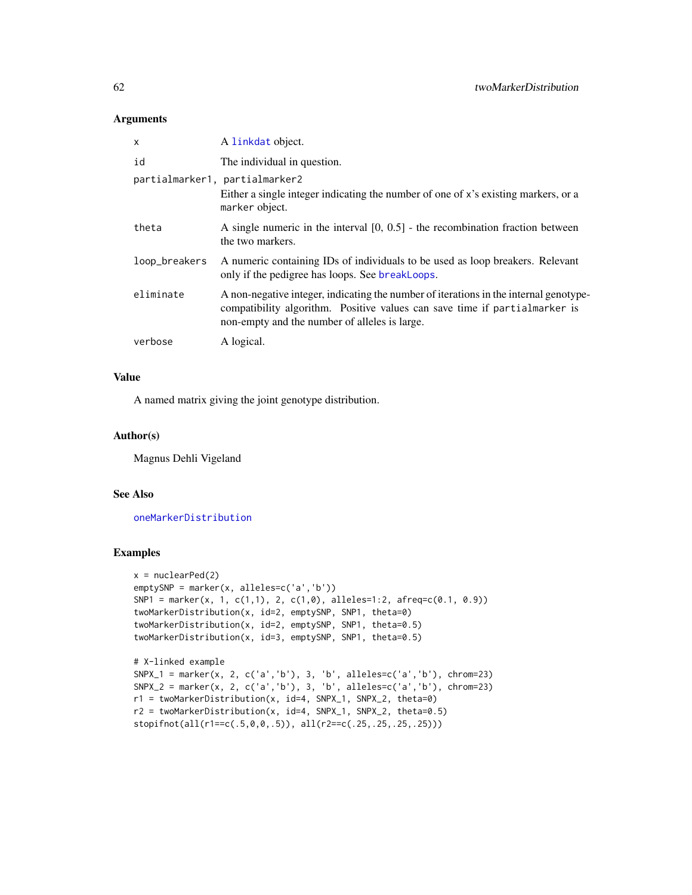#### Arguments

| x                              | A linkdat object.                                                                                                                                                                                                    |
|--------------------------------|----------------------------------------------------------------------------------------------------------------------------------------------------------------------------------------------------------------------|
| id                             | The individual in question.                                                                                                                                                                                          |
| partialmarker1, partialmarker2 | Either a single integer indicating the number of one of x's existing markers, or a<br>marker object.                                                                                                                 |
| theta                          | A single numeric in the interval $[0, 0.5]$ - the recombination fraction between<br>the two markers.                                                                                                                 |
| loop_breakers                  | A numeric containing IDs of individuals to be used as loop breakers. Relevant<br>only if the pedigree has loops. See breakLoops.                                                                                     |
| eliminate                      | A non-negative integer, indicating the number of iterations in the internal genotype-<br>compatibility algorithm. Positive values can save time if partialmarker is<br>non-empty and the number of alleles is large. |
| verbose                        | A logical.                                                                                                                                                                                                           |

### Value

A named matrix giving the joint genotype distribution.

### Author(s)

Magnus Dehli Vigeland

### See Also

[oneMarkerDistribution](#page-45-1)

```
x = nuclearPed(2)emptySNP = marker(x, alleles=c('a','b'))
SNP1 = marker(x, 1, c(1,1), 2, c(1,0), alleles=1:2, afreq=c(0.1, 0.9))
twoMarkerDistribution(x, id=2, emptySNP, SNP1, theta=0)
twoMarkerDistribution(x, id=2, emptySNP, SNP1, theta=0.5)
twoMarkerDistribution(x, id=3, emptySNP, SNP1, theta=0.5)
# X-linked example
SNPX_1 = marker(x, 2, c('a','b'), 3, 'b', alleles=c('a','b'), chrom=23)
SNPX_2 = marker(x, 2, c('a','b'), 3, 'b', alleles=c('a','b'), chrom=23)
r1 = twoMarkerDistribution(x, id=4, SNPX_1, SNPX_2, theta=0)
r2 = twoMarkerDistribution(x, id=4, SNPX_1, SNPX_2, theta=0.5)
stopifnot(all(r1==c(.5,0,0,.5)), all(r2==c(.25,.25,.25,.25)))
```
<span id="page-61-0"></span>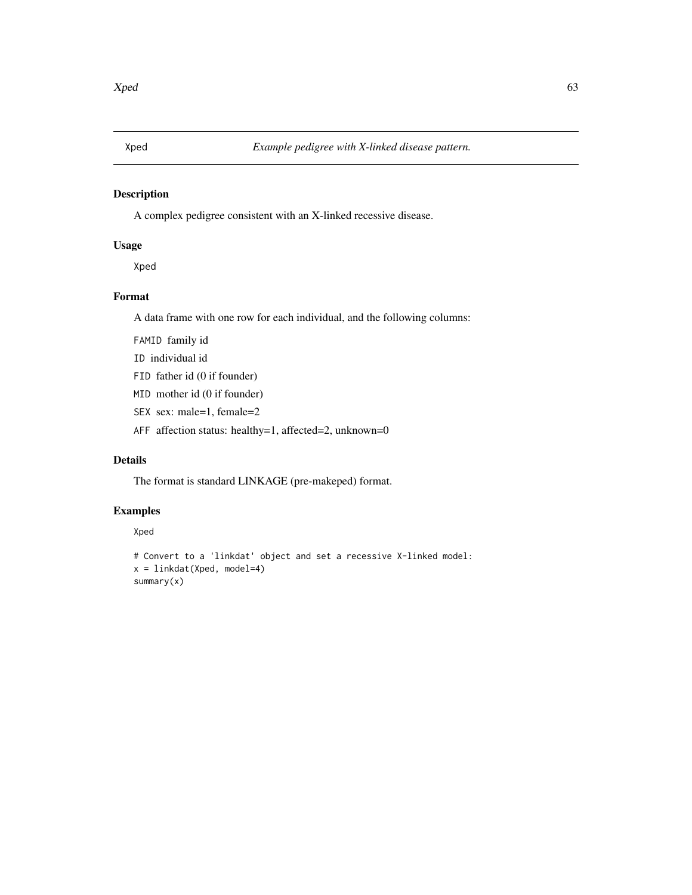<span id="page-62-0"></span>

### Description

A complex pedigree consistent with an X-linked recessive disease.

### Usage

Xped

### Format

A data frame with one row for each individual, and the following columns:

FAMID family id

ID individual id

- FID father id (0 if founder)
- MID mother id (0 if founder)
- SEX sex: male=1, female=2
- AFF affection status: healthy=1, affected=2, unknown=0

### Details

The format is standard LINKAGE (pre-makeped) format.

### Examples

#### Xped

```
# Convert to a 'linkdat' object and set a recessive X-linked model:
x = linkdat(Xped, model=4)
summary(x)
```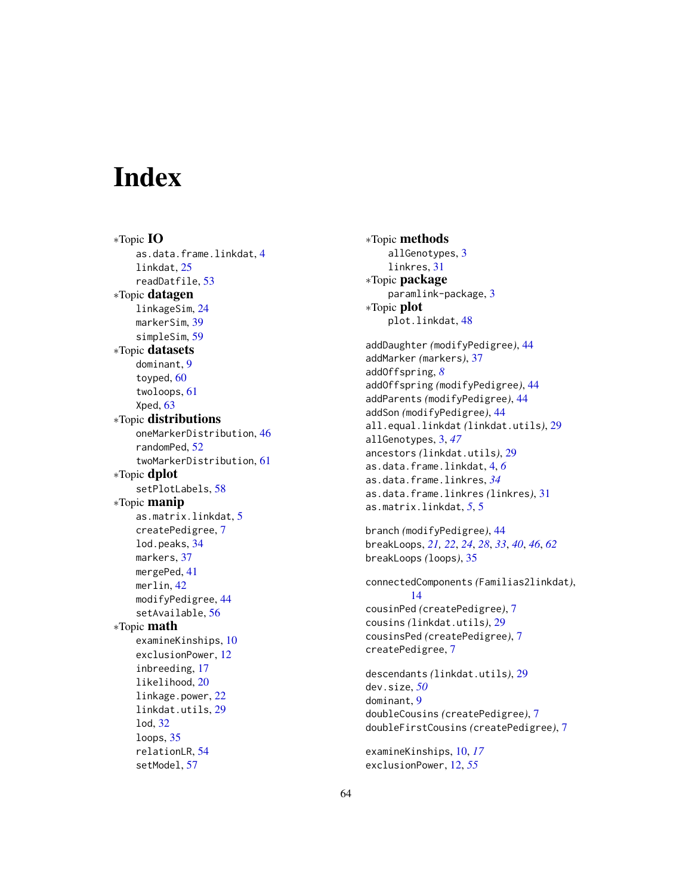# <span id="page-63-0"></span>**Index**

∗Topic IO as.data.frame.linkdat, [4](#page-3-0) linkdat, [25](#page-24-0) readDatfile, [53](#page-52-0) ∗Topic datagen linkageSim, [24](#page-23-0) markerSim, [39](#page-38-0) simpleSim, [59](#page-58-0) ∗Topic datasets dominant, [9](#page-8-0) toyped, [60](#page-59-0) twoloops, [61](#page-60-0) Xped, [63](#page-62-0) ∗Topic distributions oneMarkerDistribution, [46](#page-45-0) randomPed, [52](#page-51-0) twoMarkerDistribution, [61](#page-60-0) ∗Topic dplot setPlotLabels, [58](#page-57-0) ∗Topic manip as.matrix.linkdat, [5](#page-4-0) createPedigree, [7](#page-6-0) lod.peaks, [34](#page-33-0) markers, [37](#page-36-0) mergePed, [41](#page-40-0) merlin, [42](#page-41-0) modifyPedigree, [44](#page-43-0) setAvailable, [56](#page-55-0) ∗Topic math examineKinships, [10](#page-9-0) exclusionPower, [12](#page-11-0) inbreeding, [17](#page-16-0) likelihood, [20](#page-19-0) linkage.power, [22](#page-21-0) linkdat.utils, [29](#page-28-0) lod, [32](#page-31-0) loops, [35](#page-34-0) relationLR, [54](#page-53-0) setModel, [57](#page-56-0)

∗Topic methods allGenotypes, [3](#page-2-0) linkres, [31](#page-30-0) ∗Topic package paramlink-package, [3](#page-2-0) ∗Topic plot plot.linkdat, [48](#page-47-0) addDaughter *(*modifyPedigree*)*, [44](#page-43-0) addMarker *(*markers*)*, [37](#page-36-0) addOffspring, *[8](#page-7-0)* addOffspring *(*modifyPedigree*)*, [44](#page-43-0) addParents *(*modifyPedigree*)*, [44](#page-43-0) addSon *(*modifyPedigree*)*, [44](#page-43-0)

```
all.equal.linkdat (linkdat.utils), 29
allGenotypes, 3, 47
ancestors (linkdat.utils), 29
as.data.frame.linkdat, 4, 6
as.data.frame.linkres, 34
as.data.frame.linkres (linkres), 31
as.matrix.linkdat, 5, 5
```

```
branch (modifyPedigree), 44
breakLoops, 21, 22, 24, 28, 33, 40, 46, 62
breakLoops (loops), 35
```
connectedComponents *(*Familias2linkdat*)*, [14](#page-13-0) cousinPed *(*createPedigree*)*, [7](#page-6-0) cousins *(*linkdat.utils*)*, [29](#page-28-0) cousinsPed *(*createPedigree*)*, [7](#page-6-0) createPedigree, [7](#page-6-0)

```
descendants (linkdat.utils), 29
dev.size, 50
dominant, 9
doubleCousins (createPedigree), 7
doubleFirstCousins (createPedigree), 7
```

```
examineKinships, 10, 17
exclusionPower, 12, 55
```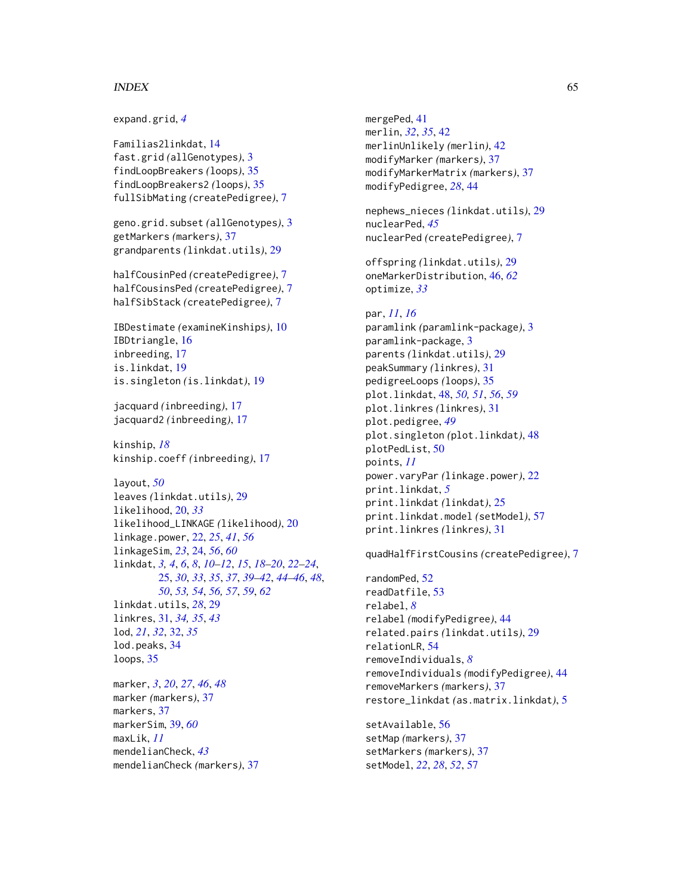#### $I<sub>N</sub>$  and  $I<sub>S</sub>$  and  $I<sub>S</sub>$  and  $I<sub>S</sub>$  and  $I<sub>S</sub>$  and  $I<sub>S</sub>$  and  $I<sub>S</sub>$  and  $I<sub>S</sub>$  and  $I<sub>S</sub>$  and  $I<sub>S</sub>$  and  $I<sub>S</sub>$  and  $I<sub>S</sub>$  and  $I<sub>S</sub>$  and  $I<sub>S</sub>$  and  $I<sub>S</sub>$  and  $I<sub>S</sub>$  a

```
expand.grid, 4
Familias2linkdat, 14
fast.grid (allGenotypes), 3
findLoopBreakers (loops), 35
findLoopBreakers2 (loops), 35
fullSibMating (createPedigree), 7
geno.grid.subset (allGenotypes), 3
getMarkers (markers), 37
grandparents (linkdat.utils), 29
halfCousinPed (createPedigree), 7
halfCousinsPed (createPedigree), 7
halfSibStack (createPedigree), 7
IBDestimate (examineKinships), 10
IBDtriangle, 16
inbreeding, 17
is.linkdat, 19
is.singleton (is.linkdat), 19
jacquard (inbreeding), 17
jacquard2 (inbreeding), 17
kinship, 18
kinship.coeff (inbreeding), 17
layout, 50
leaves (linkdat.utils), 29
likelihood, 20, 33
likelihood_LINKAGE (likelihood), 20
linkage.power, 22, 25, 41, 56
linkageSim, 23, 24, 56, 60
linkdat, 3, 4, 6, 8, 10–12, 15, 18–20, 22–24,
         25, 30, 33, 35, 37, 39–42, 44–46, 48,
         50, 53, 54, 56, 57, 59, 62
linkdat.utils, 28, 29
linkres, 31, 34, 35, 43
lod, 21, 32, 32, 35
lod.peaks, 34
loops, 35
marker, 3, 20, 27, 46, 48
marker (markers), 37
markers, 37
markerSim, 39, 60
maxLik, 11
mendelianCheck, 43
mendelianCheck (markers), 37
```
mergePed, [41](#page-40-0) merlin, *[32](#page-31-0)*, *[35](#page-34-0)*, [42](#page-41-0) merlinUnlikely *(*merlin*)*, [42](#page-41-0) modifyMarker *(*markers*)*, [37](#page-36-0) modifyMarkerMatrix *(*markers*)*, [37](#page-36-0) modifyPedigree, *[28](#page-27-0)*, [44](#page-43-0) nephews\_nieces *(*linkdat.utils*)*, [29](#page-28-0) nuclearPed, *[45](#page-44-0)* nuclearPed *(*createPedigree*)*, [7](#page-6-0) offspring *(*linkdat.utils*)*, [29](#page-28-0) oneMarkerDistribution, [46,](#page-45-0) *[62](#page-61-0)* optimize, *[33](#page-32-0)* par, *[11](#page-10-0)*, *[16](#page-15-0)* paramlink *(*paramlink-package*)*, [3](#page-2-0) paramlink-package, [3](#page-2-0) parents *(*linkdat.utils*)*, [29](#page-28-0) peakSummary *(*linkres*)*, [31](#page-30-0) pedigreeLoops *(*loops*)*, [35](#page-34-0) plot.linkdat, [48,](#page-47-0) *[50,](#page-49-0) [51](#page-50-0)*, *[56](#page-55-0)*, *[59](#page-58-0)* plot.linkres *(*linkres*)*, [31](#page-30-0) plot.pedigree, *[49](#page-48-0)* plot.singleton *(*plot.linkdat*)*, [48](#page-47-0) plotPedList, [50](#page-49-0) points, *[11](#page-10-0)* power.varyPar *(*linkage.power*)*, [22](#page-21-0) print.linkdat, *[5](#page-4-0)* print.linkdat *(*linkdat*)*, [25](#page-24-0) print.linkdat.model *(*setModel*)*, [57](#page-56-0) print.linkres *(*linkres*)*, [31](#page-30-0) quadHalfFirstCousins *(*createPedigree*)*, [7](#page-6-0) randomPed, [52](#page-51-0) readDatfile, [53](#page-52-0) relabel, *[8](#page-7-0)* relabel *(*modifyPedigree*)*, [44](#page-43-0) related.pairs *(*linkdat.utils*)*, [29](#page-28-0) relationLR, [54](#page-53-0) removeIndividuals, *[8](#page-7-0)* removeIndividuals *(*modifyPedigree*)*, [44](#page-43-0) removeMarkers *(*markers*)*, [37](#page-36-0) restore\_linkdat *(*as.matrix.linkdat*)*, [5](#page-4-0)

setAvailable, [56](#page-55-0) setMap *(*markers*)*, [37](#page-36-0) setMarkers *(*markers*)*, [37](#page-36-0) setModel, *[22](#page-21-0)*, *[28](#page-27-0)*, *[52](#page-51-0)*, [57](#page-56-0)